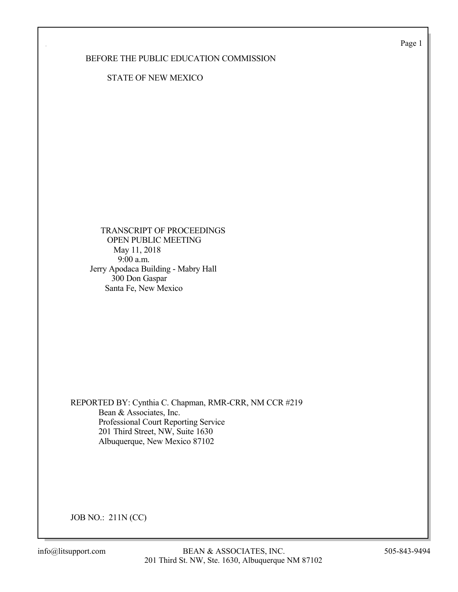Page 1

## BEFORE THE PUBLIC EDUCATION COMMISSION

STATE OF NEW MEXICO

 TRANSCRIPT OF PROCEEDINGS OPEN PUBLIC MEETING May 11, 2018 9:00 a.m. Jerry Apodaca Building - Mabry Hall 300 Don Gaspar Santa Fe, New Mexico

REPORTED BY: Cynthia C. Chapman, RMR-CRR, NM CCR #219 Bean & Associates, Inc. Professional Court Reporting Service 201 Third Street, NW, Suite 1630 Albuquerque, New Mexico 87102

JOB NO.: 211N (CC)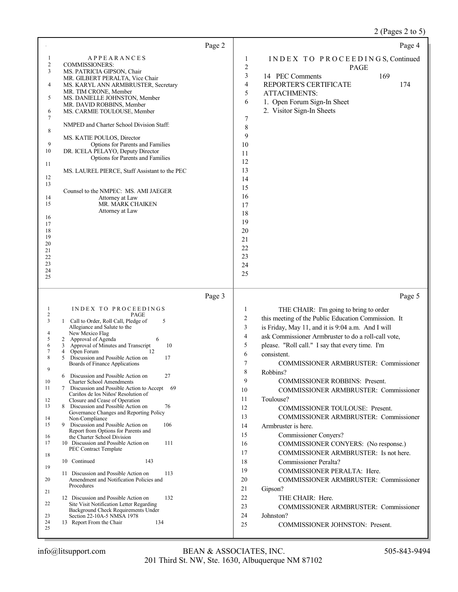# 2 (Pages 2 to 5)

| Page 2                                                                                                                                                                                                                                                                                                                                                                                                                                                                                                                                                                                                                                                                                                                                                                                                                                                                                                                                                                                                                                                                                                                                                                                                                                                                                              | Page 4                                                                                                                                                                                                                                                                                                                                                                                                                                                                                                                                                                                                                                                                                                                                                                                                                                                                                                                                                                                                                       |
|-----------------------------------------------------------------------------------------------------------------------------------------------------------------------------------------------------------------------------------------------------------------------------------------------------------------------------------------------------------------------------------------------------------------------------------------------------------------------------------------------------------------------------------------------------------------------------------------------------------------------------------------------------------------------------------------------------------------------------------------------------------------------------------------------------------------------------------------------------------------------------------------------------------------------------------------------------------------------------------------------------------------------------------------------------------------------------------------------------------------------------------------------------------------------------------------------------------------------------------------------------------------------------------------------------|------------------------------------------------------------------------------------------------------------------------------------------------------------------------------------------------------------------------------------------------------------------------------------------------------------------------------------------------------------------------------------------------------------------------------------------------------------------------------------------------------------------------------------------------------------------------------------------------------------------------------------------------------------------------------------------------------------------------------------------------------------------------------------------------------------------------------------------------------------------------------------------------------------------------------------------------------------------------------------------------------------------------------|
| <b>APPEARANCES</b><br>1<br>2<br><b>COMMISSIONERS:</b><br>3<br>MS. PATRICIA GIPSON, Chair<br>MR. GILBERT PERALTA, Vice Chair<br>4<br>MS. KARYL ANN ARMBRUSTER, Secretary<br>MR. TIM CRONE, Member<br>MS. DANIELLE JOHNSTON, Member<br>5<br>MR. DAVID ROBBINS, Member<br>6<br>MS. CARMIE TOULOUSE, Member<br>7<br>NMPED and Charter School Division Staff:<br>8<br>MS. KATIE POULOS, Director<br>9<br>Options for Parents and Families<br>10<br>DR. ICELA PELAYO, Deputy Director<br>Options for Parents and Families<br>11<br>MS. LAUREL PIERCE, Staff Assistant to the PEC<br>12<br>13<br>Counsel to the NMPEC: MS. AMI JAEGER<br>14<br>Attorney at Law<br>15<br>MR. MARK CHAIKEN<br>Attorney at Law<br>16<br>17<br>18<br>19<br>20<br>21<br>22<br>23<br>24<br>25                                                                                                                                                                                                                                                                                                                                                                                                                                                                                                                                    | INDEX TO PROCEEDINGS, Continued<br>1<br>2<br>PAGE<br>3<br>14 PEC Comments<br>169<br>4<br>REPORTER'S CERTIFICATE<br>174<br>5<br><b>ATTACHMENTS:</b><br>6<br>1. Open Forum Sign-In Sheet<br>2. Visitor Sign-In Sheets<br>7<br>$\,$ $\,$<br>9<br>10<br>11<br>12<br>13<br>14<br>15<br>16<br>17<br>18<br>19<br>20<br>21<br>22<br>23<br>24<br>25                                                                                                                                                                                                                                                                                                                                                                                                                                                                                                                                                                                                                                                                                   |
| Page 3<br>INDEX TO PROCEEDINGS<br>-1<br>$\overline{c}$<br>PAGE<br>3<br>1 Call to Order, Roll Call, Pledge of<br>5<br>Allegiance and Salute to the<br>4<br>New Mexico Flag<br>5<br>2 Approval of Agenda<br>6<br>10<br>Approval of Minutes and Transcript<br>6<br>3<br>7<br>Open Forum<br>12<br>4<br>8<br>Discussion and Possible Action on<br>17<br>5<br>Boards of Finance Applications<br>9<br>6<br>Discussion and Possible Action on<br>27<br>10<br>Charter School Amendments<br>11<br>Discussion and Possible Action to Accept<br>7<br>- 69<br>Cariños de los Niños' Resolution of<br>Closure and Cease of Operation<br>12<br>13<br>8 Discussion and Possible Action on<br>76<br>Governance Changes and Reporting Policy<br>14<br>Non-Compliance<br>9 Discussion and Possible Action on<br>15<br>106<br>Report from Options for Parents and<br>the Charter School Division<br>16<br>17<br>10 Discussion and Possible Action on<br>111<br>PEC Contract Template<br>18<br>10 Continued<br>143<br>19<br>11 Discussion and Possible Action on<br>113<br>20<br>Amendment and Notification Policies and<br>Procedures<br>21<br>12 Discussion and Possible Action on<br>132<br>22<br>Site Visit Notification Letter Regarding<br>Background Check Requirements Under<br>23<br>Section 22-10A-5 NMSA 1978 | Page 5<br>THE CHAIR: I'm going to bring to order<br>1<br>$\overline{c}$<br>this meeting of the Public Education Commission. It<br>is Friday, May 11, and it is 9:04 a.m. And I will<br>3<br>ask Commissioner Armbruster to do a roll-call vote,<br>4<br>5<br>please. "Roll call." I say that every time. I'm<br>6<br>consistent.<br>7<br>COMMISSIONER ARMBRUSTER: Commissioner<br>8<br>Robbins?<br>9<br><b>COMMISSIONER ROBBINS: Present.</b><br><b>COMMISSIONER ARMBRUSTER: Commissioner</b><br>10<br>11<br>Toulouse?<br>12<br>COMMISSIONER TOULOUSE: Present.<br>13<br>COMMISSIONER ARMBRUSTER: Commissioner<br>14<br>Armbruster is here.<br>15<br><b>Commissioner Conyers?</b><br>16<br>COMMISSIONER CONYERS: (No response.)<br>COMMISSIONER ARMBRUSTER: Is not here.<br>17<br>18<br>Commissioner Peralta?<br>19<br>COMMISSIONER PERALTA: Here.<br>20<br><b>COMMISSIONER ARMBRUSTER: Commissioner</b><br>21<br>Gipson?<br>22<br>THE CHAIR: Here.<br>23<br><b>COMMISSIONER ARMBRUSTER: Commissioner</b><br>24<br>Johnston? |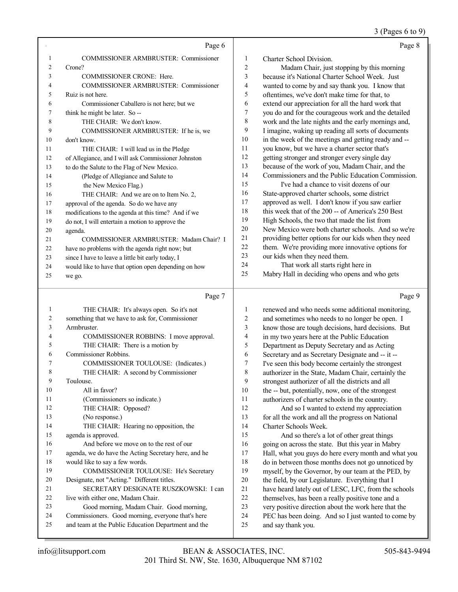#### 3 (Pages 6 to 9)

|    | Page 6                                               |                | Page 8                                               |
|----|------------------------------------------------------|----------------|------------------------------------------------------|
|    | <b>COMMISSIONER ARMBRUSTER: Commissioner</b>         | 1              | Charter School Division.                             |
| 2  | Crone?                                               | $\overline{c}$ | Madam Chair, just stopping by this morning           |
| 3  | <b>COMMISSIONER CRONE: Here.</b>                     | 3              | because it's National Charter School Week. Just      |
|    | <b>COMMISSIONER ARMBRUSTER: Commissioner</b>         | 4              | wanted to come by and say thank you. I know that     |
| 5  | Ruiz is not here.                                    | 5              | oftentimes, we've don't make time for that, to       |
| 6  | Commissioner Caballero is not here; but we           | 6              | extend our appreciation for all the hard work that   |
| 7  | think he might be later. So --                       | 7              | you do and for the courageous work and the detailed  |
| 8  | THE CHAIR: We don't know.                            | 8              | work and the late nights and the early mornings and, |
| 9  | COMMISSIONER ARMBRUSTER: If he is, we                | 9              | I imagine, waking up reading all sorts of documents  |
| 10 | don't know.                                          | 10             | in the week of the meetings and getting ready and -- |
| 11 | THE CHAIR: I will lead us in the Pledge              | 11             | you know, but we have a charter sector that's        |
| 12 | of Allegiance, and I will ask Commissioner Johnston  | 12             | getting stronger and stronger every single day       |
| 13 | to do the Salute to the Flag of New Mexico.          | 13             | because of the work of you, Madam Chair, and the     |
| 14 | (Pledge of Allegiance and Salute to                  | 14             | Commissioners and the Public Education Commission.   |
| 15 | the New Mexico Flag.)                                | 15             | I've had a chance to visit dozens of our             |
| 16 | THE CHAIR: And we are on to Item No. 2,              | 16             | State-approved charter schools, some district        |
| 17 | approval of the agenda. So do we have any            | 17             | approved as well. I don't know if you saw earlier    |
| 18 | modifications to the agenda at this time? And if we  | 18             | this week that of the 200 -- of America's 250 Best   |
| 19 | do not, I will entertain a motion to approve the     | 19             | High Schools, the two that made the list from        |
| 20 | agenda.                                              | 20             | New Mexico were both charter schools. And so we're   |
| 21 | COMMISSIONER ARMBRUSTER: Madam Chair? I              | 21             | providing better options for our kids when they need |
| 22 | have no problems with the agenda right now; but      | 22             | them. We're providing more innovative options for    |
| 23 | since I have to leave a little bit early today, I    | 23             | our kids when they need them.                        |
| 24 | would like to have that option open depending on how | 24             | That work all starts right here in                   |
| 25 | we go.                                               | 25             | Mabry Hall in deciding who opens and who gets        |
|    | Page 7                                               |                | Page 9                                               |

| 1  | THE CHAIR: It's always open. So it's not             |
|----|------------------------------------------------------|
| 2  | something that we have to ask for, Commissioner      |
| 3  | Armbruster.                                          |
| 4  | COMMISSIONER ROBBINS: I move approval.               |
| 5  | THE CHAIR: There is a motion by                      |
| 6  | Commissioner Robbins.                                |
| 7  | COMMISSIONER TOULOUSE: (Indicates.)                  |
| 8  | THE CHAIR: A second by Commissioner                  |
| 9  | Toulouse.                                            |
| 10 | All in favor?                                        |
| 11 | (Commissioners so indicate.)                         |
| 12 | THE CHAIR: Opposed?                                  |
| 13 | (No response.)                                       |
| 14 | THE CHAIR: Hearing no opposition, the                |
| 15 | agenda is approved.                                  |
| 16 | And before we move on to the rest of our             |
| 17 | agenda, we do have the Acting Secretary here, and he |
| 18 | would like to say a few words.                       |
| 19 | COMMISSIONER TOULOUSE: He's Secretary                |
| 20 | Designate, not "Acting." Different titles.           |
| 21 | SECRETARY DESIGNATE RUSZKOWSKI: I can                |
| 22 | live with either one, Madam Chair.                   |
| 23 | Good morning, Madam Chair. Good morning,             |
| 24 | Commissioners. Good morning, everyone that's here    |
| 25 | and team at the Public Education Department and the  |

 renewed and who needs some additional monitoring, and sometimes who needs to no longer be open. I know those are tough decisions, hard decisions. But in my two years here at the Public Education Department as Deputy Secretary and as Acting Secretary and as Secretary Designate and -- it -- I've seen this body become certainly the strongest authorizer in the State, Madam Chair, certainly the strongest authorizer of all the districts and all the -- but, potentially, now, one of the strongest authorizers of charter schools in the country. And so I wanted to extend my appreciation for all the work and all the progress on National Charter Schools Week. And so there's a lot of other great things 16 going on across the state. But this year in Mabry Hall, what you guys do here every month and what you do in between those months does not go unnoticed by myself, by the Governor, by our team at the PED, by the field, by our Legislature. Everything that I have heard lately out of LESC, LFC, from the schools themselves, has been a really positive tone and a

- very positive direction about the work here that the
- PEC has been doing. And so I just wanted to come by
- and say thank you.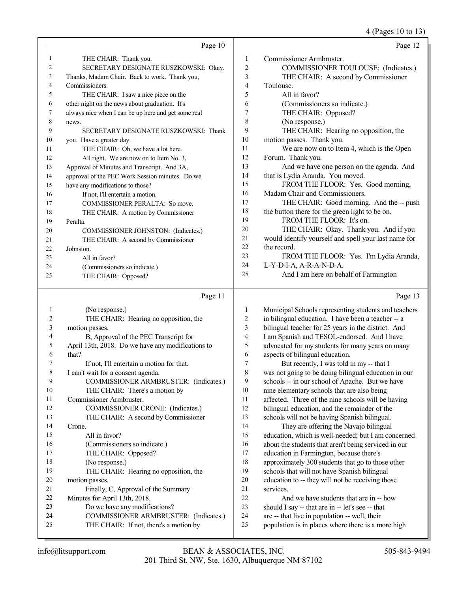4 (Pages 10 to 13)

|    | Page 10                                             |                | Page 12                                              |
|----|-----------------------------------------------------|----------------|------------------------------------------------------|
| 1  | THE CHAIR: Thank you.                               | 1              | Commissioner Armbruster.                             |
| 2  | SECRETARY DESIGNATE RUSZKOWSKI: Okay.               | $\overline{2}$ | COMMISSIONER TOULOUSE: (Indicates.)                  |
| 3  | Thanks, Madam Chair. Back to work. Thank you,       | 3              | THE CHAIR: A second by Commissioner                  |
| 4  | Commissioners.                                      | 4              | Toulouse.                                            |
| 5  | THE CHAIR: I saw a nice piece on the                | 5              | All in favor?                                        |
| 6  | other night on the news about graduation. It's      | 6              | (Commissioners so indicate.)                         |
| 7  | always nice when I can be up here and get some real | 7              | THE CHAIR: Opposed?                                  |
| 8  | news.                                               | 8              | (No response.)                                       |
| 9  | SECRETARY DESIGNATE RUSZKOWSKI: Thank               | 9              | THE CHAIR: Hearing no opposition, the                |
| 10 | you. Have a greater day.                            | 10             | motion passes. Thank you.                            |
| 11 | THE CHAIR: Oh, we have a lot here.                  | 11             | We are now on to Item 4, which is the Open           |
| 12 | All right. We are now on to Item No. 3,             | 12             | Forum. Thank you.                                    |
| 13 | Approval of Minutes and Transcript. And 3A,         | 13             | And we have one person on the agenda. And            |
| 14 | approval of the PEC Work Session minutes. Do we     | 14             | that is Lydia Aranda. You moved.                     |
| 15 | have any modifications to those?                    | 15             | FROM THE FLOOR: Yes. Good morning,                   |
| 16 | If not, I'll entertain a motion.                    | 16             | Madam Chair and Commissioners.                       |
| 17 | COMMISSIONER PERALTA: So move.                      | 17             | THE CHAIR: Good morning. And the -- push             |
| 18 | THE CHAIR: A motion by Commissioner                 | 18             | the button there for the green light to be on.       |
| 19 | Peralta.                                            | 19             | FROM THE FLOOR: It's on.                             |
| 20 | COMMISSIONER JOHNSTON: (Indicates.)                 | 20             | THE CHAIR: Okay. Thank you. And if you               |
| 21 | THE CHAIR: A second by Commissioner                 | 21             | would identify yourself and spell your last name for |
| 22 | Johnston.                                           | 22             | the record.                                          |
| 23 | All in favor?                                       | 23             | FROM THE FLOOR: Yes. I'm Lydia Aranda,               |
| 24 | (Commissioners so indicate.)                        | 24             | L-Y-D-I-A, A-R-A-N-D-A.                              |
| 25 | THE CHAIR: Opposed?                                 | 25             | And I am here on behalf of Farmington                |
|    |                                                     |                |                                                      |

## Page 11

| 1  | (No response.)                                    | 1  | Municipal Schools representing students and teachers |
|----|---------------------------------------------------|----|------------------------------------------------------|
| 2  | THE CHAIR: Hearing no opposition, the             | 2  | in bilingual education. I have been a teacher -- a   |
| 3  | motion passes.                                    | 3  | bilingual teacher for 25 years in the district. And  |
| 4  | B, Approval of the PEC Transcript for             | 4  | I am Spanish and TESOL-endorsed. And I have          |
| 5  | April 13th, 2018. Do we have any modifications to | 5  | advocated for my students for many years on many     |
| 6  | that?                                             | 6  | aspects of bilingual education.                      |
| 7  | If not, I'll entertain a motion for that.         | 7  | But recently, I was told in my -- that I             |
| 8  | I can't wait for a consent agenda.                | 8  | was not going to be doing bilingual education in our |
| 9  | COMMISSIONER ARMBRUSTER: (Indicates.)             | 9  | schools -- in our school of Apache. But we have      |
| 10 | THE CHAIR: There's a motion by                    | 10 | nine elementary schools that are also being          |
| 11 | Commissioner Armbruster.                          | 11 | affected. Three of the nine schools will be having   |
| 12 | COMMISSIONER CRONE: (Indicates.)                  | 12 | bilingual education, and the remainder of the        |
| 13 | THE CHAIR: A second by Commissioner               | 13 | schools will not be having Spanish bilingual.        |
| 14 | Crone.                                            | 14 | They are offering the Navajo bilingual               |
| 15 | All in favor?                                     | 15 | education, which is well-needed; but I am concerned  |
| 16 | (Commissioners so indicate.)                      | 16 | about the students that aren't being serviced in our |
| 17 | THE CHAIR: Opposed?                               | 17 | education in Farmington, because there's             |
| 18 | (No response.)                                    | 18 | approximately 300 students that go to those other    |
| 19 | THE CHAIR: Hearing no opposition, the             | 19 | schools that will not have Spanish bilingual         |
| 20 | motion passes.                                    | 20 | education to -- they will not be receiving those     |
| 21 | Finally, C, Approval of the Summary               | 21 | services.                                            |
| 22 | Minutes for April 13th, 2018.                     | 22 | And we have students that are in -- how              |
| 23 | Do we have any modifications?                     | 23 | should I say -- that are in -- let's see -- that     |
| 24 | COMMISSIONER ARMBRUSTER: (Indicates.)             | 24 | are -- that live in population -- well, their        |
| 25 | THE CHAIR: If not, there's a motion by            | 25 | population is in places where there is a more high   |
|    |                                                   |    |                                                      |

Page 13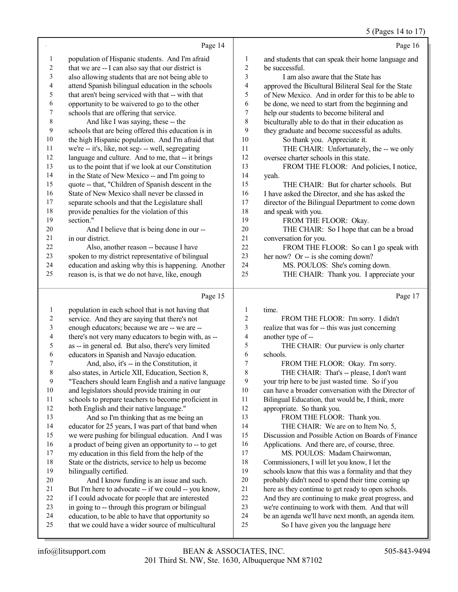|                  |                                                                                     |              | 5 (Pages 14 to 17                                        |
|------------------|-------------------------------------------------------------------------------------|--------------|----------------------------------------------------------|
|                  | Page 14                                                                             |              | Page 16                                                  |
| $\mathbf{1}$     | population of Hispanic students. And I'm afraid                                     | $\mathbf{1}$ | and students that can speak their home language and      |
| $\boldsymbol{2}$ | that we are -- I can also say that our district is                                  | 2            | be successful.                                           |
| 3                | also allowing students that are not being able to                                   | 3            | I am also aware that the State has                       |
| 4                | attend Spanish bilingual education in the schools                                   | 4            | approved the Bicultural Biliteral Seal for the State     |
| 5                | that aren't being serviced with that -- with that                                   | 5            | of New Mexico. And in order for this to be able to       |
| 6                | opportunity to be waivered to go to the other                                       | 6            | be done, we need to start from the beginning and         |
| $\boldsymbol{7}$ | schools that are offering that service.                                             | 7            | help our students to become biliteral and                |
| $\,$ $\,$        | And like I was saying, these -- the                                                 | 8            | biculturally able to do that in their education as       |
| 9                | schools that are being offered this education is in                                 | 9            | they graduate and become successful as adults.           |
| $10\,$           | the high Hispanic population. And I'm afraid that                                   | 10           | So thank you. Appreciate it.                             |
| 11               | we're -- it's, like, not seg- -- well, segregating                                  | 11           | THE CHAIR: Unfortunately, the -- we only                 |
| 12               | language and culture. And to me, that -- it brings                                  | 12           | oversee charter schools in this state.                   |
| 13               | us to the point that if we look at our Constitution                                 | 13           | FROM THE FLOOR: And policies, I notice,                  |
| 14               | in the State of New Mexico -- and I'm going to                                      | 14           | yeah.                                                    |
| 15               | quote -- that, "Children of Spanish descent in the                                  | 15           | THE CHAIR: But for charter schools. But                  |
| 16               | State of New Mexico shall never be classed in                                       | 16           | I have asked the Director, and she has asked the         |
| $17\,$<br>$18\,$ | separate schools and that the Legislature shall                                     | 17<br>18     | director of the Bilingual Department to come down        |
| 19               | provide penalties for the violation of this<br>section."                            | 19           | and speak with you.<br>FROM THE FLOOR: Okay.             |
| 20               | And I believe that is being done in our --                                          | $20\,$       | THE CHAIR: So I hope that can be a broad                 |
| 21               | in our district.                                                                    | 21           | conversation for you.                                    |
| 22               | Also, another reason -- because I have                                              | 22           | FROM THE FLOOR: So can I go speak with                   |
| 23               | spoken to my district representative of bilingual                                   | 23           | her now? Or -- is she coming down?                       |
| 24               | education and asking why this is happening. Another                                 | 24           | MS. POULOS: She's coming down.                           |
| 25               | reason is, is that we do not have, like, enough                                     | 25           | THE CHAIR: Thank you. I appreciate your                  |
|                  | Page 15                                                                             |              | Page 17                                                  |
| 1                | population in each school that is not having that                                   | 1            | time.                                                    |
| $\overline{c}$   | service. And they are saying that there's not                                       | 2            | FROM THE FLOOR: I'm sorry. I didn't                      |
| 3                | enough educators; because we are -- we are --                                       | 3            | realize that was for -- this was just concerning         |
| 4                | there's not very many educators to begin with, as --                                | 4            | another type of --                                       |
| 5                | as -- in general ed. But also, there's very limited                                 | 5            | THE CHAIR: Our purview is only charter                   |
| 6                | educators in Spanish and Navajo education.                                          | 6            | schools.                                                 |
| 7                | And, also, it's -- in the Constitution, it                                          | 7            | FROM THE FLOOR: Okay. I'm sorry.                         |
| $\,$ 8 $\,$      | also states, in Article XII, Education, Section 8,                                  | 8            | THE CHAIR: That's -- please, I don't want                |
| 9                | "Teachers should learn English and a native language                                | 9            | your trip here to be just wasted time. So if you         |
| 10               | and legislators should provide training in our                                      | 10           | can have a broader conversation with the Director of     |
| 11<br>12         | schools to prepare teachers to become proficient in                                 | 11<br>12     | Bilingual Education, that would be, I think, more        |
| 13               | both English and their native language."<br>And so I'm thinking that as me being an | 13           | appropriate. So thank you.<br>FROM THE FLOOR: Thank you. |
| 14               | educator for 25 years, I was part of that band when                                 | 14           | THE CHAIR: We are on to Item No. 5,                      |
| 15               | we were pushing for bilingual education. And I was                                  | 15           | Discussion and Possible Action on Boards of Finance      |
| 16               | a product of being given an opportunity to -- to get                                | 16           | Applications. And there are, of course, three.           |
| 17               | my education in this field from the help of the                                     | 17           | MS. POULOS: Madam Chairwoman,                            |
| 18               | State or the districts, service to help us become                                   | 18           | Commissioners, I will let you know, I let the            |
| 19               | bilingually certified.                                                              | 19           | schools know that this was a formality and that they     |
| $20\,$           | And I know funding is an issue and such.                                            | $20\,$       | probably didn't need to spend their time coming up       |
| 21               | But I'm here to advocate -- if we could -- you know,                                | 21           | here as they continue to get ready to open schools.      |
| $22\,$           | if I could advocate for people that are interested                                  | $22\,$       | And they are continuing to make great progress, and      |
| 23               | in going to -- through this program or bilingual                                    | 23           | we're continuing to work with them. And that will        |
| 24               | education, to be able to have that opportunity so                                   | 24           | be an agenda we'll have next month, an agenda item.      |
| 25               | that we could have a wider source of multicultural                                  | 25           | So I have given you the language here                    |

24 be an agenda we'll have next month, an agenda item.<br>25 So I have given you the language here So I have given you the language here

that we could have a wider source of multicultural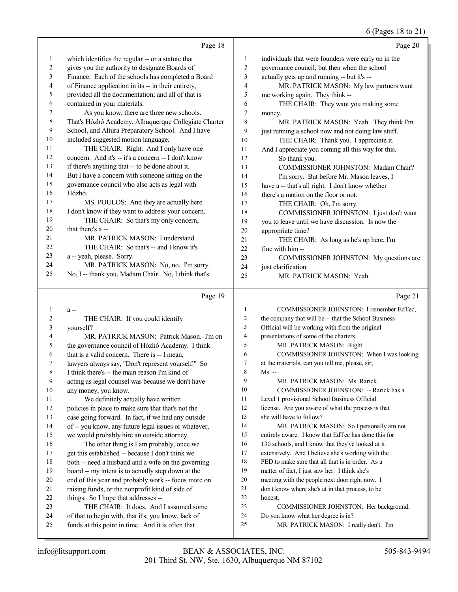#### 6 (Pages 18 to 21)

|                |                                                      |                | (1.45010101)                                         |
|----------------|------------------------------------------------------|----------------|------------------------------------------------------|
|                | Page 18                                              |                | Page 20                                              |
| 1              | which identifies the regular -- or a statute that    | 1              | individuals that were founders were early on in the  |
| $\overline{c}$ | gives you the authority to designate Boards of       | $\overline{2}$ | governance council; but then when the school         |
| 3              | Finance. Each of the schools has completed a Board   | 3              | actually gets up and running -- but it's --          |
| 4              | of Finance application in its -- in their entirety,  | $\overline{4}$ | MR. PATRICK MASON: My law partners want              |
| 5              | provided all the documentation; and all of that is   | 5              | me working again. They think --                      |
| 6              | contained in your materials.                         | 6              | THE CHAIR: They want you making some                 |
| 7              | As you know, there are three new schools.            | $\tau$         | money.                                               |
| 8              | That's Hózhó Academy, Albuquerque Collegiate Charter | 8              | MR. PATRICK MASON: Yeah. They think I'm              |
| 9              | School, and Altura Preparatory School. And I have    | 9              | just running a school now and not doing law stuff.   |
| 10             | included suggested motion language.                  | 10             | THE CHAIR: Thank you. I appreciate it.               |
| 11             | THE CHAIR: Right. And I only have one                | 11             | And I appreciate you coming all this way for this.   |
| 12             | concern. And it's -- it's a concern -- I don't know  | 12             | So thank you.                                        |
| 13             | if there's anything that -- to be done about it.     | 13             | COMMISSIONER JOHNSTON: Madam Chair?                  |
| 14             | But I have a concern with someone sitting on the     | 14             | I'm sorry. But before Mr. Mason leaves, I            |
| 15             | governance council who also acts as legal with       | 15             | have a -- that's all right. I don't know whether     |
| 16             | Hózhó.                                               | 16             | there's a motion on the floor or not.                |
| 17             | MS. POULOS: And they are actually here.              | 17             | THE CHAIR: Oh, I'm sorry.                            |
| 18             | I don't know if they want to address your concern.   | 18             | COMMISSIONER JOHNSTON: I just don't want             |
| 19             | THE CHAIR: So that's my only concern,                | 19             | you to leave until we have discussion. Is now the    |
| 20             | that there's a --                                    | 20             | appropriate time?                                    |
| 21             | MR. PATRICK MASON: I understand.                     | 21             | THE CHAIR: As long as he's up here, I'm              |
| 22             | THE CHAIR: So that's -- and I know it's              | 22             | fine with him-                                       |
| 23             | a -- yeah, please. Sorry.                            | 23             | COMMISSIONER JOHNSTON: My questions are              |
| 24             | MR. PATRICK MASON: No, no. I'm sorry.                | 24             | just clarification.                                  |
| 25             | No, I -- thank you, Madam Chair. No, I think that's  | 25             | MR. PATRICK MASON: Yeah.                             |
|                | Page 19                                              |                | Page 21                                              |
| $\mathbf{1}$   | a--                                                  | $\mathbf{1}$   | COMMISSIONER JOHNSTON: I remember EdTec,             |
| $\overline{c}$ | THE CHAIR: If you could identify                     | $\overline{c}$ | the company that will be -- that the School Business |
| 3              | yourself?                                            | 3              | Official will be working with from the original      |
| 4              | MR. PATRICK MASON: Patrick Mason. I'm on             | $\overline{4}$ | presentations of some of the charters.               |
| 5              | the governance council of Hózhó Academy. I think     | 5              | MR. PATRICK MASON: Right.                            |
| 6              | that is a valid concern. There is -- I mean,         | 6              | COMMISSIONER JOHNSTON: When I was looking            |
| 7              | lawyers always say, "Don't represent yourself." So   | 7              | at the materials, can you tell me, please, sir,      |

- Ms. --
- MR. PATRICK MASON: Ms. Rarick.
- COMMISSIONER JOHNSTON: -- Rarick has a
- Level 1 provisional School Business Official
- license. Are you aware of what the process is that
- she will have to follow?

MR. PATRICK MASON: So I personally am not

- entirely aware. I know that EdTec has done this for
- 16 130 schools, and I know that they've looked at it
- extensively. And I believe she's working with the
- PED to make sure that all that is in order. As a
- matter of fact, I just saw her. I think she's
- meeting with the people next door right now. I
- don't know where she's at in that process, to be
- honest.
- COMMISSIONER JOHNSTON: Her background.
- Do you know what her degree is in?
- MR. PATRICK MASON: I really don't. I'm

 I think there's -- the main reason I'm kind of acting as legal counsel was because we don't have

 We definitely actually have written policies in place to make sure that that's not the case going forward. In fact, if we had any outside of -- you know, any future legal issues or whatever, we would probably hire an outside attorney. The other thing is I am probably, once we get this established -- because I don't think we both -- need a husband and a wife on the governing board -- my intent is to actually step down at the end of this year and probably work -- focus more on raising funds, or the nonprofit kind of side of

things. So I hope that addresses --

 THE CHAIR: It does. And I assumed some of that to begin with, that it's, you know, lack of funds at this point in time. And it is often that

any money, you know.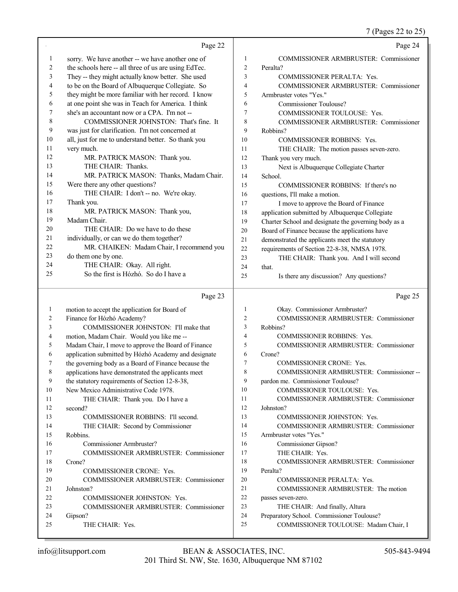|    |                                                      |                | 7 (Pages 22 to 25)                                   |
|----|------------------------------------------------------|----------------|------------------------------------------------------|
|    | Page 22                                              |                | Page 24                                              |
| 1  | sorry. We have another -- we have another one of     | 1              | COMMISSIONER ARMBRUSTER: Commissioner                |
| 2  | the schools here -- all three of us are using EdTec. | $\overline{c}$ | Peralta?                                             |
| 3  | They -- they might actually know better. She used    | 3              | COMMISSIONER PERALTA: Yes.                           |
| 4  | to be on the Board of Albuquerque Collegiate. So     | 4              | COMMISSIONER ARMBRUSTER: Commissioner                |
| 5  | they might be more familiar with her record. I know  | 5              | Armbruster votes "Yes."                              |
| 6  | at one point she was in Teach for America. I think   | 6              | Commissioner Toulouse?                               |
| 7  | she's an accountant now or a CPA. I'm not --         | 7              | COMMISSIONER TOULOUSE: Yes.                          |
| 8  | COMMISSIONER JOHNSTON: That's fine. It               | 8              | COMMISSIONER ARMBRUSTER: Commissioner                |
| 9  | was just for clarification. I'm not concerned at     | 9              | Robbins?                                             |
| 10 | all, just for me to understand better. So thank you  | 10             | <b>COMMISSIONER ROBBINS: Yes.</b>                    |
| 11 | very much.                                           | 11             | THE CHAIR: The motion passes seven-zero.             |
| 12 | MR. PATRICK MASON: Thank you.                        | 12             | Thank you very much.                                 |
| 13 | THE CHAIR: Thanks.                                   | 13             | Next is Albuquerque Collegiate Charter               |
| 14 | MR. PATRICK MASON: Thanks, Madam Chair.              | 14             | School.                                              |
| 15 | Were there any other questions?                      | 15             | COMMISSIONER ROBBINS: If there's no                  |
| 16 | THE CHAIR: I don't -- no. We're okay.                | 16             | questions, I'll make a motion.                       |
| 17 | Thank you.                                           | 17             | I move to approve the Board of Finance               |
| 18 | MR. PATRICK MASON: Thank you,                        | 18             | application submitted by Albuquerque Collegiate      |
| 19 | Madam Chair.                                         | 19             | Charter School and designate the governing body as a |
| 20 | THE CHAIR: Do we have to do these                    | 20             | Board of Finance because the applications have       |
| 21 | individually, or can we do them together?            | 21             | demonstrated the applicants meet the statutory       |
| 22 | MR. CHAIKEN: Madam Chair, I recommend you            | 22             | requirements of Section 22-8-38, NMSA 1978.          |
| 23 | do them one by one.                                  | 23             | THE CHAIR: Thank you. And I will second              |
| 24 | THE CHAIR: Okay. All right.                          | 24             | that.                                                |
| 25 | So the first is Hózhó. So do I have a                | 25             | Is there any discussion? Any questions?              |
|    |                                                      |                |                                                      |
|    | Page 23                                              |                | Page 25                                              |
| 1  | motion to accept the application for Board of        | $\mathbf{1}$   | Okay. Commissioner Armbruster?                       |
| 2  | Finance for Hózhó Academy?                           | 2              | COMMISSIONER ARMBRUSTER: Commissioner                |
| 3  | COMMISSIONER JOHNSTON: I'll make that                | 3              | Robbins?                                             |
| 4  | motion, Madam Chair. Would you like me --            | 4              | COMMISSIONER ROBBINS: Yes.                           |
| 5  | Madam Chair, I move to approve the Board of Finance  | 5              | COMMISSIONER ARMBRUSTER: Commissioner                |
| 6  | application submitted by Hózhó Academy and designate | 6              | Crone?                                               |
|    | the governing body as a Board of Finance because the | 7              | COMMISSIONER CRONE: Yes.                             |
| 8  | applications have demonstrated the applicants meet   | 8              | COMMISSIONER ARMBRUSTER: Commissioner --             |
| 9  | the statutory requirements of Section 12-8-38,       | 9              | pardon me. Commissioner Toulouse?                    |
| 10 | New Mexico Administrative Code 1978.                 | 10             | COMMISSIONER TOULOUSE: Yes.                          |
| 11 | THE CHAIR: Thank you. Do I have a                    | 11             | COMMISSIONER ARMBRUSTER: Commissioner                |
| 12 | second?                                              | 12             | Johnston?                                            |
| 13 | COMMISSIONER ROBBINS: I'll second.                   | 13             | COMMISSIONER JOHNSTON: Yes.                          |
| 14 | THE CHAIR: Second by Commissioner                    | 14             | COMMISSIONER ARMBRUSTER: Commissioner                |
| 15 | Robbins.                                             | 15             | Armbruster votes "Yes."                              |
| 16 | Commissioner Armbruster?                             | 16             | Commissioner Gipson?                                 |
| 17 | COMMISSIONER ARMBRUSTER: Commissioner                | 17             | THE CHAIR: Yes.                                      |
| 18 | Crone?                                               | 18             | COMMISSIONER ARMBRUSTER: Commissioner                |
| 19 | COMMISSIONER CRONE: Yes.                             | 19             | Peralta?                                             |
| 20 | COMMISSIONER ARMBRUSTER: Commissioner                | 20             | COMMISSIONER PERALTA: Yes.                           |
| 21 | Johnston?                                            | 21             | COMMISSIONER ARMBRUSTER: The motion                  |
|    | <b>COMMISSIONER JOHNSTON: Yes.</b>                   | 22             | passes seven-zero.                                   |

- passes seven-zero.
- 22 COMMISSIONER JOHNSTON: Yes.<br>23 COMMISSIONER ARMBRUSTER: C COMMISSIONER ARMBRUSTER: Commissioner 24 Gipson?<br>25 TI

THE CHAIR: Yes.

 THE CHAIR: And finally, Altura Preparatory School. Commissioner Toulouse?

COMMISSIONER TOULOUSE: Madam Chair, I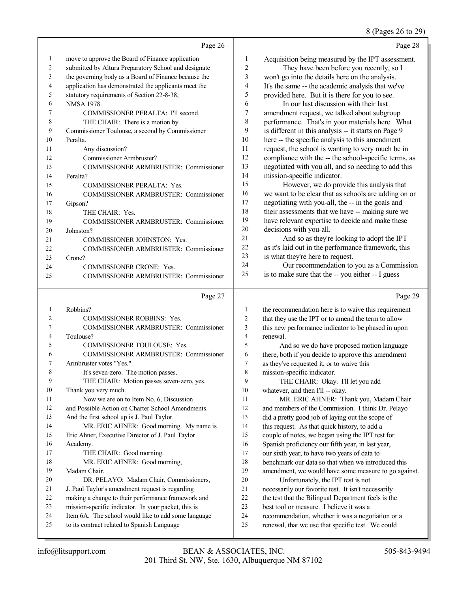#### 8 (Pages 26 to 29)

|    | Page 26                                              |                | Page 28                                              |
|----|------------------------------------------------------|----------------|------------------------------------------------------|
| 1  | move to approve the Board of Finance application     | 1              | Acquisition being measured by the IPT assessment.    |
| 2  | submitted by Altura Preparatory School and designate | $\overline{2}$ | They have been before you recently, so I             |
| 3  | the governing body as a Board of Finance because the | $\mathfrak{Z}$ | won't go into the details here on the analysis.      |
| 4  | application has demonstrated the applicants meet the | 4              | It's the same -- the academic analysis that we've    |
| 5  | statutory requirements of Section 22-8-38,           | 5              | provided here. But it is there for you to see.       |
| 6  | <b>NMSA 1978.</b>                                    | 6              | In our last discussion with their last               |
| 7  | COMMISSIONER PERALTA: I'll second.                   | 7              | amendment request, we talked about subgroup          |
| 8  | THE CHAIR: There is a motion by                      | 8              | performance. That's in your materials here. What     |
| 9  | Commissioner Toulouse, a second by Commissioner      | 9              | is different in this analysis -- it starts on Page 9 |
| 10 | Peralta.                                             | 10             | here -- the specific analysis to this amendment      |
| 11 | Any discussion?                                      | 11             | request, the school is wanting to very much be in    |
| 12 | Commissioner Armbruster?                             | 12             | compliance with the -- the school-specific terms, as |
| 13 | <b>COMMISSIONER ARMBRUSTER: Commissioner</b>         | 13             | negotiated with you all, and so needing to add this  |
| 14 | Peralta?                                             | 14             | mission-specific indicator.                          |
| 15 | <b>COMMISSIONER PERALTA: Yes.</b>                    | 15             | However, we do provide this analysis that            |
| 16 | COMMISSIONER ARMBRUSTER: Commissioner                | 16             | we want to be clear that as schools are adding on or |
| 17 | Gipson?                                              | 17             | negotiating with you-all, the -- in the goals and    |
| 18 | THE CHAIR: Yes.                                      | 18             | their assessments that we have -- making sure we     |
| 19 | COMMISSIONER ARMBRUSTER: Commissioner                | 19             | have relevant expertise to decide and make these     |
| 20 | Johnston?                                            | 20             | decisions with you-all.                              |
| 21 | <b>COMMISSIONER JOHNSTON: Yes.</b>                   | 21             | And so as they're looking to adopt the IPT           |
| 22 | COMMISSIONER ARMBRUSTER: Commissioner                | 22             | as it's laid out in the performance framework, this  |
| 23 | Crone?                                               | 23             | is what they're here to request.                     |
| 24 | <b>COMMISSIONER CRONE: Yes.</b>                      | 24             | Our recommendation to you as a Commission            |
| 25 | <b>COMMISSIONER ARMBRUSTER: Commissioner</b>         | 25             | is to make sure that the -- you either -- I guess    |
|    | Page 27                                              |                | Page 29                                              |
|    | Robbins?                                             |                | the recommendation here is to waive this requirement |

| 1               | Robbins?                                            |
|-----------------|-----------------------------------------------------|
| 2               | <b>COMMISSIONER ROBBINS: Yes.</b>                   |
| 3               | COMMISSIONER ARMBRUSTER: Commissioner               |
| 4               | Toulouse?                                           |
| 5               | <b>COMMISSIONER TOULOUSE: Yes.</b>                  |
| 6               | COMMISSIONER ARMBRUSTER: Commissioner               |
| 7               | Armbruster votes "Yes."                             |
| 8               | It's seven-zero. The motion passes.                 |
| 9               | THE CHAIR: Motion passes seven-zero, yes.           |
| 10              | Thank you very much.                                |
| 11              | Now we are on to Item No. 6, Discussion             |
| 12 <sub>1</sub> | and Possible Action on Charter School Amendments.   |
| 13              | And the first school up is J. Paul Taylor.          |
| 14              | MR. ERIC AHNER: Good morning. My name is            |
| 15              | Eric Ahner, Executive Director of J. Paul Taylor    |
| 16              | Academy.                                            |
| 17              | THE CHAIR: Good morning.                            |
| 18              | MR. ERIC AHNER: Good morning,                       |
| 19              | Madam Chair.                                        |
| 20              | DR. PELAYO: Madam Chair, Commissioners,             |
| 21              | J. Paul Taylor's amendment request is regarding     |
| 22              | making a change to their performance framework and  |
| 23              | mission-specific indicator. In your packet, this is |
| 24              | Item 6A. The school would like to add some language |
| 25              | to its contract related to Spanish Language         |
|                 |                                                     |

| -1             | the recommendation here is to waive this requirement |
|----------------|------------------------------------------------------|
| 2              | that they use the IPT or to amend the term to allow  |
| 3              | this new performance indicator to be phased in upon  |
| $\overline{4}$ | renewal.                                             |

 And so we do have proposed motion language there, both if you decide to approve this amendment as they've requested it, or to waive this mission-specific indicator.

THE CHAIR: Okay. I'll let you add

10 whatever, and then I'll -- okay.

 MR. ERIC AHNER: Thank you, Madam Chair and members of the Commission. I think Dr. Pelayo did a pretty good job of laying out the scope of this request. As that quick history, to add a couple of notes, we began using the IPT test for Spanish proficiency our fifth year, in last year, our sixth year, to have two years of data to benchmark our data so that when we introduced this amendment, we would have some measure to go against. Unfortunately, the IPT test is not necessarily our favorite test. It isn't necessarily the test that the Bilingual Department feels is the best tool or measure. I believe it was a

- recommendation, whether it was a negotiation or a
- renewal, that we use that specific test. We could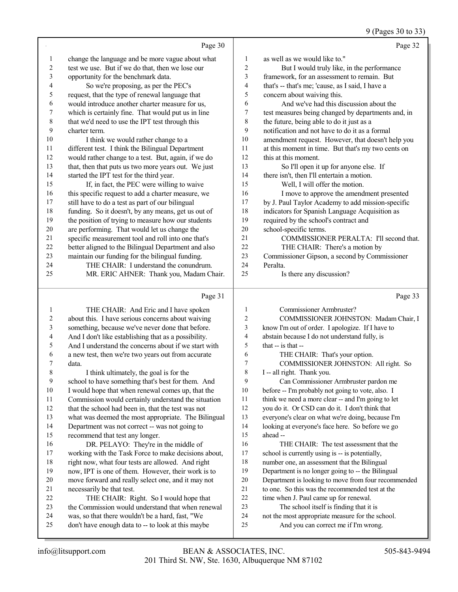9 (Pages 30 to 33)

|                | Page 30                                             |                | Page 32                                            |
|----------------|-----------------------------------------------------|----------------|----------------------------------------------------|
| 1              | change the language and be more vague about what    | 1              | as well as we would like to."                      |
| $\overline{c}$ | test we use. But if we do that, then we lose our    | 2              | But I would truly like, in the performance         |
| 3              | opportunity for the benchmark data.                 | 3              | framework, for an assessment to remain. But        |
| 4              | So we're proposing, as per the PEC's                | 4              | that's -- that's me; 'cause, as I said, I have a   |
| 5              | request, that the type of renewal language that     | 5              | concern about waiving this.                        |
| 6              | would introduce another charter measure for us,     | 6              | And we've had this discussion about the            |
| 7              | which is certainly fine. That would put us in line  | 7              | test measures being changed by departments and, in |
| $\,8\,$        | that we'd need to use the IPT test through this     | 8              | the future, being able to do it just as a          |
| 9              | charter term.                                       | 9              | notification and not have to do it as a formal     |
| 10             | I think we would rather change to a                 | 10             | amendment request. However, that doesn't help you  |
| 11             | different test. I think the Bilingual Department    | 11             | at this moment in time. But that's my two cents on |
| 12             | would rather change to a test. But, again, if we do | 12             | this at this moment.                               |
| 13             | that, then that puts us two more years out. We just | 13             | So I'll open it up for anyone else. If             |
| 14             | started the IPT test for the third year.            | 14             | there isn't, then I'll entertain a motion.         |
| 15             | If, in fact, the PEC were willing to waive          | 15             | Well, I will offer the motion.                     |
| 16             | this specific request to add a charter measure, we  | 16             | I move to approve the amendment presented          |
| 17             | still have to do a test as part of our bilingual    | 17             | by J. Paul Taylor Academy to add mission-specific  |
| 18             | funding. So it doesn't, by any means, get us out of | 18             | indicators for Spanish Language Acquisition as     |
| 19             | the position of trying to measure how our students  | 19             | required by the school's contract and              |
| 20             | are performing. That would let us change the        | 20             | school-specific terms.                             |
| 21             | specific measurement tool and roll into one that's  | 21             | COMMISSIONER PERALTA: I'll second that.            |
| 22             | better aligned to the Bilingual Department and also | 22             | THE CHAIR: There's a motion by                     |
| 23             | maintain our funding for the bilingual funding.     | 23             | Commissioner Gipson, a second by Commissioner      |
| 24             | THE CHAIR: I understand the conundrum.              | 24             | Peralta.                                           |
| 25             | MR. ERIC AHNER: Thank you, Madam Chair.             | 25             | Is there any discussion?                           |
|                |                                                     |                |                                                    |
|                | Page 31                                             |                | Page 33                                            |
| 1              | THE CHAIR: And Eric and I have spoken               | 1              | Commissioner Armbruster?                           |
| $\overline{c}$ | about this. I have serious concerns about waiving   | $\overline{2}$ | COMMISSIONER JOHNSTON: Madam Chair, I              |

| 3              | something, because we've never done that before.     | 3  | know I'm out of order. I apologize. If I have to    |
|----------------|------------------------------------------------------|----|-----------------------------------------------------|
| $\overline{4}$ | And I don't like establishing that as a possibility. | 4  | abstain because I do not understand fully, is       |
| 5              | And I understand the concerns about if we start with | 5  | that $-$ is that $-$                                |
| 6              | a new test, then we're two years out from accurate   | 6  | THE CHAIR: That's your option.                      |
|                | data.                                                | 7  | COMMISSIONER JOHNSTON: All right. So                |
| 8              | I think ultimately, the goal is for the              | 8  | I -- all right. Thank you.                          |
| 9              | school to have something that's best for them. And   | 9  | Can Commissioner Armbruster pardon me               |
| 10             | I would hope that when renewal comes up, that the    | 10 | before -- I'm probably not going to vote, also. I   |
| 11             | Commission would certainly understand the situation  | 11 | think we need a more clear -- and I'm going to let  |
| 12             | that the school had been in, that the test was not   | 12 | you do it. Or CSD can do it. I don't think that     |
| 13             | what was deemed the most appropriate. The Bilingual  | 13 | everyone's clear on what we're doing, because I'm   |
| 14             | Department was not correct -- was not going to       | 14 | looking at everyone's face here. So before we go    |
| 15             | recommend that test any longer.                      | 15 | ahead --                                            |
| 16             | DR. PELAYO: They're in the middle of                 | 16 | THE CHAIR: The test assessment that the             |
| 17             | working with the Task Force to make decisions about, | 17 | school is currently using is -- is potentially,     |
| 18             | right now, what four tests are allowed. And right    | 18 | number one, an assessment that the Bilingual        |
| 19             | now, IPT is one of them. However, their work is to   | 19 | Department is no longer going to -- the Bilingual   |
| 20             | move forward and really select one, and it may not   | 20 | Department is looking to move from four recommended |
| 21             | necessarily be that test.                            | 21 | to one. So this was the recommended test at the     |
| 22             | THE CHAIR: Right. So I would hope that               | 22 | time when J. Paul came up for renewal.              |
| 23             | the Commission would understand that when renewal    | 23 | The school itself is finding that it is             |
| 24             | was, so that there wouldn't be a hard, fast, "We     | 24 | not the most appropriate measure for the school.    |
| 25             | don't have enough data to -- to look at this maybe   | 25 | And you can correct me if I'm wrong.                |
|                |                                                      |    |                                                     |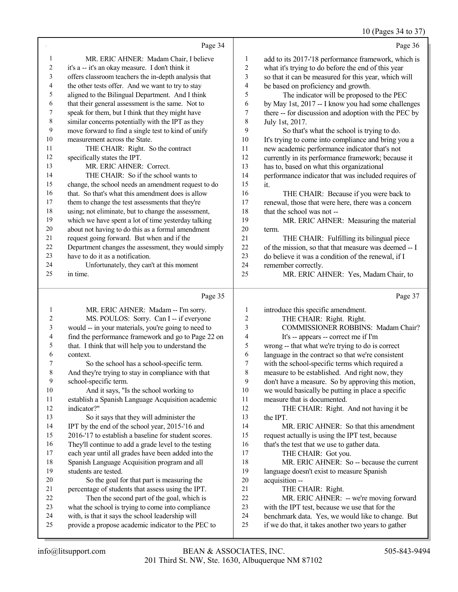#### $10 \text{ (Dogon 24)}$

|                  |                                                      |                          | $10$ (Pages $34$ to $3/$                             |
|------------------|------------------------------------------------------|--------------------------|------------------------------------------------------|
|                  | Page 34                                              |                          | Page 36                                              |
| 1                | MR. ERIC AHNER: Madam Chair, I believe               | $\mathbf{1}$             | add to its 2017-'18 performance framework, which is  |
| $\overline{c}$   | it's a -- it's an okay measure. I don't think it     | $\boldsymbol{2}$         | what it's trying to do before the end of this year   |
| $\mathfrak{Z}$   | offers classroom teachers the in-depth analysis that | $\mathfrak{Z}$           | so that it can be measured for this year, which will |
| 4                | the other tests offer. And we want to try to stay    | $\overline{\mathcal{L}}$ | be based on proficiency and growth.                  |
| 5                | aligned to the Bilingual Department. And I think     | 5                        | The indicator will be proposed to the PEC            |
| 6                | that their general assessment is the same. Not to    | 6                        | by May 1st, 2017 -- I know you had some challenges   |
| 7                | speak for them, but I think that they might have     | $\boldsymbol{7}$         | there -- for discussion and adoption with the PEC by |
| $\,$ $\,$        | similar concerns potentially with the IPT as they    | $\,$ 8 $\,$              | July 1st, 2017.                                      |
| $\boldsymbol{9}$ | move forward to find a single test to kind of unify  | 9                        | So that's what the school is trying to do.           |
| $10\,$           | measurement across the State.                        | $10\,$                   | It's trying to come into compliance and bring you a  |
| 11               | THE CHAIR: Right. So the contract                    | 11                       | new academic performance indicator that's not        |
| 12               | specifically states the IPT.                         | 12                       | currently in its performance framework; because it   |
| 13               | MR. ERIC AHNER: Correct.                             | 13                       | has to, based on what this organizational            |
| 14               | THE CHAIR: So if the school wants to                 | 14                       | performance indicator that was included requires of  |
| 15               | change, the school needs an amendment request to do  | 15                       | it.                                                  |
| 16               | that. So that's what this amendment does is allow    | 16                       | THE CHAIR: Because if you were back to               |
| 17               | them to change the test assessments that they're     | 17                       | renewal, those that were here, there was a concern   |
| 18               | using; not eliminate, but to change the assessment,  | 18                       | that the school was not-                             |
| 19               | which we have spent a lot of time yesterday talking  | 19                       | MR. ERIC AHNER: Measuring the material               |
| $20\,$           | about not having to do this as a formal amendment    | $20\,$                   | term.                                                |
| $21\,$           | request going forward. But when and if the           | 21                       | THE CHAIR: Fulfilling its bilingual piece            |
| $22\,$           | Department changes the assessment, they would simply | 22                       | of the mission, so that that measure was deemed -- I |
| 23               | have to do it as a notification.                     | 23                       | do believe it was a condition of the renewal, if I   |
| 24               | Unfortunately, they can't at this moment             | 24                       | remember correctly.                                  |
| 25               | in time.                                             | 25                       | MR. ERIC AHNER: Yes, Madam Chair, to                 |
|                  |                                                      |                          |                                                      |
|                  | Page 35                                              |                          | Page 37                                              |
| $\mathbf{1}$     | MR. ERIC AHNER: Madam -- I'm sorry.                  | $\mathbf{1}$             | introduce this specific amendment.                   |
| $\sqrt{2}$       | MS. POULOS: Sorry. Can I -- if everyone              | $\overline{2}$           | THE CHAIR: Right. Right.                             |
| 3                | would -- in your materials, you're going to need to  | $\mathfrak{Z}$           | COMMISSIONER ROBBINS: Madam Chair?                   |
| 4                | find the performance framework and go to Page 22 on  | $\overline{4}$           | It's -- appears -- correct me if I'm                 |
| 5                | that. I think that will help you to understand the   | 5                        | wrong -- that what we're trying to do is correct     |
| 6                | context.                                             | 6                        | language in the contract so that we're consistent    |
| 7                | So the school has a school-specific term.            | $\overline{7}$           | with the school-specific terms which required a      |
| 8                | And they're trying to stay in compliance with that   | $\,$ 8 $\,$              | measure to be established. And right now, they       |
| 9                | school-specific term.                                | 9                        | don't have a measure. So by approving this motion,   |
| 10               | And it says, "Is the school working to               | $10\,$                   | we would basically be putting in place a specific    |
| 11               | establish a Spanish Language Acquisition academic    | 11                       | measure that is documented.                          |
| 12               | indicator?"                                          | 12                       | THE CHAIR: Right. And not having it be               |
| 13               | So it says that they will administer the             | 13                       | the IPT.                                             |
| 14               | IPT by the end of the school year, 2015-'16 and      | 14                       | MR. ERIC AHNER: So that this amendment               |

 2016-'17 to establish a baseline for student scores. 16 They'll continue to add a grade level to the testing<br>17 each year until all grades have been added into the

17 each year until all grades have been added into the 18 Spanish Language Acquisition program and all 18 Spanish Language Acquisition program and all<br>19 students are tested. students are tested.

- 20 So the goal for that part is measuring the<br>21 percentage of students that assess using the IPT
- 21 percentage of students that assess using the IPT.<br>22 Then the second part of the goal, which is 22 Then the second part of the goal, which is<br>23 what the school is trying to come into compliance
- 23 what the school is trying to come into compliance<br>24 with is that it says the school leadership will
- 24 with, is that it says the school leadership will<br>25 provide a propose academic indicator to the F provide a propose academic indicator to the PEC to
- MR. ERIC AHNER: So that this amendment 15 request actually is using the IPT test, because<br>16 that's the test that we use to gather data.
- 16 that's the test that we use to gather data.<br>17 THE CHAIR: Got vou.
- 17 THE CHAIR: Got you.<br>18 MR. ERIC AHNER: So
- 18 MR. ERIC AHNER: So -- because the current<br>19 Ianguage doesn't exist to measure Spanish language doesn't exist to measure Spanish
- 20 acquisition --<br>21 THE C
- 21 THE CHAIR: Right.<br>22 MR. ERIC AHNER:
- 22 MR. ERIC AHNER: -- we're moving forward<br>23 with the IPT test, because we use that for the
- 23 with the IPT test, because we use that for the<br>24 benchmark data. Yes, we would like to change
- 24 benchmark data. Yes, we would like to change. But 25 if we do that, it takes another two vears to gather
	- if we do that, it takes another two years to gather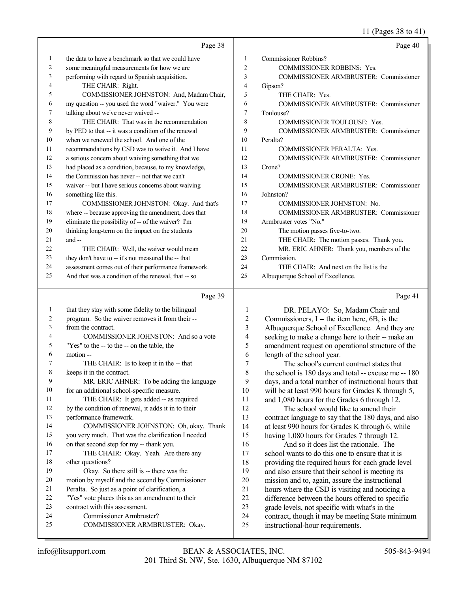### 11 (Pages 38 to 41)

|                 | Page 38                                                                                            |                          | Page 40                                                                                                |
|-----------------|----------------------------------------------------------------------------------------------------|--------------------------|--------------------------------------------------------------------------------------------------------|
| 1               | the data to have a benchmark so that we could have                                                 | 1                        | Commissioner Robbins?                                                                                  |
| $\overline{c}$  | some meaningful measurements for how we are                                                        | $\overline{2}$           | COMMISSIONER ROBBINS: Yes.                                                                             |
| 3               | performing with regard to Spanish acquisition.                                                     | 3                        | COMMISSIONER ARMBRUSTER: Commissioner                                                                  |
| 4               | THE CHAIR: Right.                                                                                  | 4                        | Gipson?                                                                                                |
| 5               | COMMISSIONER JOHNSTON: And, Madam Chair,                                                           | 5                        | THE CHAIR: Yes.                                                                                        |
| 6               | my question -- you used the word "waiver." You were                                                | 6                        | COMMISSIONER ARMBRUSTER: Commissioner                                                                  |
| 7               | talking about we've never waived --                                                                | 7                        | Toulouse?                                                                                              |
| 8               | THE CHAIR: That was in the recommendation                                                          | 8                        | COMMISSIONER TOULOUSE: Yes.                                                                            |
| 9               | by PED to that -- it was a condition of the renewal                                                | 9                        | COMMISSIONER ARMBRUSTER: Commissioner                                                                  |
| 10              | when we renewed the school. And one of the                                                         | 10                       | Peralta?                                                                                               |
| $11\,$          | recommendations by CSD was to waive it. And I have                                                 | 11                       | COMMISSIONER PERALTA: Yes.                                                                             |
| $12\,$          | a serious concern about waiving something that we                                                  | 12                       | COMMISSIONER ARMBRUSTER: Commissioner                                                                  |
| 13              | had placed as a condition, because, to my knowledge,                                               | 13                       | Crone?                                                                                                 |
| 14              | the Commission has never -- not that we can't                                                      | 14                       | <b>COMMISSIONER CRONE: Yes.</b>                                                                        |
| 15              | waiver -- but I have serious concerns about waiving                                                | 15                       | <b>COMMISSIONER ARMBRUSTER: Commissioner</b>                                                           |
| 16              | something like this.                                                                               | 16                       | Johnston?                                                                                              |
| 17              | COMMISSIONER JOHNSTON: Okay. And that's                                                            | 17                       | COMMISSIONER JOHNSTON: No.                                                                             |
| 18              | where -- because approving the amendment, does that                                                | 18                       | COMMISSIONER ARMBRUSTER: Commissioner                                                                  |
| 19              | eliminate the possibility of -- of the waiver? I'm                                                 | 19                       | Armbruster votes "No."                                                                                 |
| 20              | thinking long-term on the impact on the students                                                   | 20                       | The motion passes five-to-two.                                                                         |
| 21              | and --                                                                                             | 21                       | THE CHAIR: The motion passes. Thank you.                                                               |
| 22              | THE CHAIR: Well, the waiver would mean                                                             | 22                       | MR. ERIC AHNER: Thank you, members of the                                                              |
| 23              | they don't have to -- it's not measured the -- that                                                | 23                       | Commission.                                                                                            |
| 24              | assessment comes out of their performance framework.                                               | 24                       | THE CHAIR: And next on the list is the                                                                 |
| 25              | And that was a condition of the renewal, that -- so                                                | 25                       | Albuquerque School of Excellence.                                                                      |
|                 |                                                                                                    |                          |                                                                                                        |
|                 | Page 39                                                                                            |                          | Page 41                                                                                                |
|                 |                                                                                                    |                          |                                                                                                        |
| 1               | that they stay with some fidelity to the bilingual                                                 | 1                        | DR. PELAYO: So, Madam Chair and                                                                        |
| $\sqrt{2}$<br>3 | program. So the waiver removes it from their --<br>from the contract.                              | $\boldsymbol{2}$<br>3    | Commissioners, I -- the item here, 6B, is the                                                          |
| 4               | COMMISSIONER JOHNSTON: And so a vote                                                               | $\overline{\mathcal{L}}$ | Albuquerque School of Excellence. And they are                                                         |
| 5               | "Yes" to the -- to the -- on the table, the                                                        | 5                        | seeking to make a change here to their -- make an<br>amendment request on operational structure of the |
| 6               | motion --                                                                                          | 6                        | length of the school year.                                                                             |
| 7               | THE CHAIR: Is to keep it in the -- that                                                            | $\tau$                   | The school's current contract states that                                                              |
| 8               | keeps it in the contract.                                                                          | 8                        | the school is $180$ days and total -- excuse me $-180$                                                 |
| $\mathbf{9}$    | MR. ERIC AHNER: To be adding the language                                                          | 9                        | days, and a total number of instructional hours that                                                   |
| $10\,$          | for an additional school-specific measure.                                                         | 10                       | will be at least 990 hours for Grades K through 5,                                                     |
| 11              | THE CHAIR: It gets added -- as required                                                            | 11                       | and 1,080 hours for the Grades 6 through 12.                                                           |
| 12              | by the condition of renewal, it adds it in to their                                                | 12                       | The school would like to amend their                                                                   |
| 13              | performance framework.                                                                             | 13                       | contract language to say that the 180 days, and also                                                   |
| 14              | COMMISSIONER JOHNSTON: Oh, okay. Thank                                                             | 14                       | at least 990 hours for Grades K through 6, while                                                       |
| 15              | you very much. That was the clarification I needed                                                 | 15                       | having 1,080 hours for Grades 7 through 12.                                                            |
| 16              | on that second step for my -- thank you.                                                           | 16                       | And so it does list the rationale. The                                                                 |
| $17$            | THE CHAIR: Okay. Yeah. Are there any                                                               | 17                       | school wants to do this one to ensure that it is                                                       |
| $18\,$          | other questions?                                                                                   | 18                       | providing the required hours for each grade level                                                      |
| 19<br>$20\,$    | Okay. So there still is -- there was the                                                           | 19                       | and also ensure that their school is meeting its                                                       |
| 21              | motion by myself and the second by Commissioner<br>Peralta. So just as a point of clarification, a | $20\,$<br>21             | mission and to, again, assure the instructional                                                        |
| $22\,$          | "Yes" vote places this as an amendment to their                                                    | $22\,$                   | hours where the CSD is visiting and noticing a<br>difference between the hours offered to specific     |
| 23              | contract with this assessment.                                                                     | 23                       | grade levels, not specific with what's in the                                                          |
| 24<br>25        | Commissioner Armbruster?<br>COMMISSIONER ARMBRUSTER: Okay.                                         | 24<br>25                 | contract, though it may be meeting State minimum<br>instructional-hour requirements.                   |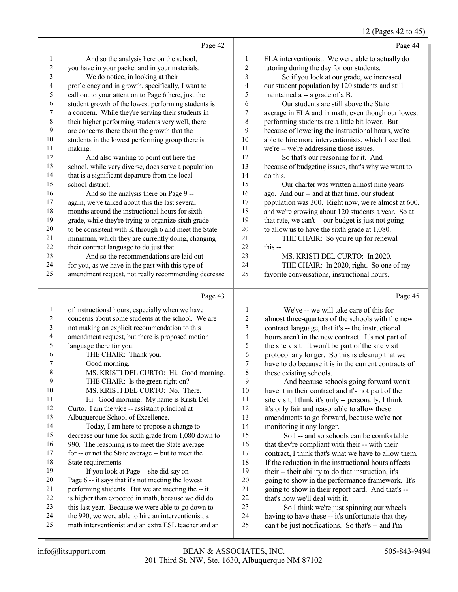## 12 (Pages 42 to 45)

|                              |                                                          |                          | $12$ (1 ages +2 to +3                                                                                   |
|------------------------------|----------------------------------------------------------|--------------------------|---------------------------------------------------------------------------------------------------------|
|                              | Page 42                                                  |                          | Page 44                                                                                                 |
| 1                            | And so the analysis here on the school,                  | $\mathbf{1}$             | ELA interventionist. We were able to actually do                                                        |
| $\boldsymbol{2}$             | you have in your packet and in your materials.           | $\mathbf{2}$             | tutoring during the day for our students.                                                               |
| 3                            | We do notice, in looking at their                        | 3                        | So if you look at our grade, we increased                                                               |
| 4                            | proficiency and in growth, specifically, I want to       | 4                        | our student population by 120 students and still                                                        |
| 5                            | call out to your attention to Page 6 here, just the      | 5                        | maintained a -- a grade of a B.                                                                         |
| 6                            | student growth of the lowest performing students is      | 6                        | Our students are still above the State                                                                  |
| $\boldsymbol{7}$             | a concern. While they're serving their students in       | $\boldsymbol{7}$         | average in ELA and in math, even though our lowest                                                      |
| $\,$ $\,$                    | their higher performing students very well, there        | $\,$ $\,$                | performing students are a little bit lower. But                                                         |
| 9                            | are concerns there about the growth that the             | 9                        | because of lowering the instructional hours, we're                                                      |
| $10\,$                       | students in the lowest performing group there is         | 10                       | able to hire more interventionists, which I see that                                                    |
| 11                           | making.                                                  | 11                       | we're -- we're addressing those issues.                                                                 |
| 12                           | And also wanting to point out here the                   | 12                       | So that's our reasoning for it. And                                                                     |
| 13                           | school, while very diverse, does serve a population      | 13                       | because of budgeting issues, that's why we want to                                                      |
| 14                           | that is a significant departure from the local           | 14                       | do this.                                                                                                |
| 15                           | school district.                                         | 15                       | Our charter was written almost nine years                                                               |
| 16                           | And so the analysis there on Page 9 --                   | 16                       | ago. And our -- and at that time, our student                                                           |
| 17                           | again, we've talked about this the last several          | 17                       | population was 300. Right now, we're almost at 600,                                                     |
| 18                           | months around the instructional hours for sixth          | 18                       | and we're growing about 120 students a year. So at                                                      |
| 19                           | grade, while they're trying to organize sixth grade      | 19                       | that rate, we can't -- our budget is just not going                                                     |
| $20\,$                       | to be consistent with K through 6 and meet the State     | $20\,$                   | to allow us to have the sixth grade at 1,080.                                                           |
| 21                           | minimum, which they are currently doing, changing        | 21                       | THE CHAIR: So you're up for renewal                                                                     |
| $22\,$                       | their contract language to do just that.                 | 22                       | this --                                                                                                 |
| 23                           | And so the recommendations are laid out                  | 23                       | MS. KRISTI DEL CURTO: In 2020.                                                                          |
| 24                           | for you, as we have in the past with this type of        | 24                       | THE CHAIR: In 2020, right. So one of my                                                                 |
| 25                           | amendment request, not really recommending decrease      | 25                       | favorite conversations, instructional hours.                                                            |
|                              | Page 43                                                  |                          | Page 45                                                                                                 |
|                              |                                                          |                          |                                                                                                         |
| $\mathbf{1}$                 | of instructional hours, especially when we have          | $\mathbf{1}$             | We've -- we will take care of this for                                                                  |
| $\sqrt{2}$                   | concerns about some students at the school. We are       | $\overline{\mathbf{c}}$  | almost three-quarters of the schools with the new                                                       |
| 3                            | not making an explicit recommendation to this            | 3                        | contract language, that it's -- the instructional                                                       |
| $\overline{\mathbf{4}}$<br>5 | amendment request, but there is proposed motion          | $\overline{\mathcal{L}}$ | hours aren't in the new contract. It's not part of                                                      |
| 6                            | language there for you.<br>THE CHAIR: Thank you.         | 5<br>6                   | the site visit. It won't be part of the site visit                                                      |
| 7                            |                                                          | $\overline{7}$           | protocol any longer. So this is cleanup that we<br>have to do because it is in the current contracts of |
| $\,$ 8 $\,$                  | Good morning.<br>MS. KRISTI DEL CURTO: Hi. Good morning. | 8                        | these existing schools.                                                                                 |
| 9                            | THE CHAIR: Is the green right on?                        | 9                        | And because schools going forward won't                                                                 |
| 10                           | MS. KRISTI DEL CURTO: No. There.                         | 10                       | have it in their contract and it's not part of the                                                      |
| 11                           | Hi. Good morning. My name is Kristi Del                  | 11                       | site visit, I think it's only -- personally, I think                                                    |
| 12                           | Curto. I am the vice -- assistant principal at           | 12                       | it's only fair and reasonable to allow these                                                            |
| 13                           | Albuquerque School of Excellence.                        | 13                       | amendments to go forward, because we're not                                                             |
| 14                           | Today, I am here to propose a change to                  | 14                       | monitoring it any longer.                                                                               |
| 15                           | decrease our time for sixth grade from 1,080 down to     | 15                       | So I -- and so schools can be comfortable                                                               |
| 16                           | 990. The reasoning is to meet the State average          | 16                       | that they're compliant with their -- with their                                                         |
| 17                           | for -- or not the State average -- but to meet the       | 17                       | contract, I think that's what we have to allow them.                                                    |
| 18                           | State requirements.                                      | 18                       | If the reduction in the instructional hours affects                                                     |
| 19                           | If you look at Page -- she did say on                    | 19                       | their -- their ability to do that instruction, it's                                                     |
| 20                           | Page 6 -- it says that it's not meeting the lowest       | 20                       | going to show in the performance framework. It's                                                        |
| 21                           | performing students. But we are meeting the -- it        | 21                       | going to show in their report card. And that's --                                                       |
| 22                           | is higher than expected in math, because we did do       | 22                       | that's how we'll deal with it.                                                                          |
|                              |                                                          |                          |                                                                                                         |
| 23                           | this last year. Because we were able to go down to       | 23                       | So I think we're just spinning our wheels                                                               |

23 So I think we're just spinning our wheels<br>24 having to have these -- it's unfortunate that they having to have these -- it's unfortunate that they can't be just notifications. So that's -- and I'm

24 the 990, we were able to hire an interventionist, a<br>25 math interventionist and an extra ESL teacher and

math interventionist and an extra ESL teacher and an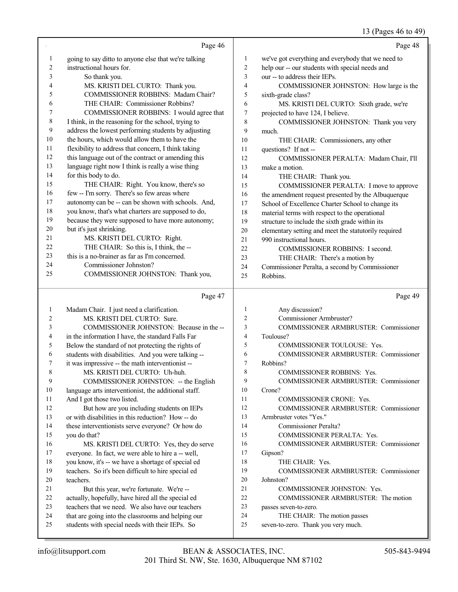## 13 (Pages 46 to 49)

| 1<br>we've got everything and everybody that we need to<br>going to say ditto to anyone else that we're talking<br>$\mathbf{1}$<br>$\overline{2}$<br>instructional hours for.<br>$\overline{c}$<br>help our -- our students with special needs and<br>3<br>3<br>our -- to address their IEPs.<br>So thank you.<br>MS. KRISTI DEL CURTO: Thank you.<br>$\overline{4}$<br>4<br>COMMISSIONER JOHNSTON: How large is the<br>COMMISSIONER ROBBINS: Madam Chair?<br>5<br>5<br>sixth-grade class?<br>THE CHAIR: Commissioner Robbins?<br>6<br>6<br>MS. KRISTI DEL CURTO: Sixth grade, we're<br>COMMISSIONER ROBBINS: I would agree that<br>7<br>$\tau$<br>projected to have 124, I believe.<br>8<br>I think, in the reasoning for the school, trying to<br>8<br>COMMISSIONER JOHNSTON: Thank you very<br>9<br>address the lowest performing students by adjusting<br>9<br>much.<br>the hours, which would allow them to have the<br>10<br>10<br>THE CHAIR: Commissioners, any other<br>flexibility to address that concern, I think taking<br>11<br>11<br>questions? If not --<br>this language out of the contract or amending this<br>12<br>12<br>COMMISSIONER PERALTA: Madam Chair, I'll<br>language right now I think is really a wise thing<br>13<br>13<br>make a motion.<br>for this body to do.<br>14<br>14<br>THE CHAIR: Thank you.<br>15<br>THE CHAIR: Right. You know, there's so<br>15<br>COMMISSIONER PERALTA: I move to approve<br>few -- I'm sorry. There's so few areas where<br>16<br>16<br>the amendment request presented by the Albuquerque<br>17<br>autonomy can be -- can be shown with schools. And,<br>17<br>School of Excellence Charter School to change its<br>$18\,$<br>you know, that's what charters are supposed to do,<br>18<br>material terms with respect to the operational<br>19<br>because they were supposed to have more autonomy;<br>19<br>structure to include the sixth grade within its<br>but it's just shrinking.<br>20<br>20<br>elementary setting and meet the statutorily required<br>MS. KRISTI DEL CURTO: Right.<br>21<br>21<br>990 instructional hours.<br>THE CHAIR: So this is, I think, the --<br>22<br>22<br>COMMISSIONER ROBBINS: I second.<br>this is a no-brainer as far as I'm concerned.<br>23<br>23<br>THE CHAIR: There's a motion by<br>Commissioner Johnston?<br>24<br>24<br>Commissioner Peralta, a second by Commissioner<br>25<br>COMMISSIONER JOHNSTON: Thank you,<br>25<br>Robbins.<br>Page 47<br>Page 49<br>Any discussion?<br>Madam Chair. I just need a clarification.<br>$\mathbf{1}$<br>1<br>Commissioner Armbruster?<br>MS. KRISTI DEL CURTO: Sure.<br>$\overline{2}$<br>2<br>COMMISSIONER JOHNSTON: Because in the --<br>3<br>COMMISSIONER ARMBRUSTER: Commissioner<br>3<br>4<br>in the information I have, the standard Falls Far<br>$\overline{4}$<br>Toulouse?<br>Below the standard of not protecting the rights of<br>5<br>COMMISSIONER TOULOUSE: Yes.<br>5<br>students with disabilities. And you were talking --<br>COMMISSIONER ARMBRUSTER: Commissioner<br>6<br>6<br>7<br>7<br>it was impressive -- the math interventionist --<br>Robbins?<br>MS. KRISTI DEL CURTO: Uh-huh.<br>8<br>$\,$ 8 $\,$<br>COMMISSIONER ROBBINS: Yes.<br>9<br>9<br>COMMISSIONER ARMBRUSTER: Commissioner<br>COMMISSIONER JOHNSTON: -- the English<br>10<br>10<br>language arts interventionist, the additional staff.<br>Crone?<br>11<br>And I got those two listed.<br>COMMISSIONER CRONE: Yes.<br>11<br>12<br>12<br>But how are you including students on IEPs<br>COMMISSIONER ARMBRUSTER: Commissioner<br>13<br>13<br>or with disabilities in this reduction? How -- do<br>Armbruster votes "Yes."<br>14<br>14<br>Commissioner Peralta?<br>these interventionists serve everyone? Or how do<br>15<br>COMMISSIONER PERALTA: Yes.<br>15<br>you do that?<br>16<br>16<br>COMMISSIONER ARMBRUSTER: Commissioner<br>MS. KRISTI DEL CURTO: Yes, they do serve<br>17<br>17<br>everyone. In fact, we were able to hire a -- well,<br>Gipson?<br>18<br>18<br>you know, it's -- we have a shortage of special ed<br>THE CHAIR: Yes.<br>19<br>19<br>teachers. So it's been difficult to hire special ed<br>COMMISSIONER ARMBRUSTER: Commissioner<br>20<br>20<br>teachers.<br>Johnston?<br>21<br>21<br>But this year, we're fortunate. We're --<br>COMMISSIONER JOHNSTON: Yes.<br>22<br>22<br>actually, hopefully, have hired all the special ed<br>COMMISSIONER ARMBRUSTER: The motion<br>23<br>23<br>teachers that we need. We also have our teachers<br>passes seven-to-zero.<br>24<br>24<br>that are going into the classrooms and helping our<br>THE CHAIR: The motion passes<br>25<br>25<br>students with special needs with their IEPs. So<br>seven-to-zero. Thank you very much. | Page 46 | Page 48 |
|-------------------------------------------------------------------------------------------------------------------------------------------------------------------------------------------------------------------------------------------------------------------------------------------------------------------------------------------------------------------------------------------------------------------------------------------------------------------------------------------------------------------------------------------------------------------------------------------------------------------------------------------------------------------------------------------------------------------------------------------------------------------------------------------------------------------------------------------------------------------------------------------------------------------------------------------------------------------------------------------------------------------------------------------------------------------------------------------------------------------------------------------------------------------------------------------------------------------------------------------------------------------------------------------------------------------------------------------------------------------------------------------------------------------------------------------------------------------------------------------------------------------------------------------------------------------------------------------------------------------------------------------------------------------------------------------------------------------------------------------------------------------------------------------------------------------------------------------------------------------------------------------------------------------------------------------------------------------------------------------------------------------------------------------------------------------------------------------------------------------------------------------------------------------------------------------------------------------------------------------------------------------------------------------------------------------------------------------------------------------------------------------------------------------------------------------------------------------------------------------------------------------------------------------------------------------------------------------------------------------------------------------------------------------------------------------------------------------------------------------------------------------------------------------------------------------------------------------------------------------------------------------------------------------------------------------------------------------------------------------------------------------------------------------------------------------------------------------------------------------------------------------------------------------------------------------------------------------------------------------------------------------------------------------------------------------------------------------------------------------------------------------------------------------------------------------------------------------------------------------------------------------------------------------------------------------------------------------------------------------------------------------------------------------------------------------------------------------------------------------------------------------------------------------------------------------------------------------------------------------------------------------------------------------------------------------------------------------------------------------------------------------------------------------------------------------------------------------------------------------------------------------------------------------------------------------------------------------------------------------------------------------------------------------------------------------------------------------------------------------------------------------------------------------------------------------------------------------------------------------------------------------------------------------------------------------------------------------------------------------------------------------------------------------------------------------------------------------------------------|---------|---------|
|                                                                                                                                                                                                                                                                                                                                                                                                                                                                                                                                                                                                                                                                                                                                                                                                                                                                                                                                                                                                                                                                                                                                                                                                                                                                                                                                                                                                                                                                                                                                                                                                                                                                                                                                                                                                                                                                                                                                                                                                                                                                                                                                                                                                                                                                                                                                                                                                                                                                                                                                                                                                                                                                                                                                                                                                                                                                                                                                                                                                                                                                                                                                                                                                                                                                                                                                                                                                                                                                                                                                                                                                                                                                                                                                                                                                                                                                                                                                                                                                                                                                                                                                                                                                                                                                                                                                                                                                                                                                                                                                                                                                                                                                                                                                     |         |         |
|                                                                                                                                                                                                                                                                                                                                                                                                                                                                                                                                                                                                                                                                                                                                                                                                                                                                                                                                                                                                                                                                                                                                                                                                                                                                                                                                                                                                                                                                                                                                                                                                                                                                                                                                                                                                                                                                                                                                                                                                                                                                                                                                                                                                                                                                                                                                                                                                                                                                                                                                                                                                                                                                                                                                                                                                                                                                                                                                                                                                                                                                                                                                                                                                                                                                                                                                                                                                                                                                                                                                                                                                                                                                                                                                                                                                                                                                                                                                                                                                                                                                                                                                                                                                                                                                                                                                                                                                                                                                                                                                                                                                                                                                                                                                     |         |         |
|                                                                                                                                                                                                                                                                                                                                                                                                                                                                                                                                                                                                                                                                                                                                                                                                                                                                                                                                                                                                                                                                                                                                                                                                                                                                                                                                                                                                                                                                                                                                                                                                                                                                                                                                                                                                                                                                                                                                                                                                                                                                                                                                                                                                                                                                                                                                                                                                                                                                                                                                                                                                                                                                                                                                                                                                                                                                                                                                                                                                                                                                                                                                                                                                                                                                                                                                                                                                                                                                                                                                                                                                                                                                                                                                                                                                                                                                                                                                                                                                                                                                                                                                                                                                                                                                                                                                                                                                                                                                                                                                                                                                                                                                                                                                     |         |         |
|                                                                                                                                                                                                                                                                                                                                                                                                                                                                                                                                                                                                                                                                                                                                                                                                                                                                                                                                                                                                                                                                                                                                                                                                                                                                                                                                                                                                                                                                                                                                                                                                                                                                                                                                                                                                                                                                                                                                                                                                                                                                                                                                                                                                                                                                                                                                                                                                                                                                                                                                                                                                                                                                                                                                                                                                                                                                                                                                                                                                                                                                                                                                                                                                                                                                                                                                                                                                                                                                                                                                                                                                                                                                                                                                                                                                                                                                                                                                                                                                                                                                                                                                                                                                                                                                                                                                                                                                                                                                                                                                                                                                                                                                                                                                     |         |         |
|                                                                                                                                                                                                                                                                                                                                                                                                                                                                                                                                                                                                                                                                                                                                                                                                                                                                                                                                                                                                                                                                                                                                                                                                                                                                                                                                                                                                                                                                                                                                                                                                                                                                                                                                                                                                                                                                                                                                                                                                                                                                                                                                                                                                                                                                                                                                                                                                                                                                                                                                                                                                                                                                                                                                                                                                                                                                                                                                                                                                                                                                                                                                                                                                                                                                                                                                                                                                                                                                                                                                                                                                                                                                                                                                                                                                                                                                                                                                                                                                                                                                                                                                                                                                                                                                                                                                                                                                                                                                                                                                                                                                                                                                                                                                     |         |         |
|                                                                                                                                                                                                                                                                                                                                                                                                                                                                                                                                                                                                                                                                                                                                                                                                                                                                                                                                                                                                                                                                                                                                                                                                                                                                                                                                                                                                                                                                                                                                                                                                                                                                                                                                                                                                                                                                                                                                                                                                                                                                                                                                                                                                                                                                                                                                                                                                                                                                                                                                                                                                                                                                                                                                                                                                                                                                                                                                                                                                                                                                                                                                                                                                                                                                                                                                                                                                                                                                                                                                                                                                                                                                                                                                                                                                                                                                                                                                                                                                                                                                                                                                                                                                                                                                                                                                                                                                                                                                                                                                                                                                                                                                                                                                     |         |         |
|                                                                                                                                                                                                                                                                                                                                                                                                                                                                                                                                                                                                                                                                                                                                                                                                                                                                                                                                                                                                                                                                                                                                                                                                                                                                                                                                                                                                                                                                                                                                                                                                                                                                                                                                                                                                                                                                                                                                                                                                                                                                                                                                                                                                                                                                                                                                                                                                                                                                                                                                                                                                                                                                                                                                                                                                                                                                                                                                                                                                                                                                                                                                                                                                                                                                                                                                                                                                                                                                                                                                                                                                                                                                                                                                                                                                                                                                                                                                                                                                                                                                                                                                                                                                                                                                                                                                                                                                                                                                                                                                                                                                                                                                                                                                     |         |         |
|                                                                                                                                                                                                                                                                                                                                                                                                                                                                                                                                                                                                                                                                                                                                                                                                                                                                                                                                                                                                                                                                                                                                                                                                                                                                                                                                                                                                                                                                                                                                                                                                                                                                                                                                                                                                                                                                                                                                                                                                                                                                                                                                                                                                                                                                                                                                                                                                                                                                                                                                                                                                                                                                                                                                                                                                                                                                                                                                                                                                                                                                                                                                                                                                                                                                                                                                                                                                                                                                                                                                                                                                                                                                                                                                                                                                                                                                                                                                                                                                                                                                                                                                                                                                                                                                                                                                                                                                                                                                                                                                                                                                                                                                                                                                     |         |         |
|                                                                                                                                                                                                                                                                                                                                                                                                                                                                                                                                                                                                                                                                                                                                                                                                                                                                                                                                                                                                                                                                                                                                                                                                                                                                                                                                                                                                                                                                                                                                                                                                                                                                                                                                                                                                                                                                                                                                                                                                                                                                                                                                                                                                                                                                                                                                                                                                                                                                                                                                                                                                                                                                                                                                                                                                                                                                                                                                                                                                                                                                                                                                                                                                                                                                                                                                                                                                                                                                                                                                                                                                                                                                                                                                                                                                                                                                                                                                                                                                                                                                                                                                                                                                                                                                                                                                                                                                                                                                                                                                                                                                                                                                                                                                     |         |         |
|                                                                                                                                                                                                                                                                                                                                                                                                                                                                                                                                                                                                                                                                                                                                                                                                                                                                                                                                                                                                                                                                                                                                                                                                                                                                                                                                                                                                                                                                                                                                                                                                                                                                                                                                                                                                                                                                                                                                                                                                                                                                                                                                                                                                                                                                                                                                                                                                                                                                                                                                                                                                                                                                                                                                                                                                                                                                                                                                                                                                                                                                                                                                                                                                                                                                                                                                                                                                                                                                                                                                                                                                                                                                                                                                                                                                                                                                                                                                                                                                                                                                                                                                                                                                                                                                                                                                                                                                                                                                                                                                                                                                                                                                                                                                     |         |         |
|                                                                                                                                                                                                                                                                                                                                                                                                                                                                                                                                                                                                                                                                                                                                                                                                                                                                                                                                                                                                                                                                                                                                                                                                                                                                                                                                                                                                                                                                                                                                                                                                                                                                                                                                                                                                                                                                                                                                                                                                                                                                                                                                                                                                                                                                                                                                                                                                                                                                                                                                                                                                                                                                                                                                                                                                                                                                                                                                                                                                                                                                                                                                                                                                                                                                                                                                                                                                                                                                                                                                                                                                                                                                                                                                                                                                                                                                                                                                                                                                                                                                                                                                                                                                                                                                                                                                                                                                                                                                                                                                                                                                                                                                                                                                     |         |         |
|                                                                                                                                                                                                                                                                                                                                                                                                                                                                                                                                                                                                                                                                                                                                                                                                                                                                                                                                                                                                                                                                                                                                                                                                                                                                                                                                                                                                                                                                                                                                                                                                                                                                                                                                                                                                                                                                                                                                                                                                                                                                                                                                                                                                                                                                                                                                                                                                                                                                                                                                                                                                                                                                                                                                                                                                                                                                                                                                                                                                                                                                                                                                                                                                                                                                                                                                                                                                                                                                                                                                                                                                                                                                                                                                                                                                                                                                                                                                                                                                                                                                                                                                                                                                                                                                                                                                                                                                                                                                                                                                                                                                                                                                                                                                     |         |         |
|                                                                                                                                                                                                                                                                                                                                                                                                                                                                                                                                                                                                                                                                                                                                                                                                                                                                                                                                                                                                                                                                                                                                                                                                                                                                                                                                                                                                                                                                                                                                                                                                                                                                                                                                                                                                                                                                                                                                                                                                                                                                                                                                                                                                                                                                                                                                                                                                                                                                                                                                                                                                                                                                                                                                                                                                                                                                                                                                                                                                                                                                                                                                                                                                                                                                                                                                                                                                                                                                                                                                                                                                                                                                                                                                                                                                                                                                                                                                                                                                                                                                                                                                                                                                                                                                                                                                                                                                                                                                                                                                                                                                                                                                                                                                     |         |         |
|                                                                                                                                                                                                                                                                                                                                                                                                                                                                                                                                                                                                                                                                                                                                                                                                                                                                                                                                                                                                                                                                                                                                                                                                                                                                                                                                                                                                                                                                                                                                                                                                                                                                                                                                                                                                                                                                                                                                                                                                                                                                                                                                                                                                                                                                                                                                                                                                                                                                                                                                                                                                                                                                                                                                                                                                                                                                                                                                                                                                                                                                                                                                                                                                                                                                                                                                                                                                                                                                                                                                                                                                                                                                                                                                                                                                                                                                                                                                                                                                                                                                                                                                                                                                                                                                                                                                                                                                                                                                                                                                                                                                                                                                                                                                     |         |         |
|                                                                                                                                                                                                                                                                                                                                                                                                                                                                                                                                                                                                                                                                                                                                                                                                                                                                                                                                                                                                                                                                                                                                                                                                                                                                                                                                                                                                                                                                                                                                                                                                                                                                                                                                                                                                                                                                                                                                                                                                                                                                                                                                                                                                                                                                                                                                                                                                                                                                                                                                                                                                                                                                                                                                                                                                                                                                                                                                                                                                                                                                                                                                                                                                                                                                                                                                                                                                                                                                                                                                                                                                                                                                                                                                                                                                                                                                                                                                                                                                                                                                                                                                                                                                                                                                                                                                                                                                                                                                                                                                                                                                                                                                                                                                     |         |         |
|                                                                                                                                                                                                                                                                                                                                                                                                                                                                                                                                                                                                                                                                                                                                                                                                                                                                                                                                                                                                                                                                                                                                                                                                                                                                                                                                                                                                                                                                                                                                                                                                                                                                                                                                                                                                                                                                                                                                                                                                                                                                                                                                                                                                                                                                                                                                                                                                                                                                                                                                                                                                                                                                                                                                                                                                                                                                                                                                                                                                                                                                                                                                                                                                                                                                                                                                                                                                                                                                                                                                                                                                                                                                                                                                                                                                                                                                                                                                                                                                                                                                                                                                                                                                                                                                                                                                                                                                                                                                                                                                                                                                                                                                                                                                     |         |         |
|                                                                                                                                                                                                                                                                                                                                                                                                                                                                                                                                                                                                                                                                                                                                                                                                                                                                                                                                                                                                                                                                                                                                                                                                                                                                                                                                                                                                                                                                                                                                                                                                                                                                                                                                                                                                                                                                                                                                                                                                                                                                                                                                                                                                                                                                                                                                                                                                                                                                                                                                                                                                                                                                                                                                                                                                                                                                                                                                                                                                                                                                                                                                                                                                                                                                                                                                                                                                                                                                                                                                                                                                                                                                                                                                                                                                                                                                                                                                                                                                                                                                                                                                                                                                                                                                                                                                                                                                                                                                                                                                                                                                                                                                                                                                     |         |         |
|                                                                                                                                                                                                                                                                                                                                                                                                                                                                                                                                                                                                                                                                                                                                                                                                                                                                                                                                                                                                                                                                                                                                                                                                                                                                                                                                                                                                                                                                                                                                                                                                                                                                                                                                                                                                                                                                                                                                                                                                                                                                                                                                                                                                                                                                                                                                                                                                                                                                                                                                                                                                                                                                                                                                                                                                                                                                                                                                                                                                                                                                                                                                                                                                                                                                                                                                                                                                                                                                                                                                                                                                                                                                                                                                                                                                                                                                                                                                                                                                                                                                                                                                                                                                                                                                                                                                                                                                                                                                                                                                                                                                                                                                                                                                     |         |         |
|                                                                                                                                                                                                                                                                                                                                                                                                                                                                                                                                                                                                                                                                                                                                                                                                                                                                                                                                                                                                                                                                                                                                                                                                                                                                                                                                                                                                                                                                                                                                                                                                                                                                                                                                                                                                                                                                                                                                                                                                                                                                                                                                                                                                                                                                                                                                                                                                                                                                                                                                                                                                                                                                                                                                                                                                                                                                                                                                                                                                                                                                                                                                                                                                                                                                                                                                                                                                                                                                                                                                                                                                                                                                                                                                                                                                                                                                                                                                                                                                                                                                                                                                                                                                                                                                                                                                                                                                                                                                                                                                                                                                                                                                                                                                     |         |         |
|                                                                                                                                                                                                                                                                                                                                                                                                                                                                                                                                                                                                                                                                                                                                                                                                                                                                                                                                                                                                                                                                                                                                                                                                                                                                                                                                                                                                                                                                                                                                                                                                                                                                                                                                                                                                                                                                                                                                                                                                                                                                                                                                                                                                                                                                                                                                                                                                                                                                                                                                                                                                                                                                                                                                                                                                                                                                                                                                                                                                                                                                                                                                                                                                                                                                                                                                                                                                                                                                                                                                                                                                                                                                                                                                                                                                                                                                                                                                                                                                                                                                                                                                                                                                                                                                                                                                                                                                                                                                                                                                                                                                                                                                                                                                     |         |         |
|                                                                                                                                                                                                                                                                                                                                                                                                                                                                                                                                                                                                                                                                                                                                                                                                                                                                                                                                                                                                                                                                                                                                                                                                                                                                                                                                                                                                                                                                                                                                                                                                                                                                                                                                                                                                                                                                                                                                                                                                                                                                                                                                                                                                                                                                                                                                                                                                                                                                                                                                                                                                                                                                                                                                                                                                                                                                                                                                                                                                                                                                                                                                                                                                                                                                                                                                                                                                                                                                                                                                                                                                                                                                                                                                                                                                                                                                                                                                                                                                                                                                                                                                                                                                                                                                                                                                                                                                                                                                                                                                                                                                                                                                                                                                     |         |         |
|                                                                                                                                                                                                                                                                                                                                                                                                                                                                                                                                                                                                                                                                                                                                                                                                                                                                                                                                                                                                                                                                                                                                                                                                                                                                                                                                                                                                                                                                                                                                                                                                                                                                                                                                                                                                                                                                                                                                                                                                                                                                                                                                                                                                                                                                                                                                                                                                                                                                                                                                                                                                                                                                                                                                                                                                                                                                                                                                                                                                                                                                                                                                                                                                                                                                                                                                                                                                                                                                                                                                                                                                                                                                                                                                                                                                                                                                                                                                                                                                                                                                                                                                                                                                                                                                                                                                                                                                                                                                                                                                                                                                                                                                                                                                     |         |         |
|                                                                                                                                                                                                                                                                                                                                                                                                                                                                                                                                                                                                                                                                                                                                                                                                                                                                                                                                                                                                                                                                                                                                                                                                                                                                                                                                                                                                                                                                                                                                                                                                                                                                                                                                                                                                                                                                                                                                                                                                                                                                                                                                                                                                                                                                                                                                                                                                                                                                                                                                                                                                                                                                                                                                                                                                                                                                                                                                                                                                                                                                                                                                                                                                                                                                                                                                                                                                                                                                                                                                                                                                                                                                                                                                                                                                                                                                                                                                                                                                                                                                                                                                                                                                                                                                                                                                                                                                                                                                                                                                                                                                                                                                                                                                     |         |         |
|                                                                                                                                                                                                                                                                                                                                                                                                                                                                                                                                                                                                                                                                                                                                                                                                                                                                                                                                                                                                                                                                                                                                                                                                                                                                                                                                                                                                                                                                                                                                                                                                                                                                                                                                                                                                                                                                                                                                                                                                                                                                                                                                                                                                                                                                                                                                                                                                                                                                                                                                                                                                                                                                                                                                                                                                                                                                                                                                                                                                                                                                                                                                                                                                                                                                                                                                                                                                                                                                                                                                                                                                                                                                                                                                                                                                                                                                                                                                                                                                                                                                                                                                                                                                                                                                                                                                                                                                                                                                                                                                                                                                                                                                                                                                     |         |         |
|                                                                                                                                                                                                                                                                                                                                                                                                                                                                                                                                                                                                                                                                                                                                                                                                                                                                                                                                                                                                                                                                                                                                                                                                                                                                                                                                                                                                                                                                                                                                                                                                                                                                                                                                                                                                                                                                                                                                                                                                                                                                                                                                                                                                                                                                                                                                                                                                                                                                                                                                                                                                                                                                                                                                                                                                                                                                                                                                                                                                                                                                                                                                                                                                                                                                                                                                                                                                                                                                                                                                                                                                                                                                                                                                                                                                                                                                                                                                                                                                                                                                                                                                                                                                                                                                                                                                                                                                                                                                                                                                                                                                                                                                                                                                     |         |         |
|                                                                                                                                                                                                                                                                                                                                                                                                                                                                                                                                                                                                                                                                                                                                                                                                                                                                                                                                                                                                                                                                                                                                                                                                                                                                                                                                                                                                                                                                                                                                                                                                                                                                                                                                                                                                                                                                                                                                                                                                                                                                                                                                                                                                                                                                                                                                                                                                                                                                                                                                                                                                                                                                                                                                                                                                                                                                                                                                                                                                                                                                                                                                                                                                                                                                                                                                                                                                                                                                                                                                                                                                                                                                                                                                                                                                                                                                                                                                                                                                                                                                                                                                                                                                                                                                                                                                                                                                                                                                                                                                                                                                                                                                                                                                     |         |         |
|                                                                                                                                                                                                                                                                                                                                                                                                                                                                                                                                                                                                                                                                                                                                                                                                                                                                                                                                                                                                                                                                                                                                                                                                                                                                                                                                                                                                                                                                                                                                                                                                                                                                                                                                                                                                                                                                                                                                                                                                                                                                                                                                                                                                                                                                                                                                                                                                                                                                                                                                                                                                                                                                                                                                                                                                                                                                                                                                                                                                                                                                                                                                                                                                                                                                                                                                                                                                                                                                                                                                                                                                                                                                                                                                                                                                                                                                                                                                                                                                                                                                                                                                                                                                                                                                                                                                                                                                                                                                                                                                                                                                                                                                                                                                     |         |         |
|                                                                                                                                                                                                                                                                                                                                                                                                                                                                                                                                                                                                                                                                                                                                                                                                                                                                                                                                                                                                                                                                                                                                                                                                                                                                                                                                                                                                                                                                                                                                                                                                                                                                                                                                                                                                                                                                                                                                                                                                                                                                                                                                                                                                                                                                                                                                                                                                                                                                                                                                                                                                                                                                                                                                                                                                                                                                                                                                                                                                                                                                                                                                                                                                                                                                                                                                                                                                                                                                                                                                                                                                                                                                                                                                                                                                                                                                                                                                                                                                                                                                                                                                                                                                                                                                                                                                                                                                                                                                                                                                                                                                                                                                                                                                     |         |         |
|                                                                                                                                                                                                                                                                                                                                                                                                                                                                                                                                                                                                                                                                                                                                                                                                                                                                                                                                                                                                                                                                                                                                                                                                                                                                                                                                                                                                                                                                                                                                                                                                                                                                                                                                                                                                                                                                                                                                                                                                                                                                                                                                                                                                                                                                                                                                                                                                                                                                                                                                                                                                                                                                                                                                                                                                                                                                                                                                                                                                                                                                                                                                                                                                                                                                                                                                                                                                                                                                                                                                                                                                                                                                                                                                                                                                                                                                                                                                                                                                                                                                                                                                                                                                                                                                                                                                                                                                                                                                                                                                                                                                                                                                                                                                     |         |         |
|                                                                                                                                                                                                                                                                                                                                                                                                                                                                                                                                                                                                                                                                                                                                                                                                                                                                                                                                                                                                                                                                                                                                                                                                                                                                                                                                                                                                                                                                                                                                                                                                                                                                                                                                                                                                                                                                                                                                                                                                                                                                                                                                                                                                                                                                                                                                                                                                                                                                                                                                                                                                                                                                                                                                                                                                                                                                                                                                                                                                                                                                                                                                                                                                                                                                                                                                                                                                                                                                                                                                                                                                                                                                                                                                                                                                                                                                                                                                                                                                                                                                                                                                                                                                                                                                                                                                                                                                                                                                                                                                                                                                                                                                                                                                     |         |         |
|                                                                                                                                                                                                                                                                                                                                                                                                                                                                                                                                                                                                                                                                                                                                                                                                                                                                                                                                                                                                                                                                                                                                                                                                                                                                                                                                                                                                                                                                                                                                                                                                                                                                                                                                                                                                                                                                                                                                                                                                                                                                                                                                                                                                                                                                                                                                                                                                                                                                                                                                                                                                                                                                                                                                                                                                                                                                                                                                                                                                                                                                                                                                                                                                                                                                                                                                                                                                                                                                                                                                                                                                                                                                                                                                                                                                                                                                                                                                                                                                                                                                                                                                                                                                                                                                                                                                                                                                                                                                                                                                                                                                                                                                                                                                     |         |         |
|                                                                                                                                                                                                                                                                                                                                                                                                                                                                                                                                                                                                                                                                                                                                                                                                                                                                                                                                                                                                                                                                                                                                                                                                                                                                                                                                                                                                                                                                                                                                                                                                                                                                                                                                                                                                                                                                                                                                                                                                                                                                                                                                                                                                                                                                                                                                                                                                                                                                                                                                                                                                                                                                                                                                                                                                                                                                                                                                                                                                                                                                                                                                                                                                                                                                                                                                                                                                                                                                                                                                                                                                                                                                                                                                                                                                                                                                                                                                                                                                                                                                                                                                                                                                                                                                                                                                                                                                                                                                                                                                                                                                                                                                                                                                     |         |         |
|                                                                                                                                                                                                                                                                                                                                                                                                                                                                                                                                                                                                                                                                                                                                                                                                                                                                                                                                                                                                                                                                                                                                                                                                                                                                                                                                                                                                                                                                                                                                                                                                                                                                                                                                                                                                                                                                                                                                                                                                                                                                                                                                                                                                                                                                                                                                                                                                                                                                                                                                                                                                                                                                                                                                                                                                                                                                                                                                                                                                                                                                                                                                                                                                                                                                                                                                                                                                                                                                                                                                                                                                                                                                                                                                                                                                                                                                                                                                                                                                                                                                                                                                                                                                                                                                                                                                                                                                                                                                                                                                                                                                                                                                                                                                     |         |         |
|                                                                                                                                                                                                                                                                                                                                                                                                                                                                                                                                                                                                                                                                                                                                                                                                                                                                                                                                                                                                                                                                                                                                                                                                                                                                                                                                                                                                                                                                                                                                                                                                                                                                                                                                                                                                                                                                                                                                                                                                                                                                                                                                                                                                                                                                                                                                                                                                                                                                                                                                                                                                                                                                                                                                                                                                                                                                                                                                                                                                                                                                                                                                                                                                                                                                                                                                                                                                                                                                                                                                                                                                                                                                                                                                                                                                                                                                                                                                                                                                                                                                                                                                                                                                                                                                                                                                                                                                                                                                                                                                                                                                                                                                                                                                     |         |         |
|                                                                                                                                                                                                                                                                                                                                                                                                                                                                                                                                                                                                                                                                                                                                                                                                                                                                                                                                                                                                                                                                                                                                                                                                                                                                                                                                                                                                                                                                                                                                                                                                                                                                                                                                                                                                                                                                                                                                                                                                                                                                                                                                                                                                                                                                                                                                                                                                                                                                                                                                                                                                                                                                                                                                                                                                                                                                                                                                                                                                                                                                                                                                                                                                                                                                                                                                                                                                                                                                                                                                                                                                                                                                                                                                                                                                                                                                                                                                                                                                                                                                                                                                                                                                                                                                                                                                                                                                                                                                                                                                                                                                                                                                                                                                     |         |         |
|                                                                                                                                                                                                                                                                                                                                                                                                                                                                                                                                                                                                                                                                                                                                                                                                                                                                                                                                                                                                                                                                                                                                                                                                                                                                                                                                                                                                                                                                                                                                                                                                                                                                                                                                                                                                                                                                                                                                                                                                                                                                                                                                                                                                                                                                                                                                                                                                                                                                                                                                                                                                                                                                                                                                                                                                                                                                                                                                                                                                                                                                                                                                                                                                                                                                                                                                                                                                                                                                                                                                                                                                                                                                                                                                                                                                                                                                                                                                                                                                                                                                                                                                                                                                                                                                                                                                                                                                                                                                                                                                                                                                                                                                                                                                     |         |         |
|                                                                                                                                                                                                                                                                                                                                                                                                                                                                                                                                                                                                                                                                                                                                                                                                                                                                                                                                                                                                                                                                                                                                                                                                                                                                                                                                                                                                                                                                                                                                                                                                                                                                                                                                                                                                                                                                                                                                                                                                                                                                                                                                                                                                                                                                                                                                                                                                                                                                                                                                                                                                                                                                                                                                                                                                                                                                                                                                                                                                                                                                                                                                                                                                                                                                                                                                                                                                                                                                                                                                                                                                                                                                                                                                                                                                                                                                                                                                                                                                                                                                                                                                                                                                                                                                                                                                                                                                                                                                                                                                                                                                                                                                                                                                     |         |         |
|                                                                                                                                                                                                                                                                                                                                                                                                                                                                                                                                                                                                                                                                                                                                                                                                                                                                                                                                                                                                                                                                                                                                                                                                                                                                                                                                                                                                                                                                                                                                                                                                                                                                                                                                                                                                                                                                                                                                                                                                                                                                                                                                                                                                                                                                                                                                                                                                                                                                                                                                                                                                                                                                                                                                                                                                                                                                                                                                                                                                                                                                                                                                                                                                                                                                                                                                                                                                                                                                                                                                                                                                                                                                                                                                                                                                                                                                                                                                                                                                                                                                                                                                                                                                                                                                                                                                                                                                                                                                                                                                                                                                                                                                                                                                     |         |         |
|                                                                                                                                                                                                                                                                                                                                                                                                                                                                                                                                                                                                                                                                                                                                                                                                                                                                                                                                                                                                                                                                                                                                                                                                                                                                                                                                                                                                                                                                                                                                                                                                                                                                                                                                                                                                                                                                                                                                                                                                                                                                                                                                                                                                                                                                                                                                                                                                                                                                                                                                                                                                                                                                                                                                                                                                                                                                                                                                                                                                                                                                                                                                                                                                                                                                                                                                                                                                                                                                                                                                                                                                                                                                                                                                                                                                                                                                                                                                                                                                                                                                                                                                                                                                                                                                                                                                                                                                                                                                                                                                                                                                                                                                                                                                     |         |         |
|                                                                                                                                                                                                                                                                                                                                                                                                                                                                                                                                                                                                                                                                                                                                                                                                                                                                                                                                                                                                                                                                                                                                                                                                                                                                                                                                                                                                                                                                                                                                                                                                                                                                                                                                                                                                                                                                                                                                                                                                                                                                                                                                                                                                                                                                                                                                                                                                                                                                                                                                                                                                                                                                                                                                                                                                                                                                                                                                                                                                                                                                                                                                                                                                                                                                                                                                                                                                                                                                                                                                                                                                                                                                                                                                                                                                                                                                                                                                                                                                                                                                                                                                                                                                                                                                                                                                                                                                                                                                                                                                                                                                                                                                                                                                     |         |         |
|                                                                                                                                                                                                                                                                                                                                                                                                                                                                                                                                                                                                                                                                                                                                                                                                                                                                                                                                                                                                                                                                                                                                                                                                                                                                                                                                                                                                                                                                                                                                                                                                                                                                                                                                                                                                                                                                                                                                                                                                                                                                                                                                                                                                                                                                                                                                                                                                                                                                                                                                                                                                                                                                                                                                                                                                                                                                                                                                                                                                                                                                                                                                                                                                                                                                                                                                                                                                                                                                                                                                                                                                                                                                                                                                                                                                                                                                                                                                                                                                                                                                                                                                                                                                                                                                                                                                                                                                                                                                                                                                                                                                                                                                                                                                     |         |         |
|                                                                                                                                                                                                                                                                                                                                                                                                                                                                                                                                                                                                                                                                                                                                                                                                                                                                                                                                                                                                                                                                                                                                                                                                                                                                                                                                                                                                                                                                                                                                                                                                                                                                                                                                                                                                                                                                                                                                                                                                                                                                                                                                                                                                                                                                                                                                                                                                                                                                                                                                                                                                                                                                                                                                                                                                                                                                                                                                                                                                                                                                                                                                                                                                                                                                                                                                                                                                                                                                                                                                                                                                                                                                                                                                                                                                                                                                                                                                                                                                                                                                                                                                                                                                                                                                                                                                                                                                                                                                                                                                                                                                                                                                                                                                     |         |         |
|                                                                                                                                                                                                                                                                                                                                                                                                                                                                                                                                                                                                                                                                                                                                                                                                                                                                                                                                                                                                                                                                                                                                                                                                                                                                                                                                                                                                                                                                                                                                                                                                                                                                                                                                                                                                                                                                                                                                                                                                                                                                                                                                                                                                                                                                                                                                                                                                                                                                                                                                                                                                                                                                                                                                                                                                                                                                                                                                                                                                                                                                                                                                                                                                                                                                                                                                                                                                                                                                                                                                                                                                                                                                                                                                                                                                                                                                                                                                                                                                                                                                                                                                                                                                                                                                                                                                                                                                                                                                                                                                                                                                                                                                                                                                     |         |         |
|                                                                                                                                                                                                                                                                                                                                                                                                                                                                                                                                                                                                                                                                                                                                                                                                                                                                                                                                                                                                                                                                                                                                                                                                                                                                                                                                                                                                                                                                                                                                                                                                                                                                                                                                                                                                                                                                                                                                                                                                                                                                                                                                                                                                                                                                                                                                                                                                                                                                                                                                                                                                                                                                                                                                                                                                                                                                                                                                                                                                                                                                                                                                                                                                                                                                                                                                                                                                                                                                                                                                                                                                                                                                                                                                                                                                                                                                                                                                                                                                                                                                                                                                                                                                                                                                                                                                                                                                                                                                                                                                                                                                                                                                                                                                     |         |         |
|                                                                                                                                                                                                                                                                                                                                                                                                                                                                                                                                                                                                                                                                                                                                                                                                                                                                                                                                                                                                                                                                                                                                                                                                                                                                                                                                                                                                                                                                                                                                                                                                                                                                                                                                                                                                                                                                                                                                                                                                                                                                                                                                                                                                                                                                                                                                                                                                                                                                                                                                                                                                                                                                                                                                                                                                                                                                                                                                                                                                                                                                                                                                                                                                                                                                                                                                                                                                                                                                                                                                                                                                                                                                                                                                                                                                                                                                                                                                                                                                                                                                                                                                                                                                                                                                                                                                                                                                                                                                                                                                                                                                                                                                                                                                     |         |         |
|                                                                                                                                                                                                                                                                                                                                                                                                                                                                                                                                                                                                                                                                                                                                                                                                                                                                                                                                                                                                                                                                                                                                                                                                                                                                                                                                                                                                                                                                                                                                                                                                                                                                                                                                                                                                                                                                                                                                                                                                                                                                                                                                                                                                                                                                                                                                                                                                                                                                                                                                                                                                                                                                                                                                                                                                                                                                                                                                                                                                                                                                                                                                                                                                                                                                                                                                                                                                                                                                                                                                                                                                                                                                                                                                                                                                                                                                                                                                                                                                                                                                                                                                                                                                                                                                                                                                                                                                                                                                                                                                                                                                                                                                                                                                     |         |         |
|                                                                                                                                                                                                                                                                                                                                                                                                                                                                                                                                                                                                                                                                                                                                                                                                                                                                                                                                                                                                                                                                                                                                                                                                                                                                                                                                                                                                                                                                                                                                                                                                                                                                                                                                                                                                                                                                                                                                                                                                                                                                                                                                                                                                                                                                                                                                                                                                                                                                                                                                                                                                                                                                                                                                                                                                                                                                                                                                                                                                                                                                                                                                                                                                                                                                                                                                                                                                                                                                                                                                                                                                                                                                                                                                                                                                                                                                                                                                                                                                                                                                                                                                                                                                                                                                                                                                                                                                                                                                                                                                                                                                                                                                                                                                     |         |         |
|                                                                                                                                                                                                                                                                                                                                                                                                                                                                                                                                                                                                                                                                                                                                                                                                                                                                                                                                                                                                                                                                                                                                                                                                                                                                                                                                                                                                                                                                                                                                                                                                                                                                                                                                                                                                                                                                                                                                                                                                                                                                                                                                                                                                                                                                                                                                                                                                                                                                                                                                                                                                                                                                                                                                                                                                                                                                                                                                                                                                                                                                                                                                                                                                                                                                                                                                                                                                                                                                                                                                                                                                                                                                                                                                                                                                                                                                                                                                                                                                                                                                                                                                                                                                                                                                                                                                                                                                                                                                                                                                                                                                                                                                                                                                     |         |         |
|                                                                                                                                                                                                                                                                                                                                                                                                                                                                                                                                                                                                                                                                                                                                                                                                                                                                                                                                                                                                                                                                                                                                                                                                                                                                                                                                                                                                                                                                                                                                                                                                                                                                                                                                                                                                                                                                                                                                                                                                                                                                                                                                                                                                                                                                                                                                                                                                                                                                                                                                                                                                                                                                                                                                                                                                                                                                                                                                                                                                                                                                                                                                                                                                                                                                                                                                                                                                                                                                                                                                                                                                                                                                                                                                                                                                                                                                                                                                                                                                                                                                                                                                                                                                                                                                                                                                                                                                                                                                                                                                                                                                                                                                                                                                     |         |         |
|                                                                                                                                                                                                                                                                                                                                                                                                                                                                                                                                                                                                                                                                                                                                                                                                                                                                                                                                                                                                                                                                                                                                                                                                                                                                                                                                                                                                                                                                                                                                                                                                                                                                                                                                                                                                                                                                                                                                                                                                                                                                                                                                                                                                                                                                                                                                                                                                                                                                                                                                                                                                                                                                                                                                                                                                                                                                                                                                                                                                                                                                                                                                                                                                                                                                                                                                                                                                                                                                                                                                                                                                                                                                                                                                                                                                                                                                                                                                                                                                                                                                                                                                                                                                                                                                                                                                                                                                                                                                                                                                                                                                                                                                                                                                     |         |         |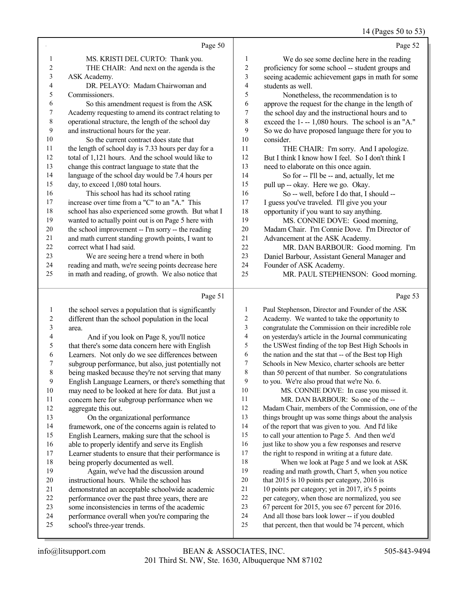#### 14 (Pages 50 to 53)

|             |                                                      |                | - 1- 70                                              |
|-------------|------------------------------------------------------|----------------|------------------------------------------------------|
|             | Page 50                                              |                | Page 52                                              |
| 1           | MS. KRISTI DEL CURTO: Thank you.                     | 1              | We do see some decline here in the reading           |
| 2           | THE CHAIR: And next on the agenda is the             | $\overline{c}$ | proficiency for some school -- student groups and    |
| 3           | ASK Academy.                                         | 3              | seeing academic achievement gaps in math for some    |
| 4           | DR. PELAYO: Madam Chairwoman and                     | 4              | students as well.                                    |
| 5           | Commissioners.                                       | 5              | Nonetheless, the recommendation is to                |
| 6           | So this amendment request is from the ASK            | 6              | approve the request for the change in the length of  |
| 7           | Academy requesting to amend its contract relating to | $\overline{7}$ | the school day and the instructional hours and to    |
| $\,$ 8 $\,$ | operational structure, the length of the school day  | 8              | exceed the 1--- 1,080 hours. The school is an "A."   |
| 9           | and instructional hours for the year.                | 9              | So we do have proposed language there for you to     |
| 10          | So the current contract does state that              | 10             | consider.                                            |
| 11          | the length of school day is 7.33 hours per day for a | 11             | THE CHAIR: I'm sorry. And I apologize.               |
| 12          | total of 1,121 hours. And the school would like to   | 12             | But I think I know how I feel. So I don't think I    |
| 13          | change this contract language to state that the      | 13             | need to elaborate on this once again.                |
| 14          | language of the school day would be 7.4 hours per    | 14             | So for -- I'll be -- and, actually, let me           |
| 15          | day, to exceed 1,080 total hours.                    | 15             | pull up -- okay. Here we go. Okay.                   |
| 16          | This school has had its school rating                | 16             | So -- well, before I do that, I should --            |
| 17          | increase over time from a "C" to an "A." This        | 17             | I guess you've traveled. I'll give you your          |
| 18          | school has also experienced some growth. But what I  | 18             | opportunity if you want to say anything.             |
| 19          | wanted to actually point out is on Page 5 here with  | 19             | MS. CONNIE DOVE: Good morning,                       |
| 20          | the school improvement -- I'm sorry -- the reading   | 20             | Madam Chair. I'm Connie Dove. I'm Director of        |
| 21          | and math current standing growth points, I want to   | 21             | Advancement at the ASK Academy.                      |
| 22          | correct what I had said.                             | 22             | MR. DAN BARBOUR: Good morning. I'm                   |
| 23          | We are seeing here a trend where in both             | 23             | Daniel Barbour, Assistant General Manager and        |
| 24          | reading and math, we're seeing points decrease here  | 24             | Founder of ASK Academy.                              |
| 25          | in math and reading, of growth. We also notice that  | 25             | MR. PAUL STEPHENSON: Good morning.                   |
|             | Page 51                                              |                | Page 53                                              |
| 1           | the school serves a population that is significantly | 1              | Paul Stephenson, Director and Founder of the ASK     |
| 2           | different than the school population in the local    | 2              | Academy. We wanted to take the opportunity to        |
| 3           | area.                                                | 3              | congratulate the Commission on their incredible role |
|             |                                                      |                |                                                      |

4 And if you look on Page 8, you'll notice<br>5 that there's some data concern here with Englis 5 that there's some data concern here with English<br>6 Learners. Not only do we see differences betwee Learners. Not only do we see differences between subgroup performance, but also, just potentially not 8 being masked because they're not serving that many<br>9 English Language Learners or there's something that 9 English Language Learners, or there's something that 10 may need to be looked at here for data. But just a 10 may need to be looked at here for data. But just a<br>11 concern here for subproun performance when we 11 concern here for subgroup performance when we<br>12 aggregate this out. 12 aggregate this out.<br>13 On the organ 13 On the organizational performance<br>14 framework one of the concerns again is re-14 framework, one of the concerns again is related to<br>15 English Learners, making sure that the school is 15 English Learners, making sure that the school is<br>16 able to properly identify and serve its English 16 able to properly identify and serve its English<br>17 Learner students to ensure that their performan 17 Learner students to ensure that their performance is<br>18 being properly documented as well 18 being properly documented as well.<br>19 Again we've had the discussi Again, we've had the discussion around 20 instructional hours. While the school has<br>21 demonstrated an acceptable schoolwide ac 21 demonstrated an acceptable schoolwide academic<br>22 nerformance over the nast three years there are 22 performance over the past three years, there are<br>23 some inconsistencies in terms of the academic 23 some inconsistencies in terms of the academic<br>24 performance overall when you're comparing the 24 performance overall when you're comparing the<br>25 school's three-year trends school's three-year trends.

| 1  | Paul Stephenson, Director and Founder of the ASK     |
|----|------------------------------------------------------|
| 2  | Academy. We wanted to take the opportunity to        |
| 3  | congratulate the Commission on their incredible role |
| 4  | on yesterday's article in the Journal communicating  |
| 5  | the USWest finding of the top Best High Schools in   |
| 6  | the nation and the stat that -- of the Best top High |
| 7  | Schools in New Mexico, charter schools are better    |
| 8  | than 50 percent of that number. So congratulations   |
| 9  | to you. We're also proud that we're No. 6.           |
| 10 | MS. CONNIE DOVE: In case you missed it.              |
| 11 | MR. DAN BARBOUR: So one of the --                    |
| 12 | Madam Chair, members of the Commission, one of the   |
| 13 | things brought up was some things about the analysis |
| 14 | of the report that was given to you. And I'd like    |
| 15 | to call your attention to Page 5. And then we'd      |
| 16 | just like to show you a few responses and reserve    |
| 17 | the right to respond in writing at a future date.    |
| 18 | When we look at Page 5 and we look at ASK            |
| 19 | reading and math growth, Chart 5, when you notice    |
| 20 | that 2015 is 10 points per category, 2016 is         |
| 21 | 10 points per category; yet in 2017, it's 5 points   |
| 22 | per category, when those are normalized, you see     |
| 23 | 67 percent for 2015, you see 67 percent for 2016.    |
| 24 | And all those bars look lower -- if you doubled      |
| 25 | that percent, then that would be 74 percent, which   |
|    |                                                      |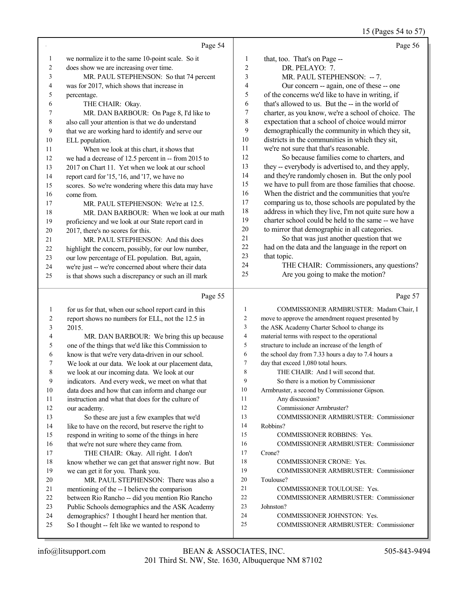15 (Pages 54 to 57)

|                |                                                                                                              |                | 15 (Pages 54 to 57)                                                                                         |
|----------------|--------------------------------------------------------------------------------------------------------------|----------------|-------------------------------------------------------------------------------------------------------------|
|                | Page 54                                                                                                      |                | Page 56                                                                                                     |
| $\mathbf{1}$   | we normalize it to the same 10-point scale. So it                                                            | 1              | that, too. That's on Page --                                                                                |
| $\overline{c}$ | does show we are increasing over time.                                                                       | $\overline{c}$ | DR. PELAYO: 7.                                                                                              |
| 3              | MR. PAUL STEPHENSON: So that 74 percent                                                                      | 3              | MR. PAUL STEPHENSON: -- 7.                                                                                  |
| 4              | was for 2017, which shows that increase in                                                                   | 4              | Our concern -- again, one of these -- one                                                                   |
| 5              | percentage.                                                                                                  | 5              | of the concerns we'd like to have in writing, if                                                            |
| 6              | THE CHAIR: Okay.                                                                                             | 6              | that's allowed to us. But the -- in the world of                                                            |
| 7              | MR. DAN BARBOUR: On Page 8, I'd like to                                                                      | 7              | charter, as you know, we're a school of choice. The                                                         |
| 8              | also call your attention is that we do understand                                                            | 8              | expectation that a school of choice would mirror                                                            |
| 9              | that we are working hard to identify and serve our                                                           | 9              | demographically the community in which they sit,                                                            |
| 10             | ELL population.                                                                                              | 10             | districts in the communities in which they sit,                                                             |
| 11             | When we look at this chart, it shows that                                                                    | 11             | we're not sure that that's reasonable.                                                                      |
| 12             | we had a decrease of 12.5 percent in -- from 2015 to                                                         | 12             | So because families come to charters, and                                                                   |
| 13             | 2017 on Chart 11. Yet when we look at our school                                                             | 13             | they -- everybody is advertised to, and they apply,                                                         |
| 14             | report card for '15, '16, and '17, we have no                                                                | 14             | and they're randomly chosen in. But the only pool                                                           |
| 15             | scores. So we're wondering where this data may have                                                          | 15             | we have to pull from are those families that choose.                                                        |
| 16             | come from.                                                                                                   | 16             | When the district and the communities that you're                                                           |
| 17             | MR. PAUL STEPHENSON: We're at 12.5.                                                                          | 17             | comparing us to, those schools are populated by the                                                         |
| $18\,$         | MR. DAN BARBOUR: When we look at our math                                                                    | 18<br>19       | address in which they live, I'm not quite sure how a<br>charter school could be held to the same -- we have |
| 19             | proficiency and we look at our State report card in                                                          | 20             | to mirror that demographic in all categories.                                                               |
| $20\,$         | 2017, there's no scores for this.                                                                            | 21             | So that was just another question that we                                                                   |
| 21             | MR. PAUL STEPHENSON: And this does                                                                           | 22             | had on the data and the language in the report on                                                           |
| $22\,$         | highlight the concern, possibly, for our low number,                                                         | 23             | that topic.                                                                                                 |
| 23<br>24       | our low percentage of EL population. But, again,                                                             | 24             | THE CHAIR: Commissioners, any questions?                                                                    |
| 25             | we're just -- we're concerned about where their data<br>is that shows such a discrepancy or such an ill mark | 25             | Are you going to make the motion?                                                                           |
|                |                                                                                                              |                |                                                                                                             |
|                | Page 55                                                                                                      |                | Page 57                                                                                                     |
| 1              | for us for that, when our school report card in this                                                         | 1              | COMMISSIONER ARMBRUSTER: Madam Chair, I                                                                     |
| 2              | report shows no numbers for ELL, not the 12.5 in                                                             | 2              | move to approve the amendment request presented by                                                          |
| 3              | 2015.                                                                                                        | 3              | the ASK Academy Charter School to change its                                                                |
| 4              | MR. DAN BARBOUR: We bring this up because                                                                    | $\overline{4}$ | material terms with respect to the operational                                                              |
| 5              | one of the things that we'd like this Commission to                                                          | 5              | structure to include an increase of the length of                                                           |
| 6              | know is that we're very data-driven in our school.                                                           | 6              | the school day from 7.33 hours a day to 7.4 hours a                                                         |
|                | We look at our data. We look at our placement data,                                                          | 7              | day that exceed 1,080 total hours.                                                                          |
| 8              | we look at our incoming data. We look at our                                                                 | 8              | THE CHAIR: And I will second that.                                                                          |
| 9              | indicators. And every week, we meet on what that                                                             | 9              | So there is a motion by Commissioner                                                                        |
| 10             | data does and how that can inform and change our                                                             | 10             | Armbruster, a second by Commissioner Gipson.                                                                |
| 11             | instruction and what that does for the culture of                                                            | 11             | Any discussion?                                                                                             |
| 12             | our academy.                                                                                                 | 12             | Commissioner Armbruster?                                                                                    |
| 13             | So these are just a few examples that we'd                                                                   | 13             | COMMISSIONER ARMBRUSTER: Commissioner                                                                       |
| 14             | like to have on the record, but reserve the right to                                                         | 14<br>15       | Robbins?                                                                                                    |
| 15             | respond in writing to some of the things in here                                                             | 16             | <b>COMMISSIONER ROBBINS: Yes.</b>                                                                           |
| 16<br>17       | that we're not sure where they came from.                                                                    | 17             | COMMISSIONER ARMBRUSTER: Commissioner                                                                       |
| 18             | THE CHAIR: Okay. All right. I don't<br>know whether we can get that answer right now. But                    | 18             | Crone?<br><b>COMMISSIONER CRONE: Yes.</b>                                                                   |
| 19             | we can get it for you. Thank you.                                                                            | 19             | COMMISSIONER ARMBRUSTER: Commissioner                                                                       |
| 20             | MR. PAUL STEPHENSON: There was also a                                                                        | 20             | Toulouse?                                                                                                   |
| 21             | mentioning of the -- I believe the comparison                                                                | 21             | COMMISSIONER TOULOUSE: Yes.                                                                                 |
| 22             | between Rio Rancho -- did you mention Rio Rancho                                                             | 22             | COMMISSIONER ARMBRUSTER: Commissioner                                                                       |
| 23             | Public Schools demographics and the ASK Academy                                                              | 23             | Johnston?                                                                                                   |
|                |                                                                                                              |                |                                                                                                             |
| 24             | demographics? I thought I heard her mention that.                                                            | 24             | COMMISSIONER JOHNSTON: Yes.                                                                                 |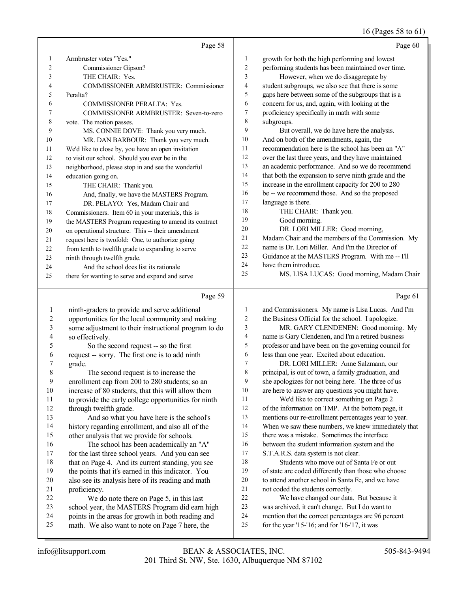## 16 (Pages 58 to 61)

|    | Page 58                                              |                | Page 60                                              |
|----|------------------------------------------------------|----------------|------------------------------------------------------|
| 1  | Armbruster votes "Yes."                              | 1              | growth for both the high performing and lowest       |
| 2  | Commissioner Gipson?                                 | $\overline{2}$ | performing students has been maintained over time.   |
| 3  | THE CHAIR: Yes.                                      | 3              | However, when we do disaggregate by                  |
| 4  | COMMISSIONER ARMBRUSTER: Commissioner                | $\overline{4}$ | student subgroups, we also see that there is some    |
| 5  | Peralta?                                             | 5              | gaps here between some of the subgroups that is a    |
| 6  | <b>COMMISSIONER PERALTA: Yes.</b>                    | 6              | concern for us, and, again, with looking at the      |
|    | COMMISSIONER ARMBRUSTER: Seven-to-zero               | 7              | proficiency specifically in math with some           |
| 8  | vote. The motion passes.                             | 8              | subgroups.                                           |
| 9  | MS. CONNIE DOVE: Thank you very much.                | 9              | But overall, we do have here the analysis.           |
| 10 | MR. DAN BARBOUR: Thank you very much.                | 10             | And on both of the amendments, again, the            |
| 11 | We'd like to close by, you have an open invitation   | 11             | recommendation here is the school has been an "A"    |
| 12 | to visit our school. Should you ever be in the       | 12             | over the last three years, and they have maintained  |
| 13 | neighborhood, please stop in and see the wonderful   | 13             | an academic performance. And so we do recommend      |
| 14 | education going on.                                  | 14             | that both the expansion to serve ninth grade and the |
| 15 | THE CHAIR: Thank you.                                | 15             | increase in the enrollment capacity for 200 to 280   |
| 16 | And, finally, we have the MASTERS Program.           | 16             | be -- we recommend those. And so the proposed        |
| 17 | DR. PELAYO: Yes, Madam Chair and                     | 17             | language is there.                                   |
| 18 | Commissioners. Item 60 in your materials, this is    | 18             | THE CHAIR: Thank you.                                |
| 19 | the MASTERS Program requesting to amend its contract | 19             | Good morning.                                        |
| 20 | on operational structure. This -- their amendment    | 20             | DR. LORI MILLER: Good morning,                       |
| 21 | request here is twofold: One, to authorize going     | 21             | Madam Chair and the members of the Commission. My    |
| 22 | from tenth to twelfth grade to expanding to serve    | 22             | name is Dr. Lori Miller. And I'm the Director of     |
| 23 | ninth through twelfth grade.                         | 23             | Guidance at the MASTERS Program. With me -- I'll     |
| 24 | And the school does list its rationale               | 24             | have them introduce.                                 |
| 25 | there for wanting to serve and expand and serve      | 25             | MS. LISA LUCAS: Good morning, Madam Chair            |

## $P_{\text{max}}$  50

|    | Page 59                                              |    | Page 61                                                 |
|----|------------------------------------------------------|----|---------------------------------------------------------|
| 1  | ninth-graders to provide and serve additional        | 1  | and Commissioners. My name is Lisa Lucas. And I'm       |
| 2  | opportunities for the local community and making     | 2  | the Business Official for the school. I apologize.      |
| 3  | some adjustment to their instructional program to do | 3  | MR. GARY CLENDENEN: Good morning. My                    |
| 4  | so effectively.                                      | 4  | name is Gary Clendenen, and I'm a retired business      |
| 5  | So the second request -- so the first                | 5  | professor and have been on the governing council for    |
| 6  | request -- sorry. The first one is to add ninth      | 6  | less than one year. Excited about education.            |
| 7  | grade.                                               | 7  | DR. LORI MILLER: Anne Salzmann, our                     |
| 8  | The second request is to increase the                | 8  | principal, is out of town, a family graduation, and     |
| 9  | enrollment cap from 200 to 280 students; so an       | 9  | she apologizes for not being here. The three of us      |
| 10 | increase of 80 students, that this will allow them   | 10 | are here to answer any questions you might have.        |
| 11 | to provide the early college opportunities for ninth | 11 | We'd like to correct something on Page 2                |
| 12 | through twelfth grade.                               | 12 | of the information on TMP. At the bottom page, it       |
| 13 | And so what you have here is the school's            | 13 | mentions our re-enrollment percentages year to year.    |
| 14 | history regarding enrollment, and also all of the    | 14 | When we saw these numbers, we knew immediately that     |
| 15 | other analysis that we provide for schools.          | 15 | there was a mistake. Sometimes the interface            |
| 16 | The school has been academically an "A"              | 16 | between the student information system and the          |
| 17 | for the last three school years. And you can see     | 17 | S.T.A.R.S. data system is not clear.                    |
| 18 | that on Page 4. And its current standing, you see    | 18 | Students who move out of Santa Fe or out                |
| 19 | the points that it's earned in this indicator. You   | 19 | of state are coded differently than those who choose    |
| 20 | also see its analysis here of its reading and math   | 20 | to attend another school in Santa Fe, and we have       |
| 21 | proficiency.                                         | 21 | not coded the students correctly.                       |
| 22 | We do note there on Page 5, in this last             | 22 | We have changed our data. But because it                |
| 23 | school year, the MASTERS Program did earn high       | 23 | was archived, it can't change. But I do want to         |
| 24 | points in the areas for growth in both reading and   | 24 | mention that the correct percentages are 96 percent     |
| 25 | math. We also want to note on Page 7 here, the       | 25 | for the year $15$ - $16$ ; and for $16$ - $17$ , it was |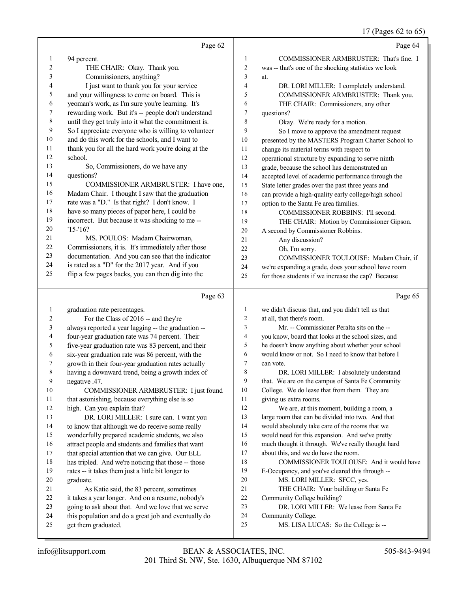## 17 (Pages 62 to 65)

|                | Page 62                                                         |                          | Page 64                                                                                    |
|----------------|-----------------------------------------------------------------|--------------------------|--------------------------------------------------------------------------------------------|
| 1              | 94 percent.                                                     | 1                        | COMMISSIONER ARMBRUSTER: That's fine. I                                                    |
| $\overline{c}$ | THE CHAIR: Okay. Thank you.                                     | $\overline{c}$           | was -- that's one of the shocking statistics we look                                       |
| $\mathfrak{Z}$ | Commissioners, anything?                                        | 3                        | at.                                                                                        |
| $\overline{4}$ | I just want to thank you for your service                       | 4                        | DR. LORI MILLER: I completely understand.                                                  |
| 5              | and your willingness to come on board. This is                  | 5                        | COMMISSIONER ARMBRUSTER: Thank you.                                                        |
| 6              | yeoman's work, as I'm sure you're learning. It's                | 6                        | THE CHAIR: Commissioners, any other                                                        |
| 7              | rewarding work. But it's -- people don't understand             | 7                        | questions?                                                                                 |
| $\,$ $\,$      | until they get truly into it what the commitment is.            | 8                        | Okay. We're ready for a motion.                                                            |
| 9              | So I appreciate everyone who is willing to volunteer            | 9                        | So I move to approve the amendment request                                                 |
| $10\,$         | and do this work for the schools, and I want to                 | 10                       | presented by the MASTERS Program Charter School to                                         |
| 11             | thank you for all the hard work you're doing at the             | 11                       | change its material terms with respect to                                                  |
| 12             | school.                                                         | 12                       | operational structure by expanding to serve ninth                                          |
| 13             | So, Commissioners, do we have any                               | 13                       | grade, because the school has demonstrated an                                              |
| 14             | questions?                                                      | 14                       | accepted level of academic performance through the                                         |
| 15             | COMMISSIONER ARMBRUSTER: I have one,                            | 15                       | State letter grades over the past three years and                                          |
| 16             | Madam Chair. I thought I saw that the graduation                | 16                       | can provide a high-quality early college/high school                                       |
| 17             | rate was a "D." Is that right? I don't know. I                  | 17                       | option to the Santa Fe area families.                                                      |
| 18             | have so many pieces of paper here, I could be                   | 18                       | COMMISSIONER ROBBINS: I'll second.                                                         |
| 19             | incorrect. But because it was shocking to me --                 | 19                       | THE CHAIR: Motion by Commissioner Gipson.                                                  |
| $20\,$         | $'15 - 16?$                                                     | 20                       | A second by Commissioner Robbins.                                                          |
| 21             | MS. POULOS: Madam Chairwoman,                                   | 21                       | Any discussion?                                                                            |
| $22\,$         | Commissioners, it is. It's immediately after those              | 22                       | Oh, I'm sorry.                                                                             |
| 23             | documentation. And you can see that the indicator               | 23                       | COMMISSIONER TOULOUSE: Madam Chair, if                                                     |
| 24             | is rated as a "D" for the 2017 year. And if you                 | 24                       | we're expanding a grade, does your school have room                                        |
| 25             | flip a few pages backs, you can then dig into the               | 25                       | for those students if we increase the cap? Because                                         |
|                |                                                                 |                          |                                                                                            |
|                |                                                                 |                          |                                                                                            |
|                | Page 63                                                         |                          | Page 65                                                                                    |
|                |                                                                 |                          |                                                                                            |
| $\mathbf{1}$   | graduation rate percentages.                                    | 1                        | we didn't discuss that, and you didn't tell us that                                        |
| 2              | For the Class of 2016 -- and they're                            | $\overline{2}$           | at all, that there's room.                                                                 |
| 3              | always reported a year lagging -- the graduation --             | 3                        | Mr. -- Commissioner Peralta sits on the --                                                 |
| 4              | four-year graduation rate was 74 percent. Their                 | $\overline{\mathcal{A}}$ | you know, board that looks at the school sizes, and                                        |
| 5              | five-year graduation rate was 83 percent, and their             | 5                        | he doesn't know anything about whether your school                                         |
| 6              | six-year graduation rate was 86 percent, with the               | 6<br>$\tau$              | would know or not. So I need to know that before I                                         |
| 7<br>8         | growth in their four-year graduation rates actually             | 8                        | can vote.                                                                                  |
|                | having a downward trend, being a growth index of                | 9                        | DR. LORI MILLER: I absolutely understand                                                   |
| 9              | negative .47.                                                   | 10                       | that. We are on the campus of Santa Fe Community                                           |
| 10<br>11       | COMMISSIONER ARMBRUSTER: I just found                           | 11                       | College. We do lease that from them. They are                                              |
|                | that astonishing, because everything else is so                 | 12                       | giving us extra rooms.                                                                     |
| 12             | high. Can you explain that?                                     | 13                       | We are, at this moment, building a room, a                                                 |
| 13<br>14       | DR. LORI MILLER: I sure can. I want you                         | 14                       | large room that can be divided into two. And that                                          |
| 15             | to know that although we do receive some really                 | 15                       | would absolutely take care of the rooms that we                                            |
| 16             | wonderfully prepared academic students, we also                 | 16                       | would need for this expansion. And we've pretty                                            |
| 17             | attract people and students and families that want              | 17                       | much thought it through. We've really thought hard<br>about this, and we do have the room. |
| 18             | that special attention that we can give. Our ELL                | 18                       | COMMISSIONER TOULOUSE: And it would have                                                   |
| 19             | has tripled. And we're noticing that those -- those             | 19                       |                                                                                            |
| 20             | rates -- it takes them just a little bit longer to<br>graduate. | 20                       | E-Occupancy, and you've cleared this through --<br>MS. LORI MILLER: SFCC, yes.             |
| 21             | As Katie said, the 83 percent, sometimes                        | 21                       | THE CHAIR: Your building or Santa Fe                                                       |
| 22             | it takes a year longer. And on a resume, nobody's               | $22\,$                   | Community College building?                                                                |
| 23             | going to ask about that. And we love that we serve              | 23                       | DR. LORI MILLER: We lease from Santa Fe                                                    |
| 24             | this population and do a great job and eventually do            | 24                       | Community College.                                                                         |
| 25             | get them graduated.                                             | 25                       | MS. LISA LUCAS: So the College is --                                                       |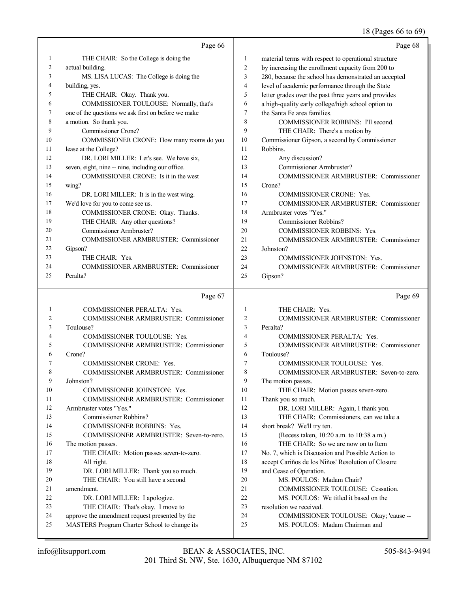## 18 (Pages 66 to 69)

|        | Page 66                                             |                | Page 68                                              |
|--------|-----------------------------------------------------|----------------|------------------------------------------------------|
| 1      | THE CHAIR: So the College is doing the              | 1              | material terms with respect to operational structure |
| 2      | actual building.                                    | $\sqrt{2}$     | by increasing the enrollment capacity from 200 to    |
| 3      | MS. LISA LUCAS: The College is doing the            | 3              | 280, because the school has demonstrated an accepted |
| 4      | building, yes.                                      | $\overline{4}$ | level of academic performance through the State      |
| 5      | THE CHAIR: Okay. Thank you.                         | 5              | letter grades over the past three years and provides |
| 6      | COMMISSIONER TOULOUSE: Normally, that's             | 6              | a high-quality early college/high school option to   |
| 7      | one of the questions we ask first on before we make | 7              | the Santa Fe area families.                          |
| 8      | a motion. So thank you.                             | 8              | COMMISSIONER ROBBINS: I'll second.                   |
| 9      | Commissioner Crone?                                 | 9              | THE CHAIR: There's a motion by                       |
| 10     | COMMISSIONER CRONE: How many rooms do you           | 10             | Commissioner Gipson, a second by Commissioner        |
| 11     | lease at the College?                               | 11             | Robbins.                                             |
| 12     | DR. LORI MILLER: Let's see. We have six,            | 12             | Any discussion?                                      |
| 13     | seven, eight, nine -- nine, including our office.   | 13             | Commissioner Armbruster?                             |
| 14     | COMMISSIONER CRONE: Is it in the west               | 14             | COMMISSIONER ARMBRUSTER: Commissioner                |
| 15     | wing?                                               | 15             | Crone?                                               |
| 16     | DR. LORI MILLER: It is in the west wing.            | 16             | <b>COMMISSIONER CRONE: Yes.</b>                      |
| 17     | We'd love for you to come see us.                   | 17             | COMMISSIONER ARMBRUSTER: Commissioner                |
| 18     | COMMISSIONER CRONE: Okay. Thanks.                   | 18             | Armbruster votes "Yes."                              |
| 19     | THE CHAIR: Any other questions?                     | 19             | Commissioner Robbins?                                |
| 20     | Commissioner Armbruster?                            | 20             | COMMISSIONER ROBBINS: Yes.                           |
| 21     | COMMISSIONER ARMBRUSTER: Commissioner               | 21             | COMMISSIONER ARMBRUSTER: Commissioner                |
| 22     | Gipson?                                             | 22             | Johnston?                                            |
| 23     | THE CHAIR: Yes.                                     | 23             | COMMISSIONER JOHNSTON: Yes.                          |
| 24     | COMMISSIONER ARMBRUSTER: Commissioner               | 24             | COMMISSIONER ARMBRUSTER: Commissioner                |
| 25     | Peralta?                                            | 25             | Gipson?                                              |
|        |                                                     |                |                                                      |
|        |                                                     |                |                                                      |
|        | Page 67                                             |                | Page 69                                              |
| 1      | COMMISSIONER PERALTA: Yes.                          | $\mathbf{1}$   | THE CHAIR: Yes.                                      |
| 2      | COMMISSIONER ARMBRUSTER: Commissioner               | $\overline{2}$ | COMMISSIONER ARMBRUSTER: Commissioner                |
| 3      | Toulouse?                                           | 3              | Peralta?                                             |
| 4      | COMMISSIONER TOULOUSE: Yes.                         | $\overline{4}$ | COMMISSIONER PERALTA: Yes.                           |
| 5      | <b>COMMISSIONER ARMBRUSTER: Commissioner</b>        | 5              | <b>COMMISSIONER ARMBRUSTER: Commissioner</b>         |
| 6      | Crone?                                              | 6              | Toulouse?                                            |
| 7      | COMMISSIONER CRONE: Yes.                            | $\tau$         | <b>COMMISSIONER TOULOUSE: Yes.</b>                   |
| 8      | COMMISSIONER ARMBRUSTER: Commissioner               | 8              | COMMISSIONER ARMBRUSTER: Seven-to-zero.              |
| 9      | Johnston?                                           | 9              | The motion passes.                                   |
| 10     | COMMISSIONER JOHNSTON: Yes.                         | 10             | THE CHAIR: Motion passes seven-zero.                 |
| 11     | COMMISSIONER ARMBRUSTER: Commissioner               | 11             | Thank you so much.                                   |
| 12     | Armbruster votes "Yes."                             | 12             | DR. LORI MILLER: Again, I thank you.                 |
| 13     | Commissioner Robbins?                               | 13             | THE CHAIR: Commissioners, can we take a              |
| 14     | COMMISSIONER ROBBINS: Yes.                          | 14             | short break? We'll try ten.                          |
| 15     | COMMISSIONER ARMBRUSTER: Seven-to-zero.             | 15             | (Recess taken, 10:20 a.m. to 10:38 a.m.)             |
| 16     | The motion passes.                                  | 16             | THE CHAIR: So we are now on to Item                  |
| 17     | THE CHAIR: Motion passes seven-to-zero.             | 17             | No. 7, which is Discussion and Possible Action to    |
| 18     | All right.                                          | 18             | accept Cariños de los Niños' Resolution of Closure   |
| 19     | DR. LORI MILLER: Thank you so much.                 | 19             | and Cease of Operation.                              |
| 20     | THE CHAIR: You still have a second                  | 20             | MS. POULOS: Madam Chair?                             |
| 21     | amendment.                                          | 21             | COMMISSIONER TOULOUSE: Cessation.                    |
| $22\,$ | DR. LORI MILLER: I apologize.                       | 22             | MS. POULOS: We titled it based on the                |
| 23     | THE CHAIR: That's okay. I move to                   | 23             | resolution we received.                              |
| 24     | approve the amendment request presented by the      | 24             | COMMISSIONER TOULOUSE: Okay; 'cause --               |
| 25     | MASTERS Program Charter School to change its        | 25             | MS. POULOS: Madam Chairman and                       |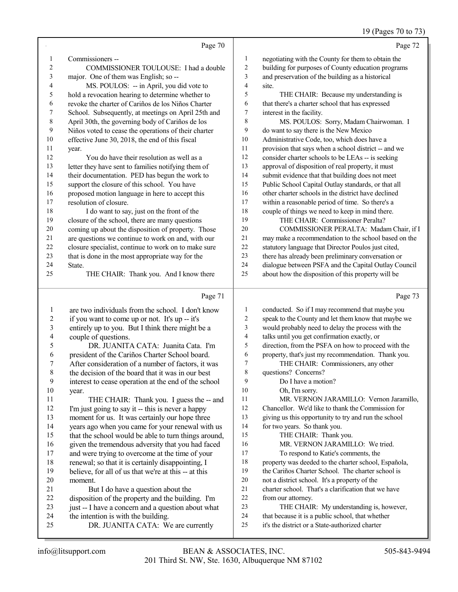## 19 (Pages 70 to 73)

|                          | Page 70                                                                   |                | Page 72                                                                                             |
|--------------------------|---------------------------------------------------------------------------|----------------|-----------------------------------------------------------------------------------------------------|
| 1                        | Commissioners --                                                          | 1              | negotiating with the County for them to obtain the                                                  |
| $\overline{c}$           | COMMISSIONER TOULOUSE: I had a double                                     | $\overline{c}$ | building for purposes of County education programs                                                  |
| 3                        | major. One of them was English; so --                                     | 3              | and preservation of the building as a historical                                                    |
| 4                        | MS. POULOS: -- in April, you did vote to                                  | 4              | site.                                                                                               |
| 5                        | hold a revocation hearing to determine whether to                         | 5              | THE CHAIR: Because my understanding is                                                              |
| 6                        | revoke the charter of Cariños de los Niños Charter                        | 6              | that there's a charter school that has expressed                                                    |
| 7                        | School. Subsequently, at meetings on April 25th and                       | 7              | interest in the facility.                                                                           |
| 8                        | April 30th, the governing body of Cariños de los                          | 8              | MS. POULOS: Sorry, Madam Chairwoman. I                                                              |
| 9                        | Niños voted to cease the operations of their charter                      | 9              | do want to say there is the New Mexico                                                              |
| 10                       | effective June 30, 2018, the end of this fiscal                           | 10             | Administrative Code, too, which does have a                                                         |
| 11                       | year.                                                                     | 11             | provision that says when a school district -- and we                                                |
| 12                       | You do have their resolution as well as a                                 | 12             | consider charter schools to be LEAs -- is seeking                                                   |
| 13                       | letter they have sent to families notifying them of                       | 13             | approval of disposition of real property, it must                                                   |
| 14                       | their documentation. PED has begun the work to                            | 14             | submit evidence that that building does not meet                                                    |
| 15                       | support the closure of this school. You have                              | 15             | Public School Capital Outlay standards, or that all                                                 |
| 16                       | proposed motion language in here to accept this                           | 16             | other charter schools in the district have declined                                                 |
| $17\,$                   | resolution of closure.                                                    | 17             | within a reasonable period of time. So there's a                                                    |
| 18                       | I do want to say, just on the front of the                                | 18             | couple of things we need to keep in mind there.                                                     |
| 19                       | closure of the school, there are many questions                           | 19             | THE CHAIR: Commissioner Peralta?                                                                    |
| $20\,$                   | coming up about the disposition of property. Those                        | $20\,$         | COMMISSIONER PERALTA: Madam Chair, if I                                                             |
| 21                       | are questions we continue to work on and, with our                        | 21             | may make a recommendation to the school based on the                                                |
| 22                       | closure specialist, continue to work on to make sure                      | 22             | statutory language that Director Poulos just cited,                                                 |
| 23                       | that is done in the most appropriate way for the                          | 23             | there has already been preliminary conversation or                                                  |
| 24                       | State.                                                                    | 24             | dialogue between PSFA and the Capital Outlay Council                                                |
| 25                       | THE CHAIR: Thank you. And I know there                                    | 25             | about how the disposition of this property will be                                                  |
|                          | Page 71                                                                   |                | Page 73                                                                                             |
| 1                        | are two individuals from the school. I don't know                         | 1              | conducted. So if I may recommend that maybe you                                                     |
| $\overline{c}$           | if you want to come up or not. It's up -- it's                            | 2              | speak to the County and let them know that maybe we                                                 |
| 3                        | entirely up to you. But I think there might be a                          | 3              | would probably need to delay the process with the                                                   |
| $\overline{\mathcal{L}}$ | couple of questions.                                                      | 4              | talks until you get confirmation exactly, or                                                        |
| 5                        | DR. JUANITA CATA: Juanita Cata. I'm                                       | 5              | direction, from the PSFA on how to proceed with the                                                 |
| 6                        | president of the Cariños Charter School board.                            | 6              | property, that's just my recommendation. Thank you.                                                 |
| 7                        | After consideration of a number of factors, it was                        | 7              | THE CHAIR: Commissioners, any other                                                                 |
| 8                        | the decision of the board that it was in our best                         | 8              | questions? Concerns?                                                                                |
| 9                        | interest to cease operation at the end of the school                      | 9              | Do I have a motion?                                                                                 |
| 10                       | year.                                                                     | 10             | Oh, I'm sorry.                                                                                      |
| 11                       | THE CHAIR: Thank you. I guess the -- and                                  | 11             | MR. VERNON JARAMILLO: Vernon Jaramillo,                                                             |
| 12                       | I'm just going to say it -- this is never a happy                         | 12             | Chancellor. We'd like to thank the Commission for                                                   |
| 13                       | moment for us. It was certainly our hope three                            | 13             | giving us this opportunity to try and run the school                                                |
| 14                       | years ago when you came for your renewal with us                          | 14             | for two years. So thank you.                                                                        |
| 15                       | that the school would be able to turn things around,                      | 15             | THE CHAIR: Thank you.                                                                               |
| 16                       | given the tremendous adversity that you had faced                         | 16             | MR. VERNON JARAMILLO: We tried.                                                                     |
| 17                       | and were trying to overcome at the time of your                           | 17             | To respond to Katie's comments, the                                                                 |
| 18                       | renewal; so that it is certainly disappointing, I                         | 18             | property was deeded to the charter school, Española,                                                |
| 19                       | believe, for all of us that we're at this -- at this                      | 19             | the Cariños Charter School. The charter school is                                                   |
| 20                       | moment.                                                                   | 20             | not a district school. It's a property of the                                                       |
| 21                       |                                                                           |                |                                                                                                     |
|                          | But I do have a question about the                                        | $21\,$         | charter school. That's a clarification that we have                                                 |
| 22                       | disposition of the property and the building. I'm                         | $22\,$         | from our attorney.                                                                                  |
| 23                       | just -- I have a concern and a question about what                        | 23             | THE CHAIR: My understanding is, however,                                                            |
| 24<br>25                 | the intention is with the building.<br>DR. JUANITA CATA: We are currently | 24<br>25       | that because it is a public school, that whether<br>it's the district or a State-authorized charter |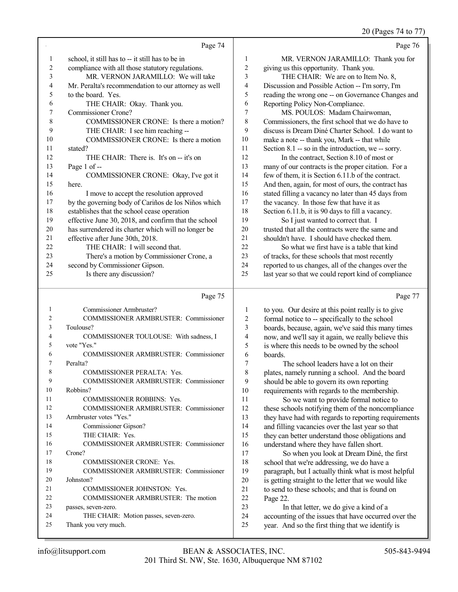20 (Pages 74 to 77)

|    |                                                      |                | $20$ (Pages $/4$ to $/7$                             |
|----|------------------------------------------------------|----------------|------------------------------------------------------|
|    | Page 74                                              |                | Page 76                                              |
|    | school, it still has to -- it still has to be in     | 1              | MR. VERNON JARAMILLO: Thank you for                  |
| 2  | compliance with all those statutory regulations.     | $\overline{c}$ | giving us this opportunity. Thank you.               |
| 3  | MR. VERNON JARAMILLO: We will take                   | 3              | THE CHAIR: We are on to Item No. 8,                  |
| 4  | Mr. Peralta's recommendation to our attorney as well | 4              | Discussion and Possible Action -- I'm sorry, I'm     |
| 5  | to the board. Yes.                                   | 5              | reading the wrong one -- on Governance Changes and   |
| 6  | THE CHAIR: Okay. Thank you.                          | 6              | Reporting Policy Non-Compliance.                     |
| 7  | Commissioner Crone?                                  | 7              | MS. POULOS: Madam Chairwoman,                        |
| 8  | COMMISSIONER CRONE: Is there a motion?               | 8              | Commissioners, the first school that we do have to   |
| 9  | THE CHAIR: I see him reaching --                     | 9              | discuss is Dream Diné Charter School. I do want to   |
| 10 | COMMISSIONER CRONE: Is there a motion                | 10             | make a note -- thank you, Mark -- that while         |
| 11 | stated?                                              | 11             | Section 8.1 -- so in the introduction, we -- sorry.  |
| 12 | THE CHAIR: There is. It's on -- it's on              | 12             | In the contract, Section 8.10 of most or             |
| 13 | Page 1 of --                                         | 13             | many of our contracts is the proper citation. For a  |
| 14 | COMMISSIONER CRONE: Okay, I've got it                | 14             | few of them, it is Section 6.11.b of the contract.   |
| 15 | here.                                                | 15             | And then, again, for most of ours, the contract has  |
| 16 | I move to accept the resolution approved             | 16             | stated filling a vacancy no later than 45 days from  |
| 17 | by the governing body of Cariños de los Niños which  | 17             | the vacancy. In those few that have it as            |
| 18 | establishes that the school cease operation          | 18             | Section 6.11.b, it is 90 days to fill a vacancy.     |
| 19 | effective June 30, 2018, and confirm that the school | 19             | So I just wanted to correct that. I                  |
| 20 | has surrendered its charter which will no longer be  | 20             | trusted that all the contracts were the same and     |
| 21 | effective after June 30th, 2018.                     | 21             | shouldn't have. I should have checked them.          |
| 22 | THE CHAIR: I will second that.                       | 22             | So what we first have is a table that kind           |
| 23 | There's a motion by Commissioner Crone, a            | 23             | of tracks, for these schools that most recently      |
| 24 | second by Commissioner Gipson.                       | 24             | reported to us changes, all of the changes over the  |
| 25 | Is there any discussion?                             | 25             | last year so that we could report kind of compliance |
|    | Page 75                                              |                | Page 77                                              |

|                               | Commissioner Armbruster?               |
|-------------------------------|----------------------------------------|
| $\mathfrak{D}_{\mathfrak{p}}$ | COMMISSIONER ARMBRUSTER: Commissioner  |
| $\mathcal{E}$                 | Toulouse?                              |
| $\overline{4}$                | COMMISSIONER TOULOUSE: With sadness, I |
| $\sim$                        | vote "Yes."                            |
| 6                             | COMMISSIONER ARMBRUSTER: Commissioner  |

| 7  | Peralta?                              |
|----|---------------------------------------|
| 8  | COMMISSIONER PERALTA: Yes.            |
| 9  | COMMISSIONER ARMBRUSTER: Commissioner |
| 10 | Robbins?                              |
| 11 | <b>COMMISSIONER ROBBINS: Yes.</b>     |
| 12 | COMMISSIONER ARMBRUSTER: Commissioner |
| 13 | Armbruster votes "Yes."               |
| 14 | Commissioner Gipson?                  |
| 15 | THE CHAIR: Yes.                       |
| 16 | COMMISSIONER ARMBRUSTER: Commissioner |
| 17 | Crone?                                |
| 18 | <b>COMMISSIONER CRONE: Yes.</b>       |
| 19 | COMMISSIONER ARMBRUSTER: Commissioner |
| 20 | Johnston?                             |
| 21 | COMMISSIONER JOHNSTON: Yes.           |
| 22 | COMMISSIONER ARMBRUSTER: The motion   |
| 23 | passes, seven-zero.                   |

THE CHAIR: Motion passes, seven-zero.

 boards. 7 The school leaders have a lot on their<br>8 plates namely running a school. And the bo 8 plates, namely running a school. And the board<br>9 should be able to govern its own reporting 9 should be able to govern its own reporting<br>10 requirements with regards to the membersh 10 requirements with regards to the membership.<br>11 So we want to provide formal notice to 11 So we want to provide formal notice to<br>12 these schools notifying them of the noncompli

1 to you. Our desire at this point really is to give<br>2 formal notice to -- specifically to the school formal notice to -- specifically to the school boards, because, again, we've said this many times now, and we'll say it again, we really believe this is where this needs to be owned by the school

12 these schools notifying them of the noncompliance<br>13 they have had with regards to reporting requirement 13 they have had with regards to reporting requirements<br>14 and filling vacancies over the last vear so that 14 and filling vacancies over the last year so that<br>15 they can better understand those obligations at 15 they can better understand those obligations and<br>16 understand where they have fallen short. 16 understand where they have fallen short.<br>17 So when you look at Dream Diné.

17 So when you look at Dream Diné, the first<br>18 school that we're addressing we do have a 18 school that we're addressing, we do have a<br>19 paragraph but Lactually think what is most paragraph, but I actually think what is most helpful 20 is getting straight to the letter that we would like<br>21 to send to these schools: and that is found on 21 to send to these schools; and that is found on<br>  $22 \text{ Page } 22$ 22 Page 22.<br>23 In

23 In that letter, we do give a kind of a<br>24 accounting of the issues that have occurred 24 accounting of the issues that have occurred over the<br>25 vear And so the first thing that we identify is year. And so the first thing that we identify is

Thank you very much.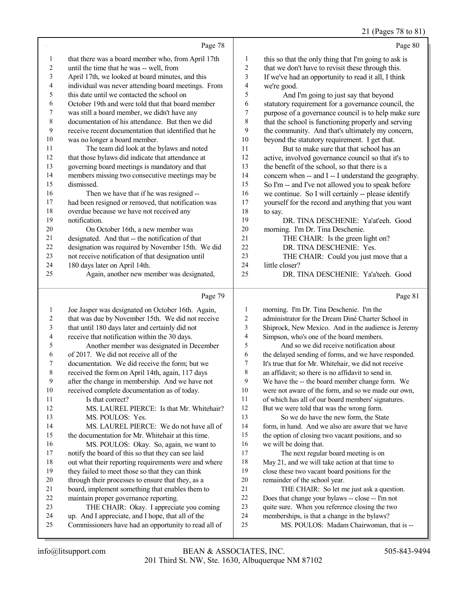#### 21 (Pages 78 to 81)

Page 78 that there was a board member who, from April 17th until the time that he was -- well, from April 17th, we looked at board minutes, and this individual was never attending board meetings. From this date until we contacted the school on October 19th and were told that that board member was still a board member, we didn't have any documentation of his attendance. But then we did receive recent documentation that identified that he was no longer a board member. The team did look at the bylaws and noted that those bylaws did indicate that attendance at governing board meetings is mandatory and that members missing two consecutive meetings may be dismissed. Then we have that if he was resigned -- had been resigned or removed, that notification was overdue because we have not received any notification. On October 16th, a new member was designated. And that -- the notification of that designation was required by November 15th. We did not receive notification of that designation until 180 days later on April 14th. Again, another new member was designated, Page 79 Page 80 1 this so that the only thing that I'm going to ask is<br>2 that we don't have to revisit these through this that we don't have to revisit these through this. If we've had an opportunity to read it all, I think 4 we're good.<br>5 And I 5 And I'm going to just say that beyond<br>6 statutory requirement for a governance count 6 statutory requirement for a governance council, the<br>
<sup>7</sup> murnose of a governance council is to help make sure 7 purpose of a governance council is to help make sure<br>8 that the school is functioning properly and serving that the school is functioning properly and serving 9 the community. And that's ultimately my concern,<br>10 beyond the statutory requirement. I get that. 10 beyond the statutory requirement. I get that.<br>11 But to make sure that that school has a 11 But to make sure that that school has an 12 active, involved governance council so that it's active, involved governance council so that it's to the benefit of the school, so that there is a 14 concern when -- and I -- I understand the geography.<br>15 So I'm -- and I've not allowed you to speak before So I'm -- and I've not allowed you to speak before 16 we continue. So I will certainly -- please identify<br>17 wourself for the record and anything that you want yourself for the record and anything that you want  $\begin{array}{ccc} 18 & \text{to say.} \\ 19 & \end{array}$  DR. TINA DESCHENIE: Ya'at'eeh. Good 20 morning. I'm Dr. Tina Deschenie.<br>21 THE CHAIR: Is the green 1 21 THE CHAIR: Is the green light on?<br>22 DR. TINA DESCHENIE: Yes. 22 DR. TINA DESCHENIE: Yes.<br>23 THE CHAIR: Could you just m 23 THE CHAIR: Could you just move that a<br>24 little closer? 24 little closer?<br>25 DR. T DR. TINA DESCHENIE: Ya'a'teeh. Good Page 81

| 1  | Joe Jasper was designated on October 16th. Again,    | $\mathbf{1}$   | morning. I'm Dr. Tina Deschenie. I'm the             |
|----|------------------------------------------------------|----------------|------------------------------------------------------|
| 2  | that was due by November 15th. We did not receive    | $\overline{2}$ | administrator for the Dream Diné Charter School in   |
| 3  | that until 180 days later and certainly did not      | 3              | Shiprock, New Mexico. And in the audience is Jeremy  |
| 4  | receive that notification within the 30 days.        | 4              | Simpson, who's one of the board members.             |
| 5  | Another member was designated in December            | 5              | And so we did receive notification about             |
| 6  | of 2017. We did not receive all of the               | 6              | the delayed sending of forms, and we have responded. |
| 7  | documentation. We did receive the form; but we       | $\tau$         | It's true that for Mr. Whitehair, we did not receive |
| 8  | received the form on April 14th, again, 117 days     | 8              | an affidavit; so there is no affidavit to send in.   |
| 9  | after the change in membership. And we have not      | 9              | We have the -- the board member change form. We      |
| 10 | received complete documentation as of today.         | 10             | were not aware of the form, and so we made our own,  |
| 11 | Is that correct?                                     | 11             | of which has all of our board members' signatures.   |
| 12 | MS. LAUREL PIERCE: Is that Mr. Whitehair?            | 12             | But we were told that was the wrong form.            |
| 13 | MS. POULOS: Yes.                                     | 13             | So we do have the new form, the State                |
| 14 | MS. LAUREL PIERCE: We do not have all of             | 14             | form, in hand. And we also are aware that we have    |
| 15 | the documentation for Mr. Whitehair at this time.    | 15             | the option of closing two vacant positions, and so   |
| 16 | MS. POULOS: Okay. So, again, we want to              | 16             | we will be doing that.                               |
| 17 | notify the board of this so that they can see laid   | 17             | The next regular board meeting is on                 |
| 18 | out what their reporting requirements were and where | 18             | May 21, and we will take action at that time to      |
| 19 | they failed to meet those so that they can think     | 19             | close these two vacant board positions for the       |
| 20 | through their processes to ensure that they, as a    | 20             | remainder of the school year.                        |
| 21 | board, implement something that enables them to      | 21             | THE CHAIR: So let me just ask a question.            |
| 22 | maintain proper governance reporting.                | 22             | Does that change your bylaws -- close -- I'm not     |
| 23 | THE CHAIR: Okay. I appreciate you coming             | 23             | quite sure. When you reference closing the two       |
| 24 | up. And I appreciate, and I hope, that all of the    | 24             | memberships, is that a change in the bylaws?         |
| 25 | Commissioners have had an opportunity to read all of | 25             | MS. POULOS: Madam Chairwoman, that is --             |
|    |                                                      |                |                                                      |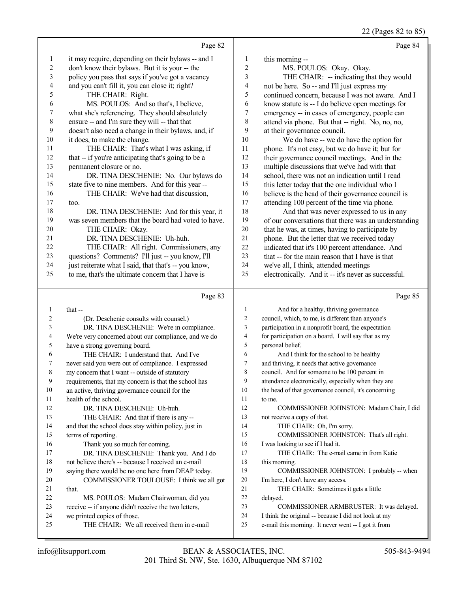22 (Pages 82 to 85)

|                         |                                                                                               |                         | 22 (Pages 82 to 85)                                  |
|-------------------------|-----------------------------------------------------------------------------------------------|-------------------------|------------------------------------------------------|
|                         | Page 82                                                                                       |                         | Page 84                                              |
| $\mathbf{1}$            | it may require, depending on their bylaws -- and I                                            | $\mathbf{1}$            | this morning --                                      |
| $\mathbf{2}$            | don't know their bylaws. But it is your -- the                                                | 2                       | MS. POULOS: Okay. Okay.                              |
| $\mathfrak{Z}$          | policy you pass that says if you've got a vacancy                                             | $\mathfrak{Z}$          | THE CHAIR: -- indicating that they would             |
| $\overline{\mathbf{4}}$ | and you can't fill it, you can close it; right?                                               | $\overline{\mathbf{4}}$ | not be here. So -- and I'll just express my          |
| 5                       | THE CHAIR: Right.                                                                             | 5                       | continued concern, because I was not aware. And I    |
| 6                       | MS. POULOS: And so that's, I believe,                                                         | 6                       | know statute is -- I do believe open meetings for    |
| 7                       | what she's referencing. They should absolutely                                                | 7                       | emergency -- in cases of emergency, people can       |
| $\,8\,$                 | ensure -- and I'm sure they will -- that that                                                 | 8                       | attend via phone. But that -- right. No, no, no,     |
| 9                       | doesn't also need a change in their bylaws, and, if                                           | 9                       | at their governance council.                         |
| $10\,$                  | it does, to make the change.                                                                  | 10                      | We do have -- we do have the option for              |
| 11                      | THE CHAIR: That's what I was asking, if                                                       | 11                      | phone. It's not easy, but we do have it; but for     |
| 12                      | that -- if you're anticipating that's going to be a                                           | 12                      | their governance council meetings. And in the        |
| 13                      | permanent closure or no.                                                                      | 13                      | multiple discussions that we've had with that        |
| 14                      | DR. TINA DESCHENIE: No. Our bylaws do                                                         | 14                      | school, there was not an indication until I read     |
| 15                      | state five to nine members. And for this year --                                              | 15                      | this letter today that the one individual who I      |
| 16                      | THE CHAIR: We've had that discussion,                                                         | 16                      | believe is the head of their governance council is   |
| $17\,$                  | too.                                                                                          | 17                      | attending 100 percent of the time via phone.         |
| $18\,$                  | DR. TINA DESCHENIE: And for this year, it                                                     | 18                      | And that was never expressed to us in any            |
| 19                      | was seven members that the board had voted to have.                                           | 19                      | of our conversations that there was an understanding |
| 20                      | THE CHAIR: Okay.                                                                              | $20\,$                  | that he was, at times, having to participate by      |
| 21                      | DR. TINA DESCHENIE: Uh-huh.                                                                   | 21                      | phone. But the letter that we received today         |
| 22                      | THE CHAIR: All right. Commissioners, any                                                      | 22                      | indicated that it's 100 percent attendance. And      |
| 23                      | questions? Comments? I'll just -- you know, I'll                                              | 23                      | that -- for the main reason that I have is that      |
| 24                      | just reiterate what I said, that that's -- you know,                                          | 24                      | we've all, I think, attended meetings                |
| 25                      | to me, that's the ultimate concern that I have is                                             | 25                      | electronically. And it -- it's never as successful.  |
|                         |                                                                                               |                         |                                                      |
|                         |                                                                                               |                         |                                                      |
|                         | Page 83                                                                                       |                         | Page 85                                              |
| $\mathbf{1}$            | that --                                                                                       | $\mathbf{1}$            | And for a healthy, thriving governance               |
| 2                       | (Dr. Deschenie consults with counsel.)                                                        | $\overline{2}$          | council, which, to me, is different than anyone's    |
| 3                       | DR. TINA DESCHENIE: We're in compliance.                                                      | 3                       | participation in a nonprofit board, the expectation  |
| 4                       | We're very concerned about our compliance, and we do                                          | 4                       | for participation on a board. I will say that as my  |
| 5                       | have a strong governing board.                                                                | 5                       | personal belief.                                     |
| 6                       | THE CHAIR: I understand that. And I've                                                        | 6                       | And I think for the school to be healthy             |
| 7                       | never said you were out of compliance. I expressed                                            | $\overline{7}$          | and thriving, it needs that active governance        |
| 8                       | my concern that I want -- outside of statutory                                                | 8                       | council. And for someone to be 100 percent in        |
| 9                       | requirements, that my concern is that the school has                                          | 9                       | attendance electronically, especially when they are  |
| 10                      | an active, thriving governance council for the                                                | 10                      | the head of that governance council, it's concerning |
| 11                      | health of the school.                                                                         | 11                      | to me.                                               |
| 12                      | DR. TINA DESCHENIE: Uh-huh.                                                                   | 12                      | COMMISSIONER JOHNSTON: Madam Chair, I did            |
| 13                      | THE CHAIR: And that if there is any --                                                        | 13                      | not receive a copy of that.                          |
| 14                      | and that the school does stay within policy, just in                                          | 14                      | THE CHAIR: Oh, I'm sorry.                            |
| 15                      | terms of reporting.                                                                           | 15                      | COMMISSIONER JOHNSTON: That's all right.             |
| 16                      | Thank you so much for coming.                                                                 | 16                      | I was looking to see if I had it.                    |
| 17                      | DR. TINA DESCHENIE: Thank you. And I do                                                       | 17                      | THE CHAIR: The e-mail came in from Katie             |
| 18                      | not believe there's -- because I received an e-mail                                           | 18                      | this morning.                                        |
| 19                      | saying there would be no one here from DEAP today.                                            | 19                      | COMMISSIONER JOHNSTON: I probably -- when            |
| 20                      | COMMISSIONER TOULOUSE: I think we all got                                                     | 20<br>21                | I'm here, I don't have any access.                   |
| 21<br>22                | that.                                                                                         | 22                      | THE CHAIR: Sometimes it gets a little                |
| 23                      | MS. POULOS: Madam Chairwoman, did you<br>receive -- if anyone didn't receive the two letters, | 23                      | delayed.<br>COMMISSIONER ARMBRUSTER: It was delayed. |

24 I think the original -- because I did not look at my<br>25 e-mail this morning. It never went -- I got it from

THE CHAIR: We all received them in e-mail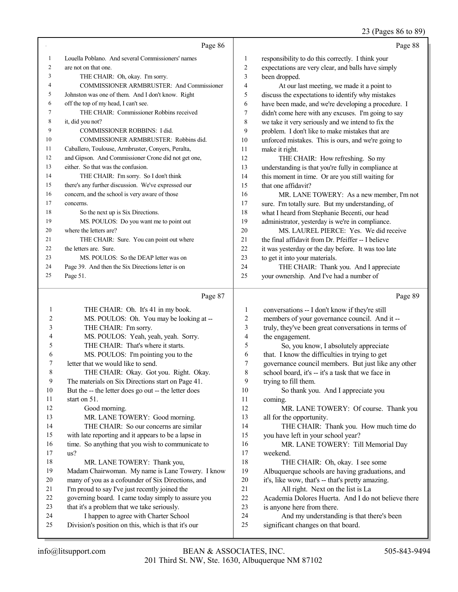#### 23 (Pages 86 to 89)

|    | Page 86                                             |                | Page 88                                             |
|----|-----------------------------------------------------|----------------|-----------------------------------------------------|
|    | Louella Poblano. And several Commissioners' names   | 1              | responsibility to do this correctly. I think your   |
| 2  | are not on that one.                                | $\overline{c}$ | expectations are very clear, and balls have simply  |
| 3  | THE CHAIR: Oh, okay. I'm sorry.                     | 3              | been dropped.                                       |
| 4  | COMMISSIONER ARMBRUSTER: And Commissioner           | 4              | At our last meeting, we made it a point to          |
| 5  | Johnston was one of them. And I don't know. Right   | 5              | discuss the expectations to identify why mistakes   |
| 6  | off the top of my head, I can't see.                | 6              | have been made, and we're developing a procedure. I |
| 7  | THE CHAIR: Commissioner Robbins received            | 7              | didn't come here with any excuses. I'm going to say |
| 8  | it, did you not?                                    | 8              | we take it very seriously and we intend to fix the  |
| 9  | <b>COMMISSIONER ROBBINS: I did.</b>                 | 9              | problem. I don't like to make mistakes that are     |
| 10 | COMMISSIONER ARMBRUSTER: Robbins did.               | 10             | unforced mistakes. This is ours, and we're going to |
| 11 | Caballero, Toulouse, Armbruster, Conyers, Peralta,  | 11             | make it right.                                      |
| 12 | and Gipson. And Commissioner Crone did not get one, | 12             | THE CHAIR: How refreshing. So my                    |
| 13 | either. So that was the confusion.                  | 13             | understanding is that you're fully in compliance at |
| 14 | THE CHAIR: I'm sorry. So I don't think              | 14             | this moment in time. Or are you still waiting for   |
| 15 | there's any further discussion. We've expressed our | 15             | that one affidavit?                                 |
| 16 | concern, and the school is very aware of those      | 16             | MR. LANE TOWERY: As a new member, I'm not           |
| 17 | concerns.                                           | 17             | sure. I'm totally sure. But my understanding, of    |
| 18 | So the next up is Six Directions.                   | 18             | what I heard from Stephanie Becenti, our head       |
| 19 | MS. POULOS: Do you want me to point out             | 19             | administrator, yesterday is we're in compliance.    |
| 20 | where the letters are?                              | 20             | MS. LAUREL PIERCE: Yes. We did receive              |
| 21 | THE CHAIR: Sure. You can point out where            | 21             | the final affidavit from Dr. Pfeiffer -- I believe  |
| 22 | the letters are. Sure.                              | 22             | it was yesterday or the day before. It was too late |
| 23 | MS. POULOS: So the DEAP letter was on               | 23             | to get it into your materials.                      |
| 24 | Page 39. And then the Six Directions letter is on   | 24             | THE CHAIR: Thank you. And I appreciate              |
| 25 | Page 51.                                            | 25             | your ownership. And I've had a number of            |

#### Page 87

 THE CHAIR: Oh. It's 41 in my book. MS. POULOS: Oh. You may be looking at -- THE CHAIR: I'm sorry. MS. POULOS: Yeah, yeah, yeah. Sorry. THE CHAIR: That's where it starts. MS. POULOS: I'm pointing you to the letter that we would like to send. THE CHAIR: Okay. Got you. Right. Okay. The materials on Six Directions start on Page 41. But the -- the letter does go out -- the letter does start on 51. Good morning. 13 MR. LANE TOWERY: Good morning. THE CHAIR: So our concerns are similar with late reporting and it appears to be a lapse in 16 time. So anything that you wish to communicate to us? 18 MR. LANE TOWERY: Thank you, Madam Chairwoman. My name is Lane Towery. I know many of you as a cofounder of Six Directions, and I'm proud to say I've just recently joined the governing board. I came today simply to assure you that it's a problem that we take seriously. I happen to agree with Charter School Division's position on this, which is that it's our conversations -- I don't know if they're still 2 members of your governance council. And it --<br>3 truly, they've been great conversations in terms truly, they've been great conversations in terms of 4 the engagement.<br>5 So, you kn 5 So, you know, I absolutely appreciate<br>6 that. I know the difficulties in trying to get 6 that. I know the difficulties in trying to get<br>7 overnance council members. But just like 7 governance council members. But just like any other<br>8 school board, it's -- it's a task that we face in school board, it's -- it's a task that we face in 9 trying to fill them.<br>10 So thank you So thank you. And I appreciate you coming. 12 MR. LANE TOWERY: Of course. Thank you all for the opportunity. THE CHAIR: Thank you. How much time do you have left in your school year? 16 MR. LANE TOWERY: Till Memorial Day<br>17 weekend. weekend. 18 THE CHAIR: Oh, okay. I see some<br>19 Albuquerque schools are having graduation Albuquerque schools are having graduations, and 20 it's, like wow, that's  $-$  that's pretty amazing.<br>21 All right. Next on the list is La 21 All right. Next on the list is La<br>22 Academia Dolores Huerta. And I do Academia Dolores Huerta. And I do not believe there is anyone here from there. And my understanding is that there's been significant changes on that board.

Page 89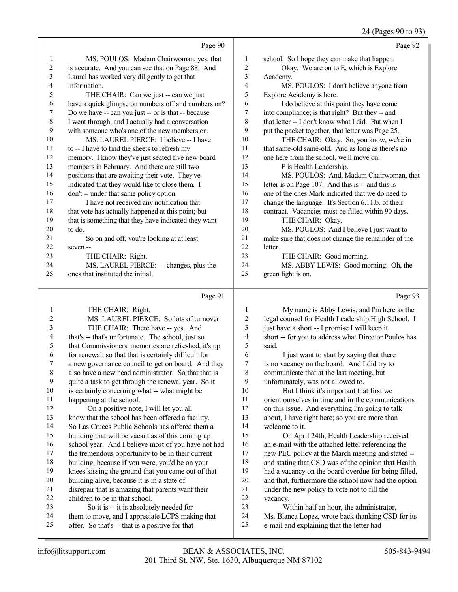## 24 (Pages 90 to 93)

|                | Page 90                                                                                         |                | Page 92                                                                                        |
|----------------|-------------------------------------------------------------------------------------------------|----------------|------------------------------------------------------------------------------------------------|
| $\mathbf{1}$   | MS. POULOS: Madam Chairwoman, yes, that                                                         | $\mathbf{1}$   | school. So I hope they can make that happen.                                                   |
| 2              | is accurate. And you can see that on Page 88. And                                               | 2              | Okay. We are on to E, which is Explore                                                         |
| 3              | Laurel has worked very diligently to get that                                                   | 3              | Academy.                                                                                       |
| 4              | information.                                                                                    | 4              | MS. POULOS: I don't believe anyone from                                                        |
| 5              | THE CHAIR: Can we just -- can we just                                                           | 5              | Explore Academy is here.                                                                       |
| 6              | have a quick glimpse on numbers off and numbers on?                                             | 6              | I do believe at this point they have come                                                      |
| 7              | Do we have -- can you just -- or is that -- because                                             | 7              | into compliance; is that right? But they -- and                                                |
| $\,$ $\,$      | I went through, and I actually had a conversation                                               | $\,$ $\,$      | that letter -- I don't know what I did. But when I                                             |
| 9              | with someone who's one of the new members on.                                                   | 9              | put the packet together, that letter was Page 25.                                              |
| 10             | MS. LAUREL PIERCE: I believe -- I have                                                          | 10             | THE CHAIR: Okay. So, you know, we're in                                                        |
| 11             | to -- I have to find the sheets to refresh my                                                   | 11             | that same-old same-old. And as long as there's no                                              |
| 12             | memory. I know they've just seated five new board                                               | 12             | one here from the school, we'll move on.                                                       |
| 13             | members in February. And there are still two                                                    | 13             | F is Health Leadership.                                                                        |
| 14             | positions that are awaiting their vote. They've                                                 | 14             | MS. POULOS: And, Madam Chairwoman, that                                                        |
| 15             | indicated that they would like to close them. I                                                 | 15<br>16       | letter is on Page 107. And this is -- and this is                                              |
| 16<br>17       | don't -- under that same policy option.                                                         | 17             | one of the ones Mark indicated that we do need to                                              |
| 18             | I have not received any notification that<br>that vote has actually happened at this point; but | 18             | change the language. It's Section 6.11.b. of their                                             |
| 19             | that is something that they have indicated they want                                            | 19             | contract. Vacancies must be filled within 90 days.<br>THE CHAIR: Okay.                         |
| 20             | to do.                                                                                          | 20             | MS. POULOS: And I believe I just want to                                                       |
| 21             | So on and off, you're looking at at least                                                       | $21\,$         | make sure that does not change the remainder of the                                            |
| $22\,$         | seven-                                                                                          | 22             | letter.                                                                                        |
| 23             | THE CHAIR: Right.                                                                               | 23             | THE CHAIR: Good morning.                                                                       |
| 24             | MS. LAUREL PIERCE: -- changes, plus the                                                         | 24             | MS. ABBY LEWIS: Good morning. Oh, the                                                          |
| 25             | ones that instituted the initial.                                                               | 25             | green light is on.                                                                             |
|                |                                                                                                 |                |                                                                                                |
|                |                                                                                                 |                |                                                                                                |
|                | Page 91                                                                                         |                | Page 93                                                                                        |
| $\mathbf{1}$   | THE CHAIR: Right.                                                                               | 1              | My name is Abby Lewis, and I'm here as the                                                     |
| $\overline{c}$ | MS. LAUREL PIERCE: So lots of turnover.                                                         | $\overline{c}$ | legal counsel for Health Leadership High School. I                                             |
| $\mathfrak{Z}$ | THE CHAIR: There have -- yes. And                                                               | $\mathfrak{Z}$ | just have a short -- I promise I will keep it                                                  |
| 4              | that's -- that's unfortunate. The school, just so                                               | 4              | short -- for you to address what Director Poulos has                                           |
| 5              | that Commissioners' memories are refreshed, it's up                                             | 5              | said.                                                                                          |
| 6              | for renewal, so that that is certainly difficult for                                            | 6              | I just want to start by saying that there                                                      |
| 7              | a new governance council to get on board. And they                                              | 7              | is no vacancy on the board. And I did try to                                                   |
| $\,$ $\,$      | also have a new head administrator. So that that is                                             | 8              | communicate that at the last meeting, but                                                      |
| 9              | quite a task to get through the renewal year. So it                                             | 9<br>10        | unfortunately, was not allowed to.                                                             |
| $10\,$<br>11   | is certainly concerning what -- what might be                                                   | 11             | But I think it's important that first we<br>orient ourselves in time and in the communications |
| 12             | happening at the school.<br>On a positive note, I will let you all                              | 12             | on this issue. And everything I'm going to talk                                                |
| 13             | know that the school has been offered a facility.                                               | 13             | about, I have right here; so you are more than                                                 |
| 14             | So Las Cruces Public Schools has offered them a                                                 | 14             | welcome to it.                                                                                 |
| 15             | building that will be vacant as of this coming up                                               | 15             | On April 24th, Health Leadership received                                                      |
| 16             | school year. And I believe most of you have not had                                             | 16             | an e-mail with the attached letter referencing the                                             |
| 17             | the tremendous opportunity to be in their current                                               | 17             | new PEC policy at the March meeting and stated --                                              |
| $18\,$         | building, because if you were, you'd be on your                                                 | $18\,$         | and stating that CSD was of the opinion that Health                                            |
| 19             | knees kissing the ground that you came out of that                                              | 19             | had a vacancy on the board overdue for being filled,                                           |
| 20             | building alive, because it is in a state of                                                     | $20\,$         | and that, furthermore the school now had the option                                            |
| 21             | disrepair that is amazing that parents want their                                               | 21             | under the new policy to vote not to fill the                                                   |
| 22             | children to be in that school.                                                                  | $22\,$         | vacancy.                                                                                       |
| 23<br>24       | So it is -- it is absolutely needed for<br>them to move, and I appreciate LCPS making that      | 23<br>24       | Within half an hour, the administrator,<br>Ms. Blanca Lopez, wrote back thanking CSD for its   |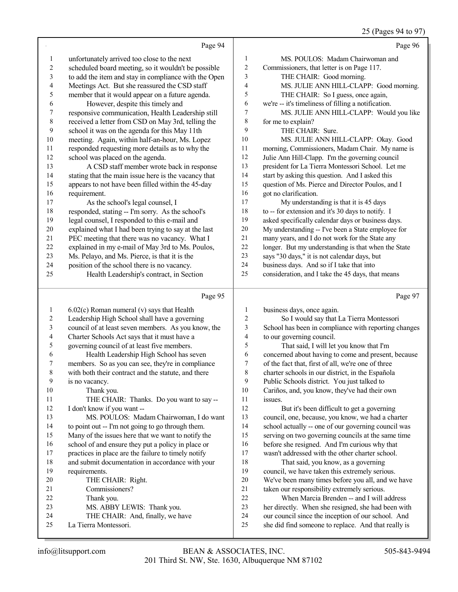|                          |                                                      |                         | 25 (Pages 94 to 97)                                  |
|--------------------------|------------------------------------------------------|-------------------------|------------------------------------------------------|
|                          | Page 94                                              |                         | Page 96                                              |
| 1                        | unfortunately arrived too close to the next          | $\mathbf{1}$            | MS. POULOS: Madam Chairwoman and                     |
| $\overline{c}$           | scheduled board meeting, so it wouldn't be possible  | $\overline{c}$          | Commissioners, that letter is on Page 117.           |
| 3                        | to add the item and stay in compliance with the Open | 3                       | THE CHAIR: Good morning.                             |
| $\overline{\mathcal{A}}$ | Meetings Act. But she reassured the CSD staff        | 4                       | MS. JULIE ANN HILL-CLAPP: Good morning.              |
| 5                        | member that it would appear on a future agenda.      | 5                       | THE CHAIR: So I guess, once again,                   |
| 6                        | However, despite this timely and                     | 6                       | we're -- it's timeliness of filling a notification.  |
| $\boldsymbol{7}$         | responsive communication, Health Leadership still    | 7                       | MS. JULIE ANN HILL-CLAPP: Would you like             |
| $\,$ 8 $\,$              | received a letter from CSD on May 3rd, telling the   | 8                       | for me to explain?                                   |
| $\mathbf{9}$             | school it was on the agenda for this May 11th        | 9                       | THE CHAIR: Sure.                                     |
| $10\,$                   | meeting. Again, within half-an-hour, Ms. Lopez       | 10                      | MS. JULIE ANN HILL-CLAPP: Okay. Good                 |
| 11                       | responded requesting more details as to why the      | $11\,$                  | morning, Commissioners, Madam Chair. My name is      |
| 12                       | school was placed on the agenda.                     | 12                      | Julie Ann Hill-Clapp. I'm the governing council      |
| 13                       | A CSD staff member wrote back in response            | 13                      | president for La Tierra Montessori School. Let me    |
| 14                       | stating that the main issue here is the vacancy that | 14                      | start by asking this question. And I asked this      |
| 15                       | appears to not have been filled within the 45-day    | 15                      | question of Ms. Pierce and Director Poulos, and I    |
| 16                       | requirement.                                         | 16                      | got no clarification.                                |
| 17                       | As the school's legal counsel, I                     | 17                      | My understanding is that it is 45 days               |
| $18\,$                   | responded, stating -- I'm sorry. As the school's     | 18                      | to -- for extension and it's 30 days to notify. I    |
| 19                       | legal counsel, I responded to this e-mail and        | 19                      | asked specifically calendar days or business days.   |
| $20\,$                   | explained what I had been trying to say at the last  | 20                      | My understanding -- I've been a State employee for   |
| 21                       | PEC meeting that there was no vacancy. What I        | 21                      | many years, and I do not work for the State any      |
| $22\,$                   | explained in my e-mail of May 3rd to Ms. Poulos,     | $22\,$                  | longer. But my understanding is that when the State  |
| 23                       | Ms. Pelayo, and Ms. Pierce, is that it is the        | 23                      | says "30 days," it is not calendar days, but         |
| 24                       | position of the school there is no vacancy.          | 24                      | business days. And so if I take that into            |
| 25                       | Health Leadership's contract, in Section             | 25                      | consideration, and I take the 45 days, that means    |
|                          |                                                      |                         |                                                      |
|                          | Page 95                                              |                         | Page 97                                              |
| $\mathbf{1}$             | $6.02(c)$ Roman numeral (v) says that Health         | 1                       | business days, once again.                           |
| $\overline{c}$           | Leadership High School shall have a governing        | $\sqrt{2}$              | So I would say that La Tierra Montessori             |
| $\mathfrak{Z}$           | council of at least seven members. As you know, the  | 3                       | School has been in compliance with reporting changes |
| $\overline{\mathcal{L}}$ | Charter Schools Act says that it must have a         | $\overline{\mathbf{4}}$ | to our governing council.                            |
| 5                        | governing council of at least five members.          | 5                       | That said, I will let you know that I'm              |
| 6                        | Health Leadership High School has seven              | 6                       | concerned about having to come and present, because  |
| 7                        | members. So as you can see, they're in compliance    | $\overline{7}$          | of the fact that, first of all, we're one of three   |
| 8                        | with both their contract and the statute, and there  | 8                       | charter schools in our district, in the Española     |
| 9                        | is no vacancy.                                       | 9                       | Public Schools district. You just talked to          |
| 10                       | Thank you.                                           | $10\,$                  | Cariños, and, you know, they've had their own        |
| 11                       | THE CHAIR: Thanks. Do you want to say --             | 11                      | issues.                                              |
| 12                       | I don't know if you want --                          | 12                      | But it's been difficult to get a governing           |
| 13                       | MS. POULOS: Madam Chairwoman, I do want              | 13                      | council, one, because, you know, we had a charter    |
| 14                       | to point out -- I'm not going to go through them.    | 14                      | school actually -- one of our governing council was  |
| 15                       | Many of the issues here that we want to notify the   | 15                      | serving on two governing councils at the same time   |
| 16                       | school of and ensure they put a policy in place or   | 16                      | before she resigned. And I'm curious why that        |
| 17                       | practices in place are the failure to timely notify  | 17                      | wasn't addressed with the other charter school.      |
| 18                       | and submit documentation in accordance with your     | 18                      | That said, you know, as a governing                  |
| 19                       | requirements.                                        | 19                      | council, we have taken this extremely serious.       |
| 20                       | THE CHAIR: Right.                                    | $20\,$                  | We've been many times before you all, and we have    |
| 21                       | Commissioners?                                       | 21                      | taken our responsibility extremely serious.          |
| 22                       | Thank vou.                                           | 22                      | When Marcia Brenden -- and I will address            |

21 Commissioners?<br>22 Thank vou. 22 Thank you.<br>23 MS. ABBY 23 MS. ABBY LEWIS: Thank you.<br>24 THE CHAIR: And. finally, we ha 24 THE CHAIR: And, finally, we have<br>25 La Tierra Montessori.

La Tierra Montessori.

23 her directly. When she resigned, she had been with<br>24 our council since the inception of our school. And 24 our council since the inception of our school. And<br>25 she did find someone to replace. And that really is she did find someone to replace. And that really is

22 When Marcia Brenden -- and I will address<br>23 her directly. When she resigned, she had been wit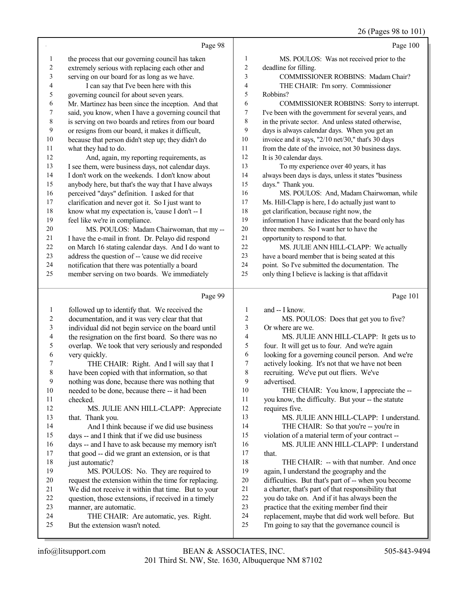## 26 (Pages 98 to 101)

|                | Page 98                                                                  |                         | Page 100                                                                                             |
|----------------|--------------------------------------------------------------------------|-------------------------|------------------------------------------------------------------------------------------------------|
| $\mathbf{1}$   | the process that our governing council has taken                         | 1                       | MS. POULOS: Was not received prior to the                                                            |
| $\overline{c}$ | extremely serious with replacing each other and                          | $\overline{\mathbf{c}}$ | deadline for filling.                                                                                |
| 3              | serving on our board for as long as we have.                             | 3                       | COMMISSIONER ROBBINS: Madam Chair?                                                                   |
| 4              | I can say that I've been here with this                                  | 4                       | THE CHAIR: I'm sorry. Commissioner                                                                   |
| 5              | governing council for about seven years.                                 | 5                       | Robbins?                                                                                             |
| 6              | Mr. Martinez has been since the inception. And that                      | 6                       | COMMISSIONER ROBBINS: Sorry to interrupt.                                                            |
| 7              | said, you know, when I have a governing council that                     | 7                       | I've been with the government for several years, and                                                 |
| $\,$ $\,$      | is serving on two boards and retires from our board                      | 8                       | in the private sector. And unless stated otherwise,                                                  |
| 9              | or resigns from our board, it makes it difficult,                        | 9                       | days is always calendar days. When you get an                                                        |
| 10             | because that person didn't step up; they didn't do                       | 10                      | invoice and it says, "2/10 net/30," that's 30 days                                                   |
| 11             | what they had to do.                                                     | 11                      | from the date of the invoice, not 30 business days.                                                  |
| 12             | And, again, my reporting requirements, as                                | 12                      | It is 30 calendar days.                                                                              |
| 13             | I see them, were business days, not calendar days.                       | 13                      | To my experience over 40 years, it has                                                               |
| 14             | I don't work on the weekends. I don't know about                         | 14                      | always been days is days, unless it states "business                                                 |
| 15             | anybody here, but that's the way that I have always                      | 15                      | days." Thank you.                                                                                    |
| 16             | perceived "days" definition. I asked for that                            | 16                      | MS. POULOS: And, Madam Chairwoman, while                                                             |
| 17             | clarification and never got it. So I just want to                        | 17                      | Ms. Hill-Clapp is here, I do actually just want to                                                   |
| 18             | know what my expectation is, 'cause I don't -- I                         | 18                      | get clarification, because right now, the                                                            |
| 19             | feel like we're in compliance.                                           | 19                      | information I have indicates that the board only has                                                 |
| $20\,$         | MS. POULOS: Madam Chairwoman, that my --                                 | $20\,$                  | three members. So I want her to have the                                                             |
| 21             | I have the e-mail in front. Dr. Pelayo did respond                       | $21\,$                  | opportunity to respond to that.                                                                      |
| $22\,$         | on March 16 stating calendar days. And I do want to                      | $22\,$                  | MS. JULIE ANN HILL-CLAPP: We actually                                                                |
| 23             | address the question of -- 'cause we did receive                         | 23                      | have a board member that is being seated at this                                                     |
| 24             | notification that there was potentially a board                          | 24                      | point. So I've submitted the documentation. The                                                      |
| 25             | member serving on two boards. We immediately                             | 25                      | only thing I believe is lacking is that affidavit                                                    |
|                |                                                                          |                         |                                                                                                      |
|                | Page 99                                                                  |                         | Page 101                                                                                             |
|                |                                                                          |                         |                                                                                                      |
| $\mathbf{1}$   | followed up to identify that. We received the                            | 1                       | and -- I know.                                                                                       |
| 2              | documentation, and it was very clear that that                           | 2                       | MS. POULOS: Does that get you to five?<br>Or where are we.                                           |
| 3<br>4         | individual did not begin service on the board until                      | 3<br>4                  | MS. JULIE ANN HILL-CLAPP: It gets us to                                                              |
| 5              | the resignation on the first board. So there was no                      | 5                       | four. It will get us to four. And we're again                                                        |
| 6              | overlap. We took that very seriously and responded<br>very quickly.      | 6                       | looking for a governing council person. And we're                                                    |
| 7              | THE CHAIR: Right. And I will say that I                                  | 7                       | actively looking. It's not that we have not been                                                     |
| 8              | have been copied with that information, so that                          | 8                       | recruiting. We've put out fliers. We've                                                              |
| 9              | nothing was done, because there was nothing that                         | 9                       | advertised.                                                                                          |
| 10             | needed to be done, because there -- it had been                          | 10                      | THE CHAIR: You know, I appreciate the --                                                             |
| 11             | checked.                                                                 | 11                      | you know, the difficulty. But your -- the statute                                                    |
| 12             | MS. JULIE ANN HILL-CLAPP: Appreciate                                     | 12                      | requires five.                                                                                       |
| 13             | that. Thank you.                                                         | 13                      | MS. JULIE ANN HILL-CLAPP: I understand.                                                              |
| 14             | And I think because if we did use business                               | 14                      | THE CHAIR: So that you're -- you're in                                                               |
| 15             | days -- and I think that if we did use business                          | 15                      | violation of a material term of your contract --                                                     |
| 16             | days -- and I have to ask because my memory isn't                        | 16                      | MS. JULIE ANN HILL-CLAPP: I understand                                                               |
| 17             | that good -- did we grant an extension, or is that                       | 17                      | that.                                                                                                |
| 18             | just automatic?                                                          | 18                      | THE CHAIR: -- with that number. And once                                                             |
| 19             | MS. POULOS: No. They are required to                                     | 19                      | again, I understand the geography and the                                                            |
| 20             | request the extension within the time for replacing.                     | 20                      | difficulties. But that's part of -- when you become                                                  |
| 21             | We did not receive it within that time. But to your                      | 21                      | a charter, that's part of that responsibility that                                                   |
| 22             | question, those extensions, if received in a timely                      | 22                      | you do take on. And if it has always been the                                                        |
| 23             | manner, are automatic.                                                   | 23                      | practice that the exiting member find their                                                          |
| 24<br>25       | THE CHAIR: Are automatic, yes. Right.<br>But the extension wasn't noted. | 24<br>25                | replacement, maybe that did work well before. But<br>I'm going to say that the governance council is |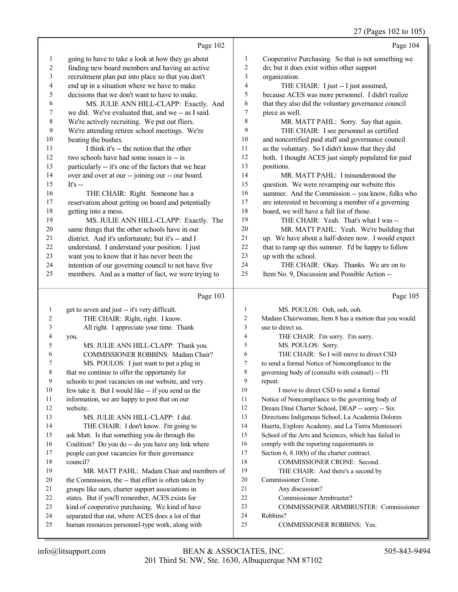27 (Pages 102 to 105)

|                         | Page 102                                                                                             |                         | Page 104                                             |
|-------------------------|------------------------------------------------------------------------------------------------------|-------------------------|------------------------------------------------------|
| 1                       | going to have to take a look at how they go about                                                    | 1                       | Cooperative Purchasing. So that is not something we  |
| 2                       | finding new board members and having an active                                                       | $\overline{\mathbf{c}}$ | do; but it does exist within other support           |
| $\overline{\mathbf{3}}$ | recruitment plan put into place so that you don't                                                    | 3                       | organization.                                        |
| 4                       | end up in a situation where we have to make                                                          | 4                       | THE CHAIR: I just -- I just assumed,                 |
| 5                       | decisions that we don't want to have to make.                                                        | 5                       | because ACES was more personnel. I didn't realize    |
| 6                       | MS. JULIE ANN HILL-CLAPP: Exactly. And                                                               | 6                       | that they also did the voluntary governance council  |
| 7                       | we did. We've evaluated that, and we -- as I said.                                                   | 7                       | piece as well.                                       |
| 8                       | We're actively recruiting. We put out fliers.                                                        | 8                       | MR. MATT PAHL: Sorry. Say that again.                |
| 9                       | We're attending retiree school meetings. We're                                                       | 9                       | THE CHAIR: I see personnel as certified              |
| $10\,$                  | beating the bushes.                                                                                  | 10                      | and noncertified paid staff and governance council   |
| 11                      | I think it's -- the notion that the other                                                            | 11                      | as the voluntary. So I didn't know that they did     |
| 12                      | two schools have had some issues is -- is                                                            | 12                      | both. I thought ACES just simply populated for paid  |
| 13                      | particularly -- it's one of the factors that we hear                                                 | 13                      | positions.                                           |
| 14                      | over and over at our -- joining our -- our board.                                                    | 14                      | MR. MATT PAHL: I misunderstood the                   |
| 15                      | It's $-$                                                                                             | 15                      | question. We were revamping our website this         |
| 16                      | THE CHAIR: Right. Someone has a                                                                      | 16                      | summer. And the Commission -- you know, folks who    |
| 17                      | reservation about getting on board and potentially                                                   | 17                      | are interested in becoming a member of a governing   |
| 18                      | getting into a mess.                                                                                 | 18                      | board, we will have a full list of those.            |
| 19                      | MS. JULIE ANN HILL-CLAPP: Exactly. The                                                               | 19                      | THE CHAIR: Yeah. That's what I was --                |
| $20\,$                  | same things that the other schools have in our                                                       | $20\,$                  | MR. MATT PAHL: Yeah. We're building that             |
| 21                      | district. And it's unfortunate; but it's -- and I                                                    | $21\,$                  | up. We have about a half-dozen now. I would expect   |
| $22\,$                  | understand. I understand your position. I just                                                       | 22                      | that to ramp up this summer. I'd be happy to follow  |
| 23                      | want you to know that it has never been the                                                          | 23                      | up with the school.                                  |
| 24                      | intention of our governing council to not have five                                                  | 24                      | THE CHAIR: Okay. Thanks. We are on to                |
| 25                      | members. And as a matter of fact, we were trying to                                                  | 25                      | Item No. 9, Discussion and Possible Action --        |
|                         |                                                                                                      |                         |                                                      |
|                         | Page 103                                                                                             |                         | Page 105                                             |
| 1                       | get to seven and just -- it's very difficult.                                                        | 1                       | MS. POULOS: Ooh, ooh, ooh.                           |
| 2                       | THE CHAIR: Right, right. I know.                                                                     | $\overline{c}$          | Madam Chairwoman, Item 8 has a motion that you would |
| 3                       | All right. I appreciate your time. Thank                                                             | 3                       | use to direct us.                                    |
| 4                       | you.                                                                                                 | $\overline{4}$          | THE CHAIR: I'm sorry. I'm sorry.                     |
| 5                       | MS. JULIE ANN HILL-CLAPP: Thank you.                                                                 | 5                       | MS. POULOS: Sorry.                                   |
| 6                       | COMMISSIONER ROBBINS: Madam Chair?                                                                   | 6                       | THE CHAIR: So I will move to direct CSD              |
| 7                       | MS. POULOS: I just want to put a plug in                                                             | 7                       | to send a formal Notice of Noncompliance to the      |
| $\,$ 8 $\,$             | that we continue to offer the opportunity for                                                        | $\,$ $\,$               | governing body of (consults with counsel) -- I'll    |
| 9                       | schools to post vacancies on our website, and very                                                   | 9                       | repeat.                                              |
| 10                      | few take it. But I would like -- if you send us the                                                  | 10                      | I move to direct CSD to send a formal                |
| 11                      | information, we are happy to post that on our                                                        | 11                      | Notice of Noncompliance to the governing body of     |
| 12                      | website.                                                                                             | 12                      | Dream Diné Charter School, DEAP -- sorry -- Six      |
| 13                      | MS. JULIE ANN HILL-CLAPP: I did.                                                                     | 13                      | Directions Indigenous School, La Academia Dolores    |
| 14                      | THE CHAIR: I don't know. I'm going to                                                                | 14                      | Huerta, Explore Academy, and La Tierra Montessori    |
| 15                      | ask Matt. Is that something you do through the                                                       | 15                      | School of the Arts and Sciences, which has failed to |
| 16                      | Coalition? Do you do -- do you have any link where                                                   | 16                      | comply with the reporting requirements in            |
| 17                      | people can post vacancies for their governance                                                       | 17                      | Section $6, 8.10(b)$ of the charter contract.        |
| 18                      | council?                                                                                             | 18                      | COMMISSIONER CRONE: Second.                          |
| 19                      | MR. MATT PAHL: Madam Chair and members of                                                            | 19                      | THE CHAIR: And there's a second by                   |
| 20                      | the Commission, the -- that effort is often taken by                                                 | 20                      | Commissioner Crone.                                  |
| 21                      | groups like ours, charter support associations in                                                    | 21                      | Any discussion?                                      |
| 22<br>23                | states. But if you'll remember, ACES exists for                                                      | 22<br>23                | Commissioner Armbruster?                             |
| 24                      | kind of cooperative purchasing. We kind of have<br>separated that out, where ACES does a lot of that | 24                      | COMMISSIONER ARMBRUSTER: Commissioner<br>Robbins?    |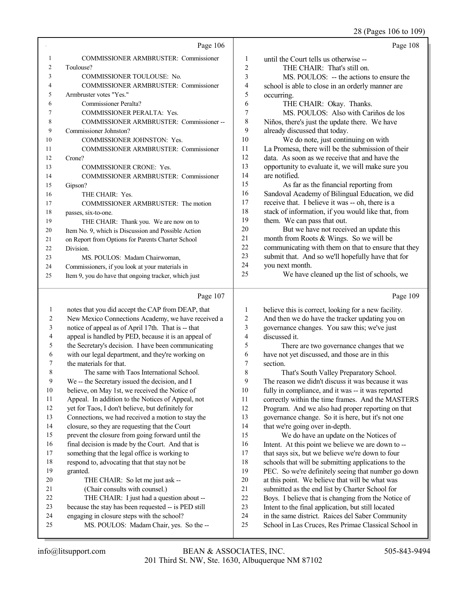28 (Pages 106 to 109)

|    | Page 106                                             |    | Page 108                                            |
|----|------------------------------------------------------|----|-----------------------------------------------------|
| 1  | <b>COMMISSIONER ARMBRUSTER: Commissioner</b>         | 1  | until the Court tells us otherwise --               |
| 2  | Toulouse?                                            | 2  | THE CHAIR: That's still on.                         |
| 3  | <b>COMMISSIONER TOULOUSE: No.</b>                    | 3  | MS. POULOS: -- the actions to ensure the            |
| 4  | <b>COMMISSIONER ARMBRUSTER: Commissioner</b>         | 4  | school is able to close in an orderly manner are    |
| 5  | Armbruster votes "Yes."                              | 5  | occurring.                                          |
| 6  | Commissioner Peralta?                                | 6  | THE CHAIR: Okay. Thanks.                            |
| 7  | <b>COMMISSIONER PERALTA: Yes.</b>                    | 7  | MS. POULOS: Also with Cariños de los                |
| 8  | COMMISSIONER ARMBRUSTER: Commissioner--              | 8  | Niños, there's just the update there. We have       |
| 9  | Commissioner Johnston?                               | 9  | already discussed that today.                       |
| 10 | <b>COMMISSIONER JOHNSTON: Yes.</b>                   | 10 | We do note, just continuing on with                 |
| 11 | <b>COMMISSIONER ARMBRUSTER: Commissioner</b>         | 11 | La Promesa, there will be the submission of their   |
| 12 | Crone?                                               | 12 | data. As soon as we receive that and have the       |
| 13 | <b>COMMISSIONER CRONE: Yes.</b>                      | 13 | opportunity to evaluate it, we will make sure you   |
| 14 | <b>COMMISSIONER ARMBRUSTER: Commissioner</b>         | 14 | are notified.                                       |
| 15 | Gipson?                                              | 15 | As far as the financial reporting from              |
| 16 | THE CHAIR: Yes.                                      | 16 | Sandoval Academy of Bilingual Education, we did     |
| 17 | COMMISSIONER ARMBRUSTER: The motion                  | 17 | receive that. I believe it was -- oh, there is a    |
| 18 | passes, six-to-one.                                  | 18 | stack of information, if you would like that, from  |
| 19 | THE CHAIR: Thank you. We are now on to               | 19 | them. We can pass that out.                         |
| 20 | Item No. 9, which is Discussion and Possible Action  | 20 | But we have not received an update this             |
| 21 | on Report from Options for Parents Charter School    | 21 | month from Roots & Wings. So we will be             |
| 22 | Division.                                            | 22 | communicating with them on that to ensure that they |
| 23 | MS. POULOS: Madam Chairwoman,                        | 23 | submit that. And so we'll hopefully have that for   |
| 24 | Commissioners, if you look at your materials in      | 24 | you next month.                                     |
| 25 | Item 9, you do have that ongoing tracker, which just | 25 | We have cleaned up the list of schools, we          |
|    |                                                      |    |                                                     |

### Page

|    | Page 107                                             |    | Page 109                                             |
|----|------------------------------------------------------|----|------------------------------------------------------|
| 1  | notes that you did accept the CAP from DEAP, that    | 1  | believe this is correct, looking for a new facility. |
| 2  | New Mexico Connections Academy, we have received a   | 2  | And then we do have the tracker updating you on      |
| 3  | notice of appeal as of April 17th. That is -- that   | 3  | governance changes. You saw this; we've just         |
| 4  | appeal is handled by PED, because it is an appeal of | 4  | discussed it.                                        |
| 5  | the Secretary's decision. I have been communicating  | 5  | There are two governance changes that we             |
| 6  | with our legal department, and they're working on    | 6  | have not yet discussed, and those are in this        |
| 7  | the materials for that.                              | 7  | section.                                             |
| 8  | The same with Taos International School.             | 8  | That's South Valley Preparatory School.              |
| 9  | We -- the Secretary issued the decision, and I       | 9  | The reason we didn't discuss it was because it was   |
| 10 | believe, on May 1st, we received the Notice of       | 10 | fully in compliance, and it was -- it was reported   |
| 11 | Appeal. In addition to the Notices of Appeal, not    | 11 | correctly within the time frames. And the MASTERS    |
| 12 | yet for Taos, I don't believe, but definitely for    | 12 | Program. And we also had proper reporting on that    |
| 13 | Connections, we had received a motion to stay the    | 13 | governance change. So it is here, but it's not one   |
| 14 | closure, so they are requesting that the Court       | 14 | that we're going over in-depth.                      |
| 15 | prevent the closure from going forward until the     | 15 | We do have an update on the Notices of               |
| 16 | final decision is made by the Court. And that is     | 16 | Intent. At this point we believe we are down to --   |
| 17 | something that the legal office is working to        | 17 | that says six, but we believe we're down to four     |
| 18 | respond to, advocating that that stay not be         | 18 | schools that will be submitting applications to the  |
| 19 | granted.                                             | 19 | PEC. So we're definitely seeing that number go down  |
| 20 | THE CHAIR: So let me just ask --                     | 20 | at this point. We believe that will be what was      |
| 21 | (Chair consults with counsel.)                       | 21 | submitted as the end list by Charter School for      |
| 22 | THE CHAIR: I just had a question about --            | 22 | Boys. I believe that is changing from the Notice of  |
| 23 | because the stay has been requested -- is PED still  | 23 | Intent to the final application, but still located   |
| 24 | engaging in closure steps with the school?           | 24 | in the same district. Raices del Saber Community     |
| 25 | MS. POULOS: Madam Chair, yes. So the --              | 25 | School in Las Cruces, Res Primae Classical School in |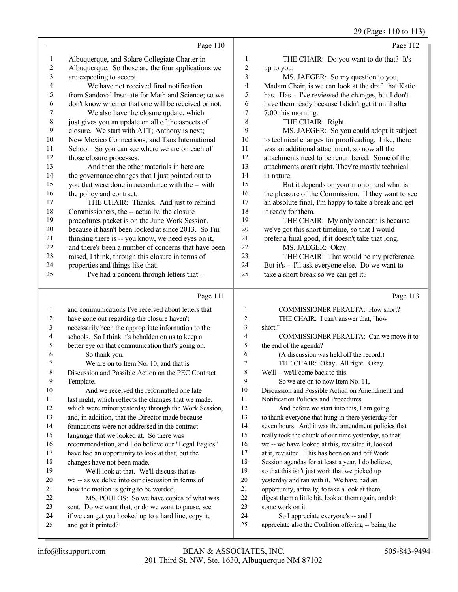29 (Pages 110 to 113)

|                | Page 110                                                                                                 |                | Page 112                                                                                   |
|----------------|----------------------------------------------------------------------------------------------------------|----------------|--------------------------------------------------------------------------------------------|
| 1              | Albuquerque, and Solare Collegiate Charter in                                                            | 1              | THE CHAIR: Do you want to do that? It's                                                    |
| $\overline{c}$ | Albuquerque. So those are the four applications we                                                       | $\overline{c}$ | up to you.                                                                                 |
| 3              | are expecting to accept.                                                                                 | 3              | MS. JAEGER: So my question to you,                                                         |
| 4              | We have not received final notification                                                                  | 4              | Madam Chair, is we can look at the draft that Katie                                        |
| 5              | from Sandoval Institute for Math and Science; so we                                                      | 5              | has. Has -- I've reviewed the changes, but I don't                                         |
| 6              | don't know whether that one will be received or not.                                                     | 6              | have them ready because I didn't get it until after                                        |
| 7              | We also have the closure update, which                                                                   | 7              | 7:00 this morning.                                                                         |
| $\,$ 8 $\,$    | just gives you an update on all of the aspects of                                                        | 8              | THE CHAIR: Right.                                                                          |
| 9              | closure. We start with ATT; Anthony is next;                                                             | 9              | MS. JAEGER: So you could adopt it subject                                                  |
| 10             | New Mexico Connections; and Taos International                                                           | 10             | to technical changes for proofreading. Like, there                                         |
| 11             | School. So you can see where we are on each of                                                           | 11             | was an additional attachment, so now all the                                               |
| 12             | those closure processes.                                                                                 | 12             | attachments need to be renumbered. Some of the                                             |
| 13             | And then the other materials in here are                                                                 | 13             | attachments aren't right. They're mostly technical                                         |
| 14             | the governance changes that I just pointed out to                                                        | 14             | in nature.                                                                                 |
| 15             | you that were done in accordance with the -- with                                                        | 15             | But it depends on your motion and what is                                                  |
| 16             | the policy and contract.                                                                                 | 16             | the pleasure of the Commission. If they want to see                                        |
| 17             | THE CHAIR: Thanks. And just to remind                                                                    | 17             | an absolute final, I'm happy to take a break and get                                       |
| 18             | Commissioners, the -- actually, the closure                                                              | 18             | it ready for them.                                                                         |
| 19             | procedures packet is on the June Work Session,                                                           | 19             | THE CHAIR: My only concern is because                                                      |
| 20             | because it hasn't been looked at since 2013. So I'm                                                      | 20             | we've got this short timeline, so that I would                                             |
| 21             | thinking there is -- you know, we need eyes on it,                                                       | 21             | prefer a final good, if it doesn't take that long.                                         |
| 22             | and there's been a number of concerns that have been                                                     | 22             | MS. JAEGER: Okay.                                                                          |
| 23             | raised, I think, through this closure in terms of                                                        | 23             | THE CHAIR: That would be my preference.                                                    |
| 24             | properties and things like that.                                                                         | 24             | But it's -- I'll ask everyone else. Do we want to                                          |
| 25             | I've had a concern through letters that --                                                               | 25             | take a short break so we can get it?                                                       |
|                |                                                                                                          |                |                                                                                            |
|                |                                                                                                          |                |                                                                                            |
|                | Page 111                                                                                                 |                | Page 113                                                                                   |
| 1              | and communications I've received about letters that                                                      | 1              | COMMISSIONER PERALTA: How short?                                                           |
| 2              | have gone out regarding the closure haven't                                                              | $\overline{c}$ | THE CHAIR: I can't answer that, "how                                                       |
| 3              | necessarily been the appropriate information to the                                                      | 3              | short."                                                                                    |
| 4              | schools. So I think it's beholden on us to keep a                                                        | $\overline{4}$ | COMMISSIONER PERALTA: Can we move it to                                                    |
| 5              | better eye on that communication that's going on.                                                        | 5<br>6         | the end of the agenda?                                                                     |
| 6<br>7         | So thank you.                                                                                            | 7              | (A discussion was held off the record.)                                                    |
|                | We are on to Item No. 10, and that is                                                                    | 8              | THE CHAIR: Okay. All right. Okay.<br>We'll -- we'll come back to this.                     |
| 8<br>9         | Discussion and Possible Action on the PEC Contract                                                       | 9              |                                                                                            |
| 10             | Template.<br>And we received the reformatted one late                                                    | 10             | So we are on to now Item No. 11,<br>Discussion and Possible Action on Amendment and        |
| 11             |                                                                                                          | 11             | Notification Policies and Procedures.                                                      |
| 12             | last night, which reflects the changes that we made,                                                     | 12             | And before we start into this, I am going                                                  |
| 13             | which were minor yesterday through the Work Session,<br>and, in addition, that the Director made because | 13             | to thank everyone that hung in there yesterday for                                         |
| 14             | foundations were not addressed in the contract                                                           | 14             | seven hours. And it was the amendment policies that                                        |
| 15             | language that we looked at. So there was                                                                 | 15             | really took the chunk of our time yesterday, so that                                       |
| 16             | recommendation, and I do believe our "Legal Eagles"                                                      | 16             | we -- we have looked at this, revisited it, looked                                         |
| 17             | have had an opportunity to look at that, but the                                                         | 17             | at it, revisited. This has been on and off Work                                            |
| 18             | changes have not been made.                                                                              | 18             | Session agendas for at least a year, I do believe,                                         |
| 19             | We'll look at that. We'll discuss that as                                                                | 19             | so that this isn't just work that we picked up                                             |
| 20             | we -- as we delve into our discussion in terms of                                                        | 20             | yesterday and ran with it. We have had an                                                  |
| 21             | how the motion is going to be worded.                                                                    | $21\,$         | opportunity, actually, to take a look at them,                                             |
| 22             | MS. POULOS: So we have copies of what was                                                                | 22             | digest them a little bit, look at them again, and do                                       |
| 23             | sent. Do we want that, or do we want to pause, see                                                       | 23             | some work on it.                                                                           |
| 24<br>25       | if we can get you hooked up to a hard line, copy it,<br>and get it printed?                              | 24<br>25       | So I appreciate everyone's -- and I<br>appreciate also the Coalition offering -- being the |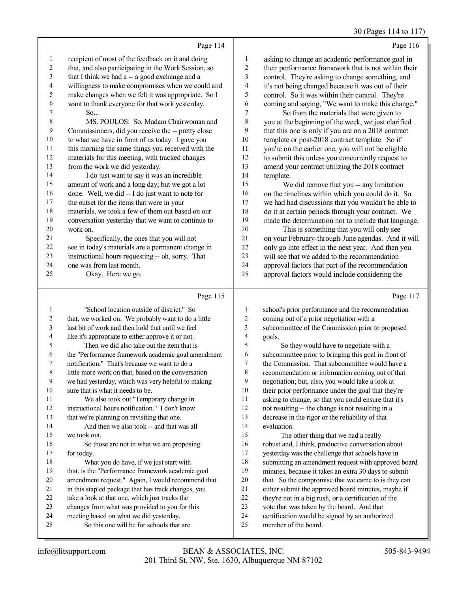## 30 (Pages 114 to 117)

|                  | Page 114                                                                            |                          | Page 116                                                               |
|------------------|-------------------------------------------------------------------------------------|--------------------------|------------------------------------------------------------------------|
| 1                | recipient of most of the feedback on it and doing                                   | $\mathbf{1}$             | asking to change an academic performance goal in                       |
| 2                | that, and also participating in the Work Session, so                                | $\overline{c}$           | their performance framework that is not within their                   |
| $\mathfrak{Z}$   | that I think we had a -- a good exchange and a                                      | $\mathfrak{Z}$           | control. They're asking to change something, and                       |
| 4                | willingness to make compromises when we could and                                   | $\overline{\mathcal{L}}$ | it's not being changed because it was out of their                     |
| 5                | make changes when we felt it was appropriate. So I                                  | 5                        | control. So it was within their control. They're                       |
| 6                | want to thank everyone for that work yesterday.                                     | 6                        | coming and saying, "We want to make this change."                      |
| 7                | So                                                                                  | $\boldsymbol{7}$         | So from the materials that were given to                               |
| 8                | MS. POULOS: So, Madam Chairwoman and                                                | 8                        | you at the beginning of the week, we just clarified                    |
| 9                | Commissioners, did you receive the -- pretty close                                  | 9                        | that this one is only if you are on a 2018 contract                    |
| 10               | to what we have in front of us today. I gave you                                    | $10\,$                   | template or post-2018 contract template. So if                         |
| 11               | this morning the same things you received with the                                  | 11                       | you're on the earlier one, you will not be eligible                    |
| 12               | materials for this meeting, with tracked changes                                    | 12                       | to submit this unless you concurrently request to                      |
| 13               | from the work we did yesterday.                                                     | 13                       | amend your contract utilizing the 2018 contract                        |
| 14               | I do just want to say it was an incredible                                          | 14                       | template.                                                              |
| 15               | amount of work and a long day; but we got a lot                                     | 15                       | We did remove that you -- any limitation                               |
| 16               | done. Well, we did -- I do just want to note for                                    | 16                       | on the timelines within which you could do it. So                      |
| 17               | the outset for the items that were in your                                          | 17                       | we had had discussions that you wouldn't be able to                    |
| 18               | materials, we took a few of them out based on our                                   | 18                       | do it at certain periods through your contract. We                     |
| 19               | conversation yesterday that we want to continue to                                  | 19                       | made the determination not to include that language.                   |
| 20               | work on.                                                                            | $20\,$                   | This is something that you will only see                               |
| 21               | Specifically, the ones that you will not                                            | 21                       | on your February-through-June agendas. And it will                     |
| 22               | see in today's materials are a permanent change in                                  | 22                       | only go into effect in the next year. And then you                     |
| 23               | instructional hours requesting -- oh, sorry. That                                   | 23                       | will see that we added to the recommendation                           |
| 24               | one was from last month.                                                            | 24                       | approval factors that part of the recommendation                       |
| 25               | Okay. Here we go.                                                                   | 25                       | approval factors would include considering the                         |
|                  | Page 115                                                                            |                          | Page 117                                                               |
| 1                | "School location outside of district." So                                           | 1                        | school's prior performance and the recommendation                      |
| 2                | that, we worked on. We probably want to do a little                                 | 2                        | coming out of a prior negotiation with a                               |
| 3                | last bit of work and then hold that until we feel                                   | 3                        | subcommittee of the Commission prior to proposed                       |
| 4                | like it's appropriate to either approve it or not.                                  | 4                        | goals.                                                                 |
| 5                | Then we did also take out the item that is                                          | 5                        | So they would have to negotiate with a                                 |
| 6                | the "Performance framework academic goal amendment                                  | 6                        | subcommittee prior to bringing this goal in front of                   |
| 7                | notification." That's because we want to do a                                       | 7                        | the Commission. That subcommittee would have a                         |
| 8                | little more work on that, based on the conversation                                 | $\,$ 8 $\,$              | recommendation or information coming out of that                       |
| $\boldsymbol{9}$ | we had yesterday, which was very helpful to making                                  | 9                        | negotiation; but, also, you would take a look at                       |
| 10               | sure that is what it needs to be.                                                   | $10\,$                   | their prior performance under the goal that they're                    |
| 11               | We also took out "Temporary change in                                               | 11                       | asking to change, so that you could ensure that it's                   |
| 12               | instructional hours notification." I don't know                                     | 12                       | not resulting -- the change is not resulting in a                      |
| 13               | that we're planning on revisiting that one.                                         | 13                       | decrease in the rigor or the reliability of that                       |
| 14               | And then we also took -- and that was all                                           | 14                       | evaluation.                                                            |
| 15               | we took out.                                                                        | 15                       | The other thing that we had a really                                   |
| 16               | So those are not in what we are proposing                                           | 16                       | robust and, I think, productive conversation about                     |
| 17               | for today.                                                                          | 17                       | yesterday was the challenge that schools have in                       |
| 18               | What you do have, if we just start with                                             | 18                       | submitting an amendment request with approved board                    |
| 19               | that, is the "Performance framework academic goal                                   | 19                       | minutes, because it takes an extra 30 days to submit                   |
| 20               | amendment request." Again, I would recommend that                                   | $20\,$                   | that. So the compromise that we came to is they can                    |
| 21               | in this stapled package that has track changes, you                                 | $21\,$                   | either submit the approved board minutes, maybe if                     |
| 22               | take a look at that one, which just tracks the                                      | 22                       | they're not in a big rush, or a certification of the                   |
| 23<br>24         | changes from what was provided to you for this                                      | 23<br>24                 | vote that was taken by the board. And that                             |
| 25               | meeting based on what we did yesterday.<br>So this one will be for schools that are | $25\,$                   | certification would be signed by an authorized<br>member of the board. |
|                  |                                                                                     |                          |                                                                        |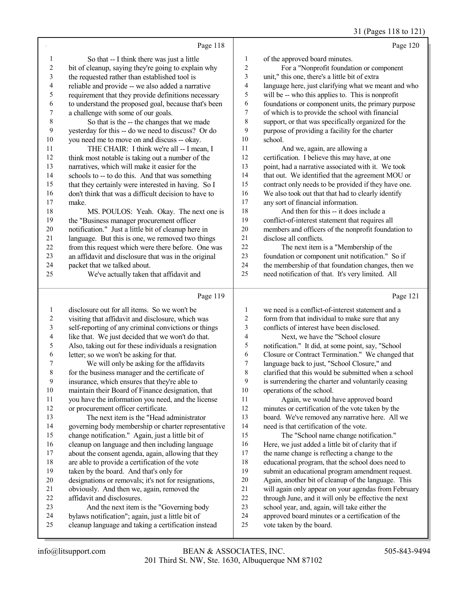31 (Pages 118 to 121)

|                |                                                                                               |                         | $51$ (1 $45$ $55$ 110 to 1.                                                                       |
|----------------|-----------------------------------------------------------------------------------------------|-------------------------|---------------------------------------------------------------------------------------------------|
|                | Page 118                                                                                      |                         | Page 120                                                                                          |
| 1              | So that -- I think there was just a little                                                    | 1                       | of the approved board minutes.                                                                    |
| $\overline{c}$ | bit of cleanup, saying they're going to explain why                                           | $\overline{c}$          | For a "Nonprofit foundation or component                                                          |
| 3              | the requested rather than established tool is                                                 | 3                       | unit," this one, there's a little bit of extra                                                    |
| 4              | reliable and provide -- we also added a narrative                                             | 4                       | language here, just clarifying what we meant and who                                              |
| 5              | requirement that they provide definitions necessary                                           | 5                       | will be -- who this applies to. This is nonprofit                                                 |
| 6              | to understand the proposed goal, because that's been                                          | 6                       | foundations or component units, the primary purpose                                               |
| 7              | a challenge with some of our goals.                                                           | $\boldsymbol{7}$        | of which is to provide the school with financial                                                  |
| $\,$ $\,$      | So that is the -- the changes that we made                                                    | 8                       | support, or that was specifically organized for the                                               |
| 9              | yesterday for this -- do we need to discuss? Or do                                            | 9                       | purpose of providing a facility for the charter                                                   |
| 10             | you need me to move on and discuss -- okay.                                                   | 10                      | school.                                                                                           |
| 11             | THE CHAIR: I think we're all -- I mean, I                                                     | 11                      | And we, again, are allowing a                                                                     |
| 12             | think most notable is taking out a number of the                                              | 12                      | certification. I believe this may have, at one                                                    |
| 13             | narratives, which will make it easier for the                                                 | 13                      | point, had a narrative associated with it. We took                                                |
| 14             | schools to -- to do this. And that was something                                              | 14                      | that out. We identified that the agreement MOU or                                                 |
| 15             | that they certainly were interested in having. So I                                           | 15                      | contract only needs to be provided if they have one.                                              |
| 16             | don't think that was a difficult decision to have to                                          | 16                      | We also took out that that had to clearly identify                                                |
| 17             | make.                                                                                         | 17                      | any sort of financial information.                                                                |
| 18             | MS. POULOS: Yeah. Okay. The next one is                                                       | 18                      | And then for this -- it does include a                                                            |
| 19             | the "Business manager procurement officer                                                     | 19                      | conflict-of-interest statement that requires all                                                  |
| 20             | notification." Just a little bit of cleanup here in                                           | 20                      | members and officers of the nonprofit foundation to                                               |
| 21             | language. But this is one, we removed two things                                              | 21                      | disclose all conflicts.                                                                           |
| $22\,$         | from this request which were there before. One was                                            | 22                      | The next item is a "Membership of the                                                             |
| 23             | an affidavit and disclosure that was in the original                                          | 23                      | foundation or component unit notification." So if                                                 |
| 24             | packet that we talked about.                                                                  | 24                      | the membership of that foundation changes, then we                                                |
| 25             | We've actually taken that affidavit and                                                       | 25                      | need notification of that. It's very limited. All                                                 |
|                | Page 119                                                                                      |                         | Page 121                                                                                          |
|                |                                                                                               |                         |                                                                                                   |
| 1              | disclosure out for all items. So we won't be                                                  | 1                       | we need is a conflict-of-interest statement and a                                                 |
| $\overline{c}$ | visiting that affidavit and disclosure, which was                                             | 2                       | form from that individual to make sure that any                                                   |
| 3              | self-reporting of any criminal convictions or things                                          | 3                       | conflicts of interest have been disclosed.                                                        |
| 4              | like that. We just decided that we won't do that.                                             | $\overline{\mathbf{4}}$ | Next, we have the "School closure                                                                 |
| 5              | Also, taking out for these individuals a resignation                                          | 5                       | notification." It did, at some point, say, "School                                                |
| 6              | letter; so we won't be asking for that.                                                       | 6                       | Closure or Contract Termination." We changed that                                                 |
| 7              | We will only be asking for the affidavits                                                     | 7                       | language back to just, "School Closure," and                                                      |
| $\,$ 8 $\,$    | for the business manager and the certificate of                                               | $\,$ 8 $\,$             | clarified that this would be submitted when a school                                              |
| 9              | insurance, which ensures that they're able to                                                 | 9                       | is surrendering the charter and voluntarily ceasing                                               |
| 10             | maintain their Board of Finance designation, that                                             | 10                      | operations of the school.                                                                         |
| 11             | you have the information you need, and the license                                            | 11                      | Again, we would have approved board                                                               |
| 12             | or procurement officer certificate.                                                           | 12                      | minutes or certification of the vote taken by the                                                 |
| 13             | The next item is the "Head administrator                                                      | 13                      | board. We've removed any narrative here. All we                                                   |
| 14             | governing body membership or charter representative                                           | 14                      | need is that certification of the vote.                                                           |
| 15             | change notification." Again, just a little bit of                                             | 15                      | The "School name change notification."                                                            |
| 16             | cleanup on language and then including language                                               | 16                      | Here, we just added a little bit of clarity that if                                               |
| 17             | about the consent agenda, again, allowing that they                                           | 17                      | the name change is reflecting a change to the                                                     |
| 18             | are able to provide a certification of the vote                                               | 18                      | educational program, that the school does need to                                                 |
| 19             | taken by the board. And that's only for                                                       | 19                      | submit an educational program amendment request.                                                  |
| 20             | designations or removals; it's not for resignations,                                          | 20                      | Again, another bit of cleanup of the language. This                                               |
| 21<br>22       | obviously. And then we, again, removed the                                                    | 21                      | will again only appear on your agendas from February                                              |
|                |                                                                                               |                         |                                                                                                   |
|                | affidavit and disclosures.                                                                    | 22                      | through June, and it will only be effective the next                                              |
| 23<br>24       | And the next item is the "Governing body<br>bylaws notification"; again, just a little bit of | 23<br>24                | school year, and, again, will take either the<br>approved board minutes or a certification of the |

cleanup language and taking a certification instead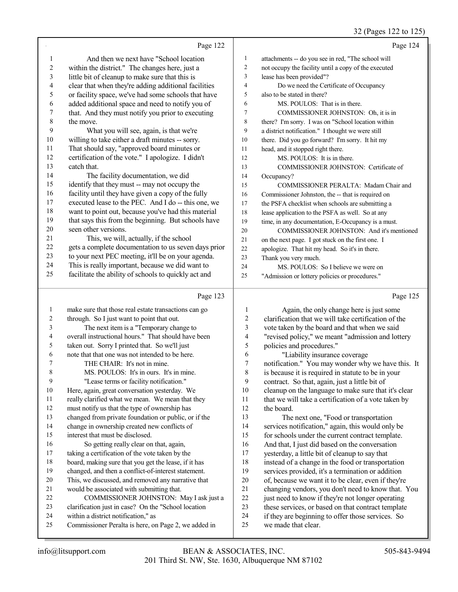|              |                                                                                                          |                | 32 (Pages 122 to 125)                                |
|--------------|----------------------------------------------------------------------------------------------------------|----------------|------------------------------------------------------|
|              | Page 122                                                                                                 |                | Page 124                                             |
| 1            | And then we next have "School location"                                                                  | 1              | attachments -- do you see in red, "The school will   |
| 2            | within the district." The changes here, just a                                                           | $\overline{2}$ | not occupy the facility until a copy of the executed |
| 3            | little bit of cleanup to make sure that this is                                                          | 3              | lease has been provided"?                            |
| 4            | clear that when they're adding additional facilities                                                     | 4              | Do we need the Certificate of Occupancy              |
| 5            | or facility space, we've had some schools that have                                                      | 5              | also to be stated in there?                          |
| 6            | added additional space and need to notify you of                                                         | 6              | MS. POULOS: That is in there.                        |
| 7            | that. And they must notify you prior to executing                                                        | 7              | COMMISSIONER JOHNSTON: Oh, it is in                  |
| $\,8\,$      | the move.                                                                                                | 8              | there? I'm sorry. I was on "School location within   |
| 9            | What you will see, again, is that we're                                                                  | 9              | a district notification." I thought we were still    |
| $10\,$       | willing to take either a draft minutes -- sorry.                                                         | 10             | there. Did you go forward? I'm sorry. It hit my      |
| 11           | That should say, "approved board minutes or                                                              | 11             | head, and it stopped right there.                    |
| 12           | certification of the vote." I apologize. I didn't                                                        | 12             | MS. POULOS: It is in there.                          |
| 13           | catch that.                                                                                              | 13             | COMMISSIONER JOHNSTON: Certificate of                |
| 14           | The facility documentation, we did                                                                       | 14             | Occupancy?                                           |
| 15           | identify that they must -- may not occupy the                                                            | 15             | COMMISSIONER PERALTA: Madam Chair and                |
| 16           | facility until they have given a copy of the fully                                                       | 16             |                                                      |
| 17           | executed lease to the PEC. And I do -- this one, we                                                      | 17             | Commissioner Johnston, the -- that is required on    |
| $18\,$       | want to point out, because you've had this material                                                      | 18             | the PSFA checklist when schools are submitting a     |
| 19           | that says this from the beginning. But schools have                                                      | 19             | lease application to the PSFA as well. So at any     |
| 20           | seen other versions.                                                                                     |                | time, in any documentation, E-Occupancy is a must.   |
| 21           | This, we will, actually, if the school                                                                   | 20             | COMMISSIONER JOHNSTON: And it's mentioned            |
| 22           | gets a complete documentation to us seven days prior                                                     | 21             | on the next page. I got stuck on the first one. I    |
| 23           | to your next PEC meeting, it'll be on your agenda.                                                       | 22             | apologize. That hit my head. So it's in there.       |
| 24           |                                                                                                          | 23             | Thank you very much.                                 |
| 25           | This is really important, because we did want to<br>facilitate the ability of schools to quickly act and | 24             | MS. POULOS: So I believe we were on                  |
|              |                                                                                                          | 25             | "Admission or lottery policies or procedures."       |
|              | Page 123                                                                                                 |                | Page 125                                             |
| $\mathbf{1}$ | make sure that those real estate transactions can go                                                     | $\mathbf{1}$   | Again, the only change here is just some             |
| 2            | through. So I just want to point that out.                                                               | 2              | clarification that we will take certification of the |
| 3            | The next item is a "Temporary change to                                                                  | 3              | vote taken by the board and that when we said        |
| 4            | overall instructional hours." That should have been                                                      | 4              | "revised policy," we meant "admission and lottery    |
| 5            | taken out. Sorry I printed that. So we'll just                                                           | 5              | policies and procedures."                            |
| 6            | note that that one was not intended to be here.                                                          | 6              | "Liability insurance coverage                        |
| 7            | THE CHAIR: It's not in mine.                                                                             | 7              | notification." You may wonder why we have this. It   |
| $\,$ $\,$    | MS. POULOS: It's in ours. It's in mine.                                                                  | $\,8\,$        | is because it is required in statute to be in your   |
| 9            | "Lease terms or facility notification."                                                                  | 9              | contract. So that, again, just a little bit of       |
| 10           | Here, again, great conversation yesterday. We                                                            | 10             | cleanup on the language to make sure that it's clear |
| 11           | really clarified what we mean. We mean that they                                                         | 11             | that we will take a certification of a vote taken by |
| 12           | must notify us that the type of ownership has                                                            | 12             | the board.                                           |
| 13           | changed from private foundation or public, or if the                                                     | 13             | The next one, "Food or transportation                |
| 14           | change in ownership created new conflicts of                                                             | 14             | services notification," again, this would only be    |
| 15           | interest that must be disclosed.                                                                         | 15             | for schools under the current contract template.     |
| 16           | So getting really clear on that, again,                                                                  | 16             | And that, I just did based on the conversation       |
| $17\,$       | taking a certification of the vote taken by the                                                          | 17             | yesterday, a little bit of cleanup to say that       |
| 18           | board, making sure that you get the lease, if it has                                                     | 18             | instead of a change in the food or transportation    |
| 19           | changed, and then a conflict-of-interest statement.                                                      | 19             | services provided, it's a termination or addition    |
| $20\,$       | This, we discussed, and removed any narrative that                                                       | $20\,$         | of, because we want it to be clear, even if they're  |
| 21           | would be associated with submitting that.                                                                | 21             | changing vendors, you don't need to know that. You   |
| 22           | COMMISSIONER JOHNSTON: May I ask just a                                                                  | 22             | just need to know if they're not longer operating    |
| 23           | clarification just in case? On the "School location                                                      | 23             | these services, or based on that contract template   |
| 24           | within a district notification," as                                                                      | 24             | if they are beginning to offer those services. So    |
| 25           | Commissioner Peralta is here, on Page 2, we added in                                                     | 25             | we made that clear.                                  |
|              |                                                                                                          |                |                                                      |

 Commissioner Peralta is here, on Page 2, we added in we made that clear.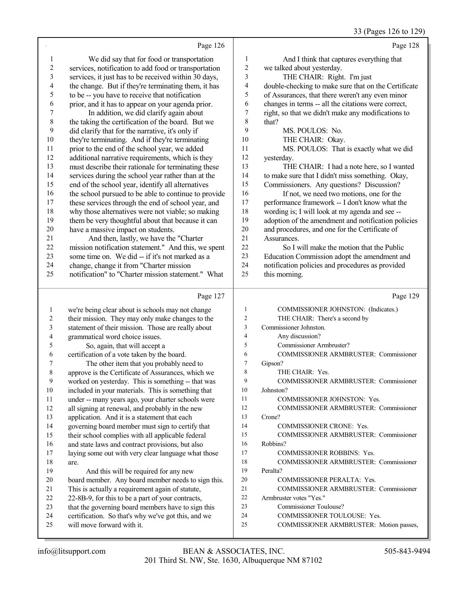|  | 33 (Pages 126 to 129) |  |  |  |
|--|-----------------------|--|--|--|
|--|-----------------------|--|--|--|

|                | Page 126                                                                                               |                | Page 128                                             |
|----------------|--------------------------------------------------------------------------------------------------------|----------------|------------------------------------------------------|
| 1              | We did say that for food or transportation                                                             | 1              | And I think that captures everything that            |
| $\overline{c}$ | services, notification to add food or transportation                                                   | $\overline{c}$ | we talked about yesterday.                           |
| $\mathfrak{Z}$ | services, it just has to be received within 30 days,                                                   | 3              | THE CHAIR: Right. I'm just                           |
| 4              | the change. But if they're terminating them, it has                                                    | 4              | double-checking to make sure that on the Certificate |
| 5              | to be -- you have to receive that notification                                                         | 5              | of Assurances, that there weren't any even minor     |
| 6              | prior, and it has to appear on your agenda prior.                                                      | 6              | changes in terms -- all the citations were correct,  |
| $\sqrt{ }$     | In addition, we did clarify again about                                                                | 7              | right, so that we didn't make any modifications to   |
| 8              | the taking the certification of the board. But we                                                      | 8              | that?                                                |
| 9              | did clarify that for the narrative, it's only if                                                       | 9              | MS. POULOS: No.                                      |
| $10\,$         | they're terminating. And if they're terminating                                                        | 10             | THE CHAIR: Okay.                                     |
| 11             | prior to the end of the school year, we added                                                          | 11             | MS. POULOS: That is exactly what we did              |
| 12             | additional narrative requirements, which is they                                                       | 12             | yesterday.                                           |
| 13             | must describe their rationale for terminating these                                                    | 13             | THE CHAIR: I had a note here, so I wanted            |
| 14             | services during the school year rather than at the                                                     | 14             | to make sure that I didn't miss something. Okay,     |
| 15             | end of the school year, identify all alternatives                                                      | 15             | Commissioners. Any questions? Discussion?            |
| 16             | the school pursued to be able to continue to provide                                                   | 16             | If not, we need two motions, one for the             |
| 17             | these services through the end of school year, and                                                     | 17             | performance framework -- I don't know what the       |
| 18             | why those alternatives were not viable; so making                                                      | 18             | wording is; I will look at my agenda and see --      |
| 19             | them be very thoughtful about that because it can                                                      | 19             | adoption of the amendment and notification policies  |
| $20\,$         | have a massive impact on students.                                                                     | 20             | and procedures, and one for the Certificate of       |
| 21             | And then, lastly, we have the "Charter                                                                 | 21             | Assurances.                                          |
| 22             | mission notification statement." And this, we spent                                                    | 22             | So I will make the motion that the Public            |
| 23             | some time on. We did -- if it's not marked as a                                                        | 23             | Education Commission adopt the amendment and         |
| 24<br>25       | change, change it from "Charter mission                                                                | 24<br>25       | notification policies and procedures as provided     |
|                | notification" to "Charter mission statement." What                                                     |                | this morning.                                        |
|                | Page 127                                                                                               |                | Page 129                                             |
|                |                                                                                                        |                |                                                      |
| 1              | we're being clear about is schools may not change                                                      | 1              | COMMISSIONER JOHNSTON: (Indicates.)                  |
| 2              | their mission. They may only make changes to the                                                       | $\overline{c}$ | THE CHAIR: There's a second by                       |
| 3              | statement of their mission. Those are really about                                                     | $\mathfrak{Z}$ | Commissioner Johnston.                               |
| 4              | grammatical word choice issues.                                                                        | $\overline{4}$ | Any discussion?                                      |
| 5              | So, again, that will accept a                                                                          | 5              | Commissioner Armbruster?                             |
| 6              | certification of a vote taken by the board.                                                            | 6              | COMMISSIONER ARMBRUSTER: Commissioner                |
| 7              | The other item that you probably need to                                                               | $\tau$         | Gipson?                                              |
| $\,$ $\,$      | approve is the Certificate of Assurances, which we                                                     | 8              | THE CHAIR: Yes.                                      |
| 9              | worked on yesterday. This is something -- that was                                                     | 9              | COMMISSIONER ARMBRUSTER: Commissioner                |
| $10\,$         | included in your materials. This is something that                                                     | 10             | Johnston?                                            |
| 11             | under -- many years ago, your charter schools were                                                     | 11             | COMMISSIONER JOHNSTON: Yes.                          |
| 12             | all signing at renewal, and probably in the new                                                        | 12             | COMMISSIONER ARMBRUSTER: Commissioner                |
| 13             | application. And it is a statement that each                                                           | 13             | Crone?                                               |
| 14             | governing board member must sign to certify that                                                       | 14             | COMMISSIONER CRONE: Yes.                             |
| 15             | their school complies with all applicable federal                                                      | 15             | COMMISSIONER ARMBRUSTER: Commissioner                |
| 16             | and state laws and contract provisions, but also                                                       | 16             | Robbins?                                             |
| 17             | laying some out with very clear language what those                                                    | 17<br>18       | COMMISSIONER ROBBINS: Yes.                           |
| 18             | are.                                                                                                   | 19             | COMMISSIONER ARMBRUSTER: Commissioner                |
| 19<br>$20\,$   | And this will be required for any new                                                                  | 20             | Peralta?<br>COMMISSIONER PERALTA: Yes.               |
| 21             | board member. Any board member needs to sign this.<br>This is actually a requirement again of statute, | 21             | COMMISSIONER ARMBRUSTER: Commissioner                |
| $22\,$         | 22-8B-9, for this to be a part of your contracts,                                                      | 22             | Armbruster votes "Yes."                              |
| 23             | that the governing board members have to sign this                                                     | 23             | Commissioner Toulouse?                               |
| 24             | certification. So that's why we've got this, and we                                                    | 24             | COMMISSIONER TOULOUSE: Yes.                          |
| 25             | will move forward with it.                                                                             | 25             | COMMISSIONER ARMBRUSTER: Motion passes,              |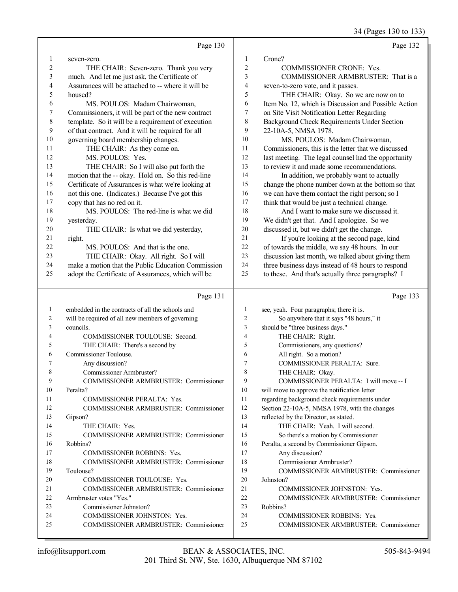34 (Pages 130 to 133)

|                | Page 130                                           |                | Page 132                                             |
|----------------|----------------------------------------------------|----------------|------------------------------------------------------|
| $\mathbf{1}$   | seven-zero.                                        | 1              | Crone?                                               |
| $\overline{2}$ | THE CHAIR: Seven-zero. Thank you very              | 2              | <b>COMMISSIONER CRONE: Yes.</b>                      |
| 3              | much. And let me just ask, the Certificate of      | 3              | COMMISSIONER ARMBRUSTER: That is a                   |
| 4              | Assurances will be attached to -- where it will be | 4              | seven-to-zero vote, and it passes.                   |
| $\sqrt{5}$     | housed?                                            | 5              | THE CHAIR: Okay. So we are now on to                 |
| 6              | MS. POULOS: Madam Chairwoman,                      | 6              | Item No. 12, which is Discussion and Possible Action |
| 7              | Commissioners, it will be part of the new contract | 7              | on Site Visit Notification Letter Regarding          |
| $\,$ $\,$      | template. So it will be a requirement of execution | 8              | Background Check Requirements Under Section          |
| 9              | of that contract. And it will be required for all  | 9              | 22-10A-5, NMSA 1978.                                 |
| $10\,$         | governing board membership changes.                | 10             | MS. POULOS: Madam Chairwoman,                        |
| 11             | THE CHAIR: As they come on.                        | 11             | Commissioners, this is the letter that we discussed  |
| 12             | MS. POULOS: Yes.                                   | 12             | last meeting. The legal counsel had the opportunity  |
| 13             | THE CHAIR: So I will also put forth the            | 13             | to review it and made some recommendations.          |
| 14             | motion that the -- okay. Hold on. So this red-line | 14             | In addition, we probably want to actually            |
| 15             | Certificate of Assurances is what we're looking at | 15             | change the phone number down at the bottom so that   |
| 16             | not this one. (Indicates.) Because I've got this   | 16             | we can have them contact the right person; so I      |
| 17             | copy that has no red on it.                        | 17             | think that would be just a technical change.         |
| 18             | MS. POULOS: The red-line is what we did            | 18             | And I want to make sure we discussed it.             |
| 19             | yesterday.                                         | 19             | We didn't get that. And I apologize. So we           |
| 20             | THE CHAIR: Is what we did yesterday,               | 20             | discussed it, but we didn't get the change.          |
| 21             | right.                                             | 21             | If you're looking at the second page, kind           |
| 22             | MS. POULOS: And that is the one.                   | 22             | of towards the middle, we say 48 hours. In our       |
| 23             | THE CHAIR: Okay. All right. So I will              | 23             | discussion last month, we talked about giving them   |
| 24             | make a motion that the Public Education Commission | 24             | three business days instead of 48 hours to respond   |
| 25             | adopt the Certificate of Assurances, which will be | 25             | to these. And that's actually three paragraphs? I    |
|                |                                                    |                |                                                      |
|                | Page 131                                           |                | Page 133                                             |
|                |                                                    |                |                                                      |
| 1              | embedded in the contracts of all the schools and   | $\mathbf{1}$   | see, yeah. Four paragraphs; there it is.             |
| 2              | will be required of all new members of governing   | $\overline{c}$ | So anywhere that it says "48 hours," it              |
| 3              | councils.                                          | 3              | should be "three business days."                     |
| 4              | COMMISSIONER TOULOUSE: Second.                     | $\overline{4}$ | THE CHAIR: Right.                                    |
| 5              | THE CHAIR: There's a second by                     | 5              | Commissioners, any questions?                        |
| 6              | Commissioner Toulouse.                             | 6              | All right. So a motion?                              |
| 7              | Any discussion?                                    | 7              | COMMISSIONER PERALTA: Sure.                          |
| 8              | Commissioner Armbruster?                           | 8              | THE CHAIR: Okay.                                     |
| 9              | COMMISSIONER ARMBRUSTER: Commissioner              | 9              | COMMISSIONER PERALTA: I will move -- I               |
| 10             | Peralta?                                           | 10             | will move to approve the notification letter         |
| 11             | <b>COMMISSIONER PERALTA: Yes.</b>                  | 11             | regarding background check requirements under        |
| 12             | COMMISSIONER ARMBRUSTER: Commissioner              | 12             | Section 22-10A-5, NMSA 1978, with the changes        |
| 13             | Gipson?                                            | 13             | reflected by the Director, as stated.                |
| 14             | THE CHAIR: Yes.                                    | 14             | THE CHAIR: Yeah. I will second.                      |
| 15             | COMMISSIONER ARMBRUSTER: Commissioner              | 15             | So there's a motion by Commissioner                  |
| 16             | Robbins?                                           | 16             | Peralta, a second by Commissioner Gipson.            |
| 17             | <b>COMMISSIONER ROBBINS: Yes.</b>                  | 17             | Any discussion?                                      |
| 18             | COMMISSIONER ARMBRUSTER: Commissioner              | 18             | Commissioner Armbruster?                             |
| 19             | Toulouse?                                          | 19             | COMMISSIONER ARMBRUSTER: Commissioner                |
| 20             | COMMISSIONER TOULOUSE: Yes.                        | 20             | Johnston?                                            |
| 21             | COMMISSIONER ARMBRUSTER: Commissioner              | 21             | COMMISSIONER JOHNSTON: Yes.                          |
| 22             | Armbruster votes "Yes."                            | 22             | COMMISSIONER ARMBRUSTER: Commissioner                |
| 23             | Commissioner Johnston?                             | 23             | Robbins?                                             |
| 24             | COMMISSIONER JOHNSTON: Yes.                        | 24             | <b>COMMISSIONER ROBBINS: Yes.</b>                    |
| 25             | COMMISSIONER ARMBRUSTER: Commissioner              | 25             | COMMISSIONER ARMBRUSTER: Commissioner                |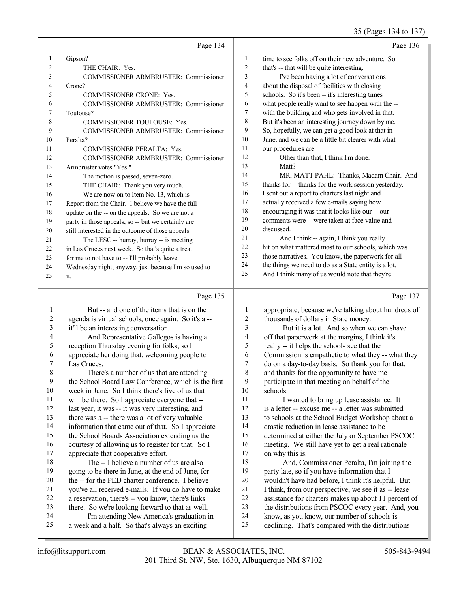## 35 (Pages 134 to 137)

|    | Page 134                                             |                | Page 136                                             |
|----|------------------------------------------------------|----------------|------------------------------------------------------|
|    | Gipson?                                              | 1              | time to see folks off on their new adventure. So     |
| 2  | THE CHAIR: Yes.                                      | $\overline{2}$ | that's -- that will be quite interesting.            |
| 3  | COMMISSIONER ARMBRUSTER: Commissioner                | 3              | I've been having a lot of conversations              |
| 4  | Crone?                                               | $\overline{4}$ | about the disposal of facilities with closing        |
| 5  | <b>COMMISSIONER CRONE: Yes.</b>                      | 5              | schools. So it's been -- it's interesting times      |
| 6  | COMMISSIONER ARMBRUSTER: Commissioner                | 6              | what people really want to see happen with the --    |
| 7  | Toulouse?                                            | $\tau$         | with the building and who gets involved in that.     |
| 8  | <b>COMMISSIONER TOULOUSE: Yes.</b>                   | 8              | But it's been an interesting journey down by me.     |
| 9  | COMMISSIONER ARMBRUSTER: Commissioner                | 9              | So, hopefully, we can get a good look at that in     |
| 10 | Peralta?                                             | 10             | June, and we can be a little bit clearer with what   |
| 11 | <b>COMMISSIONER PERALTA: Yes.</b>                    | 11             | our procedures are.                                  |
| 12 | <b>COMMISSIONER ARMBRUSTER: Commissioner</b>         | 12             | Other than that, I think I'm done.                   |
| 13 | Armbruster votes "Yes."                              | 13             | Matt?                                                |
| 14 | The motion is passed, seven-zero.                    | 14             | MR. MATT PAHL: Thanks, Madam Chair. And              |
| 15 | THE CHAIR: Thank you very much.                      | 15             | thanks for -- thanks for the work session yesterday. |
| 16 | We are now on to Item No. 13, which is               | 16             | I sent out a report to charters last night and       |
| 17 | Report from the Chair. I believe we have the full    | 17             | actually received a few e-mails saying how           |
| 18 | update on the -- on the appeals. So we are not a     | 18             | encouraging it was that it looks like our -- our     |
| 19 | party in those appeals; so -- but we certainly are   | 19             | comments were -- were taken at face value and        |
| 20 | still interested in the outcome of those appeals.    | 20             | discussed.                                           |
| 21 | The LESC -- hurray, hurray -- is meeting             | 21             | And I think -- again, I think you really             |
| 22 | in Las Cruces next week. So that's quite a treat     | 22             | hit on what mattered most to our schools, which was  |
| 23 | for me to not have to -- I'll probably leave         | 23             | those narratives. You know, the paperwork for all    |
| 24 | Wednesday night, anyway, just because I'm so used to | 24             | the things we need to do as a State entity is a lot. |
| 25 | it.                                                  | 25             | And I think many of us would note that they're       |
|    |                                                      |                |                                                      |

#### Page 135  $\parallel$

|    | Page 135                                            |    | Page 137                                             |
|----|-----------------------------------------------------|----|------------------------------------------------------|
|    | But -- and one of the items that is on the          | 1  | appropriate, because we're talking about hundreds of |
| 2  | agenda is virtual schools, once again. So it's a -- | 2  | thousands of dollars in State money.                 |
| 3  | it'll be an interesting conversation.               | 3  | But it is a lot. And so when we can shave            |
| 4  | And Representative Gallegos is having a             | 4  | off that paperwork at the margins, I think it's      |
| 5  | reception Thursday evening for folks; so I          | 5  | really -- it helps the schools see that the          |
| 6  | appreciate her doing that, welcoming people to      | 6  | Commission is empathetic to what they -- what they   |
| 7  | Las Cruces.                                         | 7  | do on a day-to-day basis. So thank you for that,     |
| 8  | There's a number of us that are attending           | 8  | and thanks for the opportunity to have me            |
| 9  | the School Board Law Conference, which is the first | 9  | participate in that meeting on behalf of the         |
| 10 | week in June. So I think there's five of us that    | 10 | schools.                                             |
| 11 | will be there. So I appreciate everyone that --     | 11 | I wanted to bring up lease assistance. It            |
| 12 | last year, it was -- it was very interesting, and   | 12 | is a letter -- excuse me -- a letter was submitted   |
| 13 | there was a -- there was a lot of very valuable     | 13 | to schools at the School Budget Workshop about a     |
| 14 | information that came out of that. So I appreciate  | 14 | drastic reduction in lease assistance to be          |
| 15 | the School Boards Association extending us the      | 15 | determined at either the July or September PSCOC     |
| 16 | courtesy of allowing us to register for that. So I  | 16 | meeting. We still have yet to get a real rationale   |
| 17 | appreciate that cooperative effort.                 | 17 | on why this is.                                      |
| 18 | The -- I believe a number of us are also            | 18 | And, Commissioner Peralta, I'm joining the           |
| 19 | going to be there in June, at the end of June, for  | 19 | party late, so if you have information that I        |
| 20 | the -- for the PED charter conference. I believe    | 20 | wouldn't have had before, I think it's helpful. But  |
| 21 | you've all received e-mails. If you do have to make | 21 | I think, from our perspective, we see it as -- lease |
| 22 | a reservation, there's -- you know, there's links   | 22 | assistance for charters makes up about 11 percent of |
| 23 | there. So we're looking forward to that as well.    | 23 | the distributions from PSCOC every year. And, you    |
| 24 | I'm attending New America's graduation in           | 24 | know, as you know, our number of schools is          |
| 25 | a week and a half. So that's always an exciting     | 25 | declining. That's compared with the distributions    |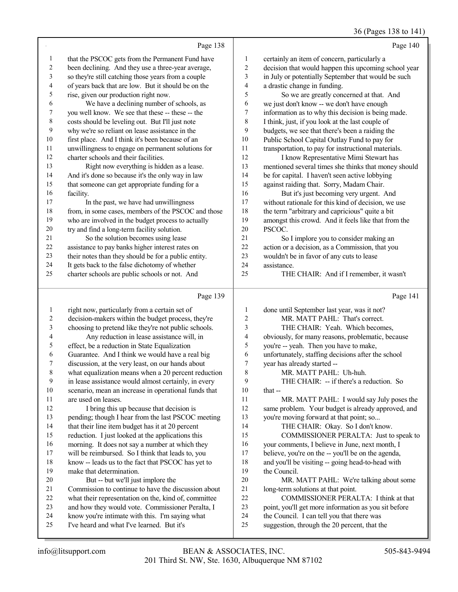## 36 (Pages 138 to 141)

|                          | Page 138                                                                                      |                          | Page 140                                                                                   |
|--------------------------|-----------------------------------------------------------------------------------------------|--------------------------|--------------------------------------------------------------------------------------------|
| $\mathbf{1}$             | that the PSCOC gets from the Permanent Fund have                                              | 1                        | certainly an item of concern, particularly a                                               |
| $\boldsymbol{2}$         | been declining. And they use a three-year average,                                            | $\overline{c}$           | decision that would happen this upcoming school year                                       |
| $\mathfrak{Z}$           | so they're still catching those years from a couple                                           | 3                        | in July or potentially September that would be such                                        |
| $\overline{\mathcal{L}}$ | of years back that are low. But it should be on the                                           | $\overline{\mathcal{A}}$ | a drastic change in funding.                                                               |
| 5                        | rise, given our production right now.                                                         | 5                        | So we are greatly concerned at that. And                                                   |
| 6                        | We have a declining number of schools, as                                                     | 6                        | we just don't know -- we don't have enough                                                 |
| 7                        | you well know. We see that these -- these -- the                                              | 7                        | information as to why this decision is being made.                                         |
| $\,$ 8 $\,$              | costs should be leveling out. But I'll just note                                              | $\,$ 8 $\,$              | I think, just, if you look at the last couple of                                           |
| $\mathbf{9}$             | why we're so reliant on lease assistance in the                                               | 9                        | budgets, we see that there's been a raiding the                                            |
| 10                       | first place. And I think it's been because of an                                              | $10\,$                   | Public School Capital Outlay Fund to pay for                                               |
| $11\,$                   | unwillingness to engage on permanent solutions for                                            | 11                       | transportation, to pay for instructional materials.                                        |
| 12                       | charter schools and their facilities.                                                         | 12                       | I know Representative Mimi Stewart has                                                     |
| 13                       | Right now everything is hidden as a lease.                                                    | 13                       | mentioned several times she thinks that money should                                       |
| 14                       | And it's done so because it's the only way in law                                             | 14                       | be for capital. I haven't seen active lobbying                                             |
| 15                       | that someone can get appropriate funding for a                                                | 15                       | against raiding that. Sorry, Madam Chair.                                                  |
| 16                       | facility.                                                                                     | 16                       | But it's just becoming very urgent. And                                                    |
| 17                       | In the past, we have had unwillingness                                                        | 17                       | without rationale for this kind of decision, we use                                        |
| 18                       | from, in some cases, members of the PSCOC and those                                           | 18                       | the term "arbitrary and capricious" quite a bit                                            |
| 19                       | who are involved in the budget process to actually                                            | 19                       | amongst this crowd. And it feels like that from the                                        |
| $20\,$                   | try and find a long-term facility solution.                                                   | $20\,$                   | PSCOC.                                                                                     |
| $21\,$                   | So the solution becomes using lease                                                           | 21                       | So I implore you to consider making an                                                     |
| $22\,$                   | assistance to pay banks higher interest rates on                                              | 22                       | action or a decision, as a Commission, that you                                            |
| $23\,$                   | their notes than they should be for a public entity.                                          | 23                       | wouldn't be in favor of any cuts to lease                                                  |
| 24                       | It gets back to the false dichotomy of whether                                                | 24                       | assistance.                                                                                |
| 25                       | charter schools are public schools or not. And                                                | 25                       | THE CHAIR: And if I remember, it wasn't                                                    |
|                          |                                                                                               |                          |                                                                                            |
|                          | Page 139                                                                                      |                          | Page 141                                                                                   |
| $\mathbf{1}$             | right now, particularly from a certain set of                                                 | 1                        | done until September last year, was it not?                                                |
| $\overline{c}$           | decision-makers within the budget process, they're                                            | $\boldsymbol{2}$         | MR. MATT PAHL: That's correct.                                                             |
| 3                        | choosing to pretend like they're not public schools.                                          | 3                        | THE CHAIR: Yeah. Which becomes,                                                            |
| 4                        | Any reduction in lease assistance will, in                                                    | 4                        | obviously, for many reasons, problematic, because                                          |
| 5                        | effect, be a reduction in State Equalization                                                  | 5                        | you're -- yeah. Then you have to make,                                                     |
| 6                        | Guarantee. And I think we would have a real big                                               | 6                        | unfortunately, staffing decisions after the school                                         |
| 7                        | discussion, at the very least, on our hands about                                             | 7                        | year has already started --                                                                |
| 8                        | what equalization means when a 20 percent reduction                                           | $\,$ $\,$                | MR. MATT PAHL: Uh-huh.                                                                     |
| 9                        | in lease assistance would almost certainly, in every                                          | 9                        | THE CHAIR: -- if there's a reduction. So                                                   |
| $10\,$                   | scenario, mean an increase in operational funds that                                          | 10                       | that --                                                                                    |
| 11                       | are used on leases.                                                                           | 11                       | MR. MATT PAHL: I would say July poses the                                                  |
| 12                       | I bring this up because that decision is                                                      | 12                       | same problem. Your budget is already approved, and                                         |
| 13                       | pending; though I hear from the last PSCOC meeting                                            | 13                       | you're moving forward at that point; so                                                    |
| 14                       | that their line item budget has it at 20 percent                                              | 14                       | THE CHAIR: Okay. So I don't know.                                                          |
| 15                       | reduction. I just looked at the applications this                                             | 15                       | COMMISSIONER PERALTA: Just to speak to                                                     |
| 16                       | morning. It does not say a number at which they                                               | 16                       | your comments, I believe in June, next month, I                                            |
| 17                       | will be reimbursed. So I think that leads to, you                                             | 17                       | believe, you're on the -- you'll be on the agenda,                                         |
| 18                       | know -- leads us to the fact that PSCOC has yet to                                            | 18                       | and you'll be visiting -- going head-to-head with                                          |
| 19                       | make that determination.                                                                      | 19                       | the Council.                                                                               |
| 20                       | But -- but we'll just implore the                                                             | $20\,$                   | MR. MATT PAHL: We're talking about some                                                    |
| 21                       | Commission to continue to have the discussion about                                           | 21                       | long-term solutions at that point.                                                         |
| $22\,$                   | what their representation on the, kind of, committee                                          | 22                       | COMMISSIONER PERALTA: I think at that                                                      |
| 23                       | and how they would vote. Commissioner Peralta, I                                              | 23                       | point, you'll get more information as you sit before                                       |
| 24<br>25                 | know you're intimate with this. I'm saying what<br>I've heard and what I've learned. But it's | 24<br>25                 | the Council. I can tell you that there was<br>suggestion, through the 20 percent, that the |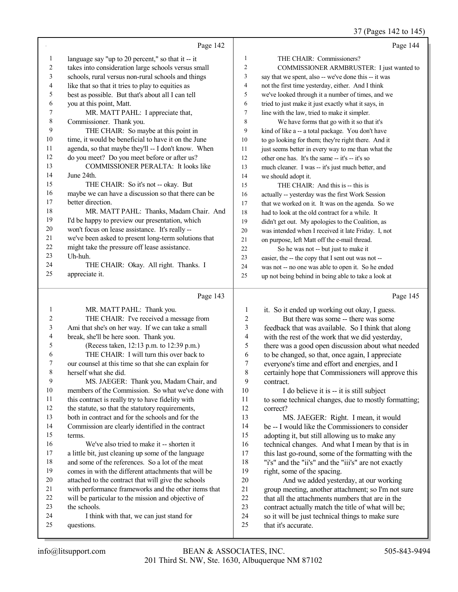37 (Pages 142 to 145)

|                | Page 142                                                                                              |                          | Page 144                                                                                |
|----------------|-------------------------------------------------------------------------------------------------------|--------------------------|-----------------------------------------------------------------------------------------|
| $\mathbf{1}$   | language say "up to 20 percent," so that it $-$ it                                                    | 1                        | THE CHAIR: Commissioners?                                                               |
| $\sqrt{2}$     | takes into consideration large schools versus small                                                   | $\overline{c}$           | COMMISSIONER ARMBRUSTER: I just wanted to                                               |
| 3              | schools, rural versus non-rural schools and things                                                    | 3                        | say that we spent, also -- we've done this -- it was                                    |
| 4              | like that so that it tries to play to equities as                                                     | 4                        | not the first time yesterday, either. And I think                                       |
| 5              | best as possible. But that's about all I can tell                                                     | 5                        | we've looked through it a number of times, and we                                       |
| 6              | you at this point, Matt.                                                                              | 6                        | tried to just make it just exactly what it says, in                                     |
| 7              | MR. MATT PAHL: I appreciate that,                                                                     | $\tau$                   | line with the law, tried to make it simpler.                                            |
| $\,$ 8 $\,$    | Commissioner. Thank you.                                                                              | $\,$ 8 $\,$              | We have forms that go with it so that it's                                              |
| 9              | THE CHAIR: So maybe at this point in                                                                  | 9                        | kind of like a -- a total package. You don't have                                       |
| $10\,$         | time, it would be beneficial to have it on the June                                                   | 10                       | to go looking for them; they're right there. And it                                     |
| 11             | agenda, so that maybe they'll -- I don't know. When                                                   | 11                       | just seems better in every way to me than what the                                      |
| 12             | do you meet? Do you meet before or after us?                                                          | 12                       | other one has. It's the same -- it's -- it's so                                         |
| 13             | COMMISSIONER PERALTA: It looks like                                                                   | 13                       | much cleaner. I was -- it's just much better, and                                       |
| 14             | June 24th.                                                                                            | 14                       | we should adopt it.                                                                     |
| 15             | THE CHAIR: So it's not -- okay. But                                                                   | 15                       | THE CHAIR: And this is -- this is                                                       |
| 16             | maybe we can have a discussion so that there can be                                                   | 16                       | actually -- yesterday was the first Work Session                                        |
| 17             | better direction.                                                                                     | 17                       | that we worked on it. It was on the agenda. So we                                       |
| 18             | MR. MATT PAHL: Thanks, Madam Chair. And                                                               | 18                       | had to look at the old contract for a while. It                                         |
| 19             | I'd be happy to preview our presentation, which                                                       | 19                       | didn't get out. My apologies to the Coalition, as                                       |
| $20\,$         | won't focus on lease assistance. It's really --                                                       | $20\,$                   | was intended when I received it late Friday. I, not                                     |
| $21\,$         | we've been asked to present long-term solutions that                                                  | 21                       | on purpose, left Matt off the e-mail thread.                                            |
| $22\,$         | might take the pressure off lease assistance.                                                         | 22                       | So he was not -- but just to make it                                                    |
| 23             | Uh-huh.                                                                                               | 23                       | easier, the -- the copy that I sent out was not --                                      |
| 24             | THE CHAIR: Okay. All right. Thanks. I                                                                 | 24                       | was not -- no one was able to open it. So he ended                                      |
| 25             | appreciate it.                                                                                        | 25                       | up not being behind in being able to take a look at                                     |
|                |                                                                                                       |                          |                                                                                         |
|                | Page 143                                                                                              |                          | Page 145                                                                                |
| 1              | MR. MATT PAHL: Thank you.                                                                             | $\mathbf{1}$             | it. So it ended up working out okay, I guess.                                           |
| $\overline{2}$ | THE CHAIR: I've received a message from                                                               | $\boldsymbol{2}$         | But there was some -- there was some                                                    |
| 3              | Ami that she's on her way. If we can take a small                                                     | 3                        | feedback that was available. So I think that along                                      |
| 4              | break, she'll be here soon. Thank you.                                                                | $\overline{\mathcal{A}}$ | with the rest of the work that we did yesterday,                                        |
| 5              | (Recess taken, 12:13 p.m. to 12:39 p.m.)                                                              | 5                        | there was a good open discussion about what needed                                      |
| 6              | THE CHAIR: I will turn this over back to                                                              | 6                        | to be changed, so that, once again, I appreciate                                        |
| 7              | our counsel at this time so that she can explain for                                                  | 7                        | everyone's time and effort and energies, and I                                          |
| $\,$ 8 $\,$    | herself what she did.                                                                                 | $\,$ $\,$                | certainly hope that Commissioners will approve this                                     |
| 9              | MS. JAEGER: Thank you, Madam Chair, and                                                               | 9                        | contract.                                                                               |
| $10\,$<br>11   | members of the Commission. So what we've done with                                                    | 10<br>11                 | I do believe it is -- it is still subject                                               |
| 12             | this contract is really try to have fidelity with<br>the statute, so that the statutory requirements, | 12                       | to some technical changes, due to mostly formatting;                                    |
| 13             | both in contract and for the schools and for the                                                      | 13                       | correct?                                                                                |
| 14             | Commission are clearly identified in the contract                                                     | 14                       | MS. JAEGER: Right. I mean, it would<br>be -- I would like the Commissioners to consider |
| 15             | terms.                                                                                                | 15                       | adopting it, but still allowing us to make any                                          |
| 16             | We've also tried to make it -- shorten it                                                             | 16                       | technical changes. And what I mean by that is in                                        |
| 17             | a little bit, just cleaning up some of the language                                                   | 17                       | this last go-round, some of the formatting with the                                     |
| 18             | and some of the references. So a lot of the meat                                                      | 18                       | "i's" and the "ii's" and the "iii's" are not exactly                                    |
| 19             | comes in with the different attachments that will be                                                  | 19                       | right, some of the spacing.                                                             |
| $20\,$         | attached to the contract that will give the schools                                                   | $20\,$                   | And we added yesterday, at our working                                                  |
| 21             | with performance frameworks and the other items that                                                  | 21                       | group meeting, another attachment; so I'm not sure                                      |
| 22             | will be particular to the mission and objective of                                                    | $22\,$                   | that all the attachments numbers that are in the                                        |
| 23             | the schools.                                                                                          | 23                       | contract actually match the title of what will be;                                      |
| 24             | I think with that, we can just stand for                                                              | 24                       | so it will be just technical things to make sure                                        |
| 25             | questions.                                                                                            | 25                       | that it's accurate.                                                                     |
|                |                                                                                                       |                          |                                                                                         |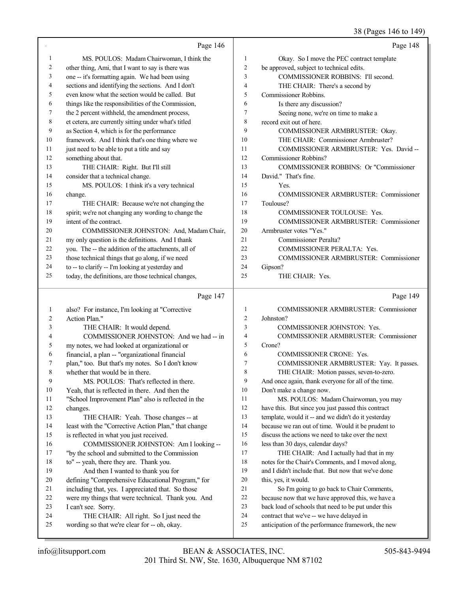## 38 (Pages 146 to 149)

|    | Page 146                                             |     | Page 148                                     |
|----|------------------------------------------------------|-----|----------------------------------------------|
| 1  | MS. POULOS: Madam Chairwoman, I think the            | 1   | Okay. So I move the PEC contract template    |
| 2  | other thing, Ami, that I want to say is there was    | 2   | be approved, subject to technical edits.     |
| 3  | one -- it's formatting again. We had been using      | 3   | COMMISSIONER ROBBINS: I'll second.           |
| 4  | sections and identifying the sections. And I don't   | 4   | THE CHAIR: There's a second by               |
| 5  | even know what the section would be called. But      | 5   | Commissioner Robbins.                        |
| 6  | things like the responsibilities of the Commission,  | 6   | Is there any discussion?                     |
| 7  | the 2 percent withheld, the amendment process,       | 7   | Seeing none, we're on time to make a         |
| 8  | et cetera, are currently sitting under what's titled | 8   | record exit out of here.                     |
| 9  | as Section 4, which is for the performance           | 9   | COMMISSIONER ARMBRUSTER: Okay.               |
| 10 | framework. And I think that's one thing where we     | 10  | THE CHAIR: Commissioner Armbruster?          |
| 11 | just need to be able to put a title and say          | 11  | COMMISSIONER ARMBRUSTER: Yes. David --       |
| 12 | something about that.                                | 12  | Commissioner Robbins?                        |
| 13 | THE CHAIR: Right. But I'll still                     | 13  | COMMISSIONER ROBBINS: Or "Commissioner       |
| 14 | consider that a technical change.                    | 14  | David." That's fine.                         |
| 15 | MS. POULOS: I think it's a very technical            | 15  | Yes.                                         |
| 16 | change.                                              | 16  | COMMISSIONER ARMBRUSTER: Commissioner        |
| 17 | THE CHAIR: Because we're not changing the            | 17  | Toulouse?                                    |
| 18 | spirit; we're not changing any wording to change the | 18  | <b>COMMISSIONER TOULOUSE: Yes.</b>           |
| 19 | intent of the contract.                              | 19  | COMMISSIONER ARMBRUSTER: Commissioner        |
| 20 | COMMISSIONER JOHNSTON: And, Madam Chair,             | 20  | Armbruster votes "Yes."                      |
| 21 | my only question is the definitions. And I thank     | 21  | Commissioner Peralta?                        |
| 22 | you. The -- the addition of the attachments, all of  | 22. | <b>COMMISSIONER PERALTA: Yes.</b>            |
| 23 | those technical things that go along, if we need     | 23  | <b>COMMISSIONER ARMBRUSTER: Commissioner</b> |
| 24 | to -- to clarify -- I'm looking at yesterday and     | 24  | Gipson?                                      |
| 25 | today, the definitions, are those technical changes, | 25  | THE CHAIR: Yes.                              |
|    | Page 147                                             |     | Page 149                                     |

|    | also? For instance, I'm looking at "Corrective       | 1              | COMMISSIONER ARMBRUSTER: Commissioner               |
|----|------------------------------------------------------|----------------|-----------------------------------------------------|
| 2  | Action Plan."                                        | $\overline{2}$ | Johnston?                                           |
| 3  | THE CHAIR: It would depend.                          | $\overline{3}$ | <b>COMMISSIONER JOHNSTON: Yes.</b>                  |
| 4  | COMMISSIONER JOHNSTON: And we had -- in              | $\overline{4}$ | COMMISSIONER ARMBRUSTER: Commissioner               |
| 5  | my notes, we had looked at organizational or         | 5              | Crone?                                              |
| 6  | financial, a plan -- "organizational financial       | 6              | <b>COMMISSIONER CRONE: Yes.</b>                     |
| 7  | plan," too. But that's my notes. So I don't know     | $\tau$         | COMMISSIONER ARMBRUSTER: Yay. It passes.            |
| 8  | whether that would be in there.                      | 8              | THE CHAIR: Motion passes, seven-to-zero.            |
| 9  | MS. POULOS: That's reflected in there.               | 9              | And once again, thank everyone for all of the time. |
| 10 | Yeah, that is reflected in there. And then the       | 10             | Don't make a change now.                            |
| 11 | "School Improvement Plan" also is reflected in the   | 11             | MS. POULOS: Madam Chairwoman, you may               |
| 12 | changes.                                             | 12             | have this. But since you just passed this contract  |
| 13 | THE CHAIR: Yeah. Those changes -- at                 | 13             | template, would it -- and we didn't do it yesterday |
| 14 | least with the "Corrective Action Plan," that change | 14             | because we ran out of time. Would it be prudent to  |
| 15 | is reflected in what you just received.              | 15             | discuss the actions we need to take over the next   |
| 16 | COMMISSIONER JOHNSTON: Am I looking --               | 16             | less than 30 days, calendar days?                   |
| 17 | "by the school and submitted to the Commission       | 17             | THE CHAIR: And I actually had that in my            |
| 18 | to" -- yeah, there they are. Thank you.              | 18             | notes for the Chair's Comments, and I moved along,  |
| 19 | And then I wanted to thank you for                   | 19             | and I didn't include that. But now that we've done  |
| 20 | defining "Comprehensive Educational Program," for    | 20             | this, yes, it would.                                |
| 21 | including that, yes. I appreciated that. So those    | 21             | So I'm going to go back to Chair Comments,          |
| 22 | were my things that were technical. Thank you. And   | 22             | because now that we have approved this, we have a   |
| 23 | I can't see. Sorry.                                  | 23             | back load of schools that need to be put under this |
| 24 | THE CHAIR: All right. So I just need the             | 24             | contract that we've -- we have delayed in           |
| 25 | wording so that we're clear for -- oh, okay.         | 25             | anticipation of the performance framework, the new  |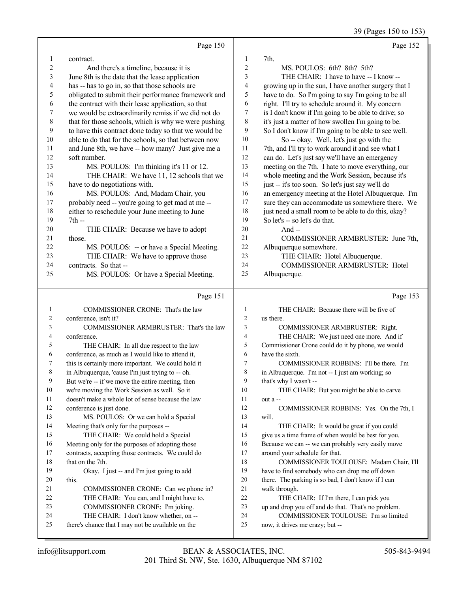39 (Pages 150 to 153)

|                   | Page 150                                                                                    |                | Page 152                                                                 |
|-------------------|---------------------------------------------------------------------------------------------|----------------|--------------------------------------------------------------------------|
| 1                 | contract.                                                                                   | 1              | 7th.                                                                     |
| 2                 | And there's a timeline, because it is                                                       | $\sqrt{2}$     | MS. POULOS: 6th? 8th? 5th?                                               |
| 3                 | June 8th is the date that the lease application                                             | 3              | THE CHAIR: I have to have -- I know --                                   |
| 4                 | has -- has to go in, so that those schools are                                              | 4              | growing up in the sun, I have another surgery that I                     |
| 5                 | obligated to submit their performance framework and                                         | 5              | have to do. So I'm going to say I'm going to be all                      |
| 6                 | the contract with their lease application, so that                                          | 6              | right. I'll try to schedule around it. My concern                        |
| 7                 | we would be extraordinarily remiss if we did not do                                         | 7              | is I don't know if I'm going to be able to drive; so                     |
| $\,$ $\,$         | that for those schools, which is why we were pushing                                        | 8              | it's just a matter of how swollen I'm going to be.                       |
| 9                 | to have this contract done today so that we would be                                        | 9              | So I don't know if I'm going to be able to see well.                     |
| 10                | able to do that for the schools, so that between now                                        | 10             | So -- okay. Well, let's just go with the                                 |
| 11                | and June 8th, we have -- how many? Just give me a                                           | 11             | 7th, and I'll try to work around it and see what I                       |
| 12                | soft number.                                                                                | 12             | can do. Let's just say we'll have an emergency                           |
| 13                | MS. POULOS: I'm thinking it's 11 or 12.                                                     | 13             | meeting on the 7th. I hate to move everything, our                       |
| 14                | THE CHAIR: We have 11, 12 schools that we                                                   | 14             | whole meeting and the Work Session, because it's                         |
| 15                | have to do negotiations with.                                                               | 15             | just -- it's too soon. So let's just say we'll do                        |
| 16                | MS. POULOS: And, Madam Chair, you                                                           | 16             | an emergency meeting at the Hotel Albuquerque. I'm                       |
| 17                | probably need -- you're going to get mad at me --                                           | 17             | sure they can accommodate us somewhere there. We                         |
| 18                | either to reschedule your June meeting to June                                              | 18             | just need a small room to be able to do this, okay?                      |
| 19                | $7th -$                                                                                     | 19             | So let's -- so let's do that.                                            |
| $20\,$            | THE CHAIR: Because we have to adopt                                                         | 20             | And $-$                                                                  |
| 21                | those.                                                                                      | 21             | COMMISSIONER ARMBRUSTER: June 7th,                                       |
| 22                | MS. POULOS: -- or have a Special Meeting.                                                   | 22             | Albuquerque somewhere.                                                   |
| 23                | THE CHAIR: We have to approve those                                                         | 23             | THE CHAIR: Hotel Albuquerque.                                            |
| 24                | contracts. So that --                                                                       | 24             | COMMISSIONER ARMBRUSTER: Hotel                                           |
| 25                | MS. POULOS: Or have a Special Meeting.                                                      | 25             | Albuquerque.                                                             |
|                   |                                                                                             |                |                                                                          |
|                   | Page 151                                                                                    |                | Page 153                                                                 |
|                   |                                                                                             | 1              |                                                                          |
| $\mathbf{1}$<br>2 | COMMISSIONER CRONE: That's the law                                                          | $\overline{c}$ | THE CHAIR: Because there will be five of<br>us there.                    |
| 3                 | conference, isn't it?<br>COMMISSIONER ARMBRUSTER: That's the law                            | 3              | COMMISSIONER ARMBRUSTER: Right.                                          |
| 4                 | conference.                                                                                 | 4              | THE CHAIR: We just need one more. And if                                 |
| 5                 | THE CHAIR: In all due respect to the law                                                    | 5              | Commissioner Crone could do it by phone, we would                        |
| 6                 | conference, as much as I would like to attend it,                                           | 6              | have the sixth.                                                          |
| 7                 | this is certainly more important. We could hold it                                          | 7              | COMMISSIONER ROBBINS: I'll be there. I'm                                 |
|                   | in Albuquerque, 'cause I'm just trying to -- oh.                                            | 8              | in Albuquerque. I'm not -- I just am working; so                         |
| 9                 | But we're -- if we move the entire meeting, then                                            | 9              | that's why I wasn't --                                                   |
| 10                | we're moving the Work Session as well. So it                                                | 10             | THE CHAIR: But you might be able to carve                                |
| 11                | doesn't make a whole lot of sense because the law                                           | 11             | out a --                                                                 |
| 12                | conference is just done.                                                                    | 12             | COMMISSIONER ROBBINS: Yes. On the 7th, I                                 |
| 13                | MS. POULOS: Or we can hold a Special                                                        | 13             | will.                                                                    |
| 14                | Meeting that's only for the purposes --                                                     | 14             | THE CHAIR: It would be great if you could                                |
| 15                | THE CHAIR: We could hold a Special                                                          | 15             | give us a time frame of when would be best for you.                      |
| 16                | Meeting only for the purposes of adopting those                                             | 16             | Because we can -- we can probably very easily move                       |
| 17                | contracts, accepting those contracts. We could do                                           | 17             | around your schedule for that.                                           |
| 18                | that on the 7th.                                                                            | 18             | COMMISSIONER TOULOUSE: Madam Chair, I'll                                 |
| 19                | Okay. I just -- and I'm just going to add                                                   | 19             | have to find somebody who can drop me off down                           |
| 20                | this.                                                                                       | 20             | there. The parking is so bad, I don't know if I can                      |
| 21                | COMMISSIONER CRONE: Can we phone in?                                                        | 21             | walk through.                                                            |
| 22                | THE CHAIR: You can, and I might have to.                                                    | 22             | THE CHAIR: If I'm there, I can pick you                                  |
| 23                | COMMISSIONER CRONE: I'm joking.                                                             | 23             | up and drop you off and do that. That's no problem.                      |
| 24<br>25          | THE CHAIR: I don't know whether, on --<br>there's chance that I may not be available on the | 24<br>25       | COMMISSIONER TOULOUSE: I'm so limited<br>now, it drives me crazy; but -- |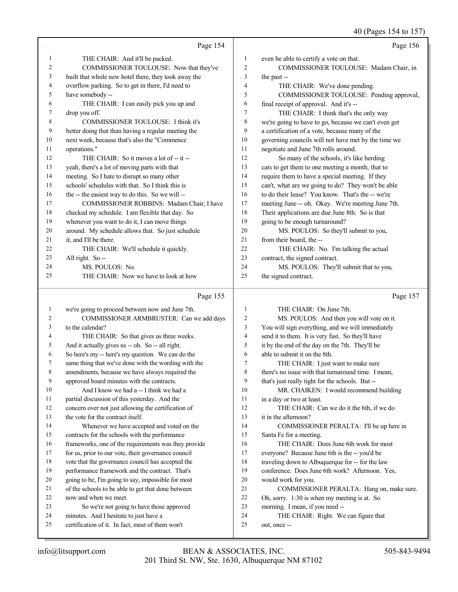40 (Pages 154 to 157)

|              | Page 154                                                                            |                | Page 156                                                                |
|--------------|-------------------------------------------------------------------------------------|----------------|-------------------------------------------------------------------------|
| 1            | THE CHAIR: And it'll be packed.                                                     | 1              | even be able to certify a vote on that.                                 |
| 2            | COMMISSIONER TOULOUSE: Now that they've                                             | $\mathfrak{2}$ | COMMISSIONER TOULOUSE: Madam Chair, in                                  |
| 3            | built that whole new hotel there, they took away the                                | 3              | the past --                                                             |
| 4            | overflow parking. So to get in there, I'd need to                                   | 4              | THE CHAIR: We've done pending.                                          |
| 5            | have somebody --                                                                    | 5              | COMMISSIONER TOULOUSE: Pending approval,                                |
| 6            | THE CHAIR: I can easily pick you up and                                             | 6              | final receipt of approval. And it's --                                  |
| 7            | drop you off.                                                                       | 7              | THE CHAIR: I think that's the only way                                  |
| 8            | COMMISSIONER TOULOUSE: I think it's                                                 | $\,$ 8 $\,$    | we're going to have to go, because we can't even get                    |
| 9            | better doing that than having a regular meeting the                                 | 9              | a certification of a vote, because many of the                          |
| 10           | next week, because that's also the "Commence                                        | 10             | governing councils will not have met by the time we                     |
| 11           | operations."                                                                        | 11             | negotiate and June 7th rolls around.                                    |
| 12           | THE CHAIR: So it moves a lot of -- it --                                            | 12             | So many of the schools, it's like herding                               |
| 13           | yeah, there's a lot of moving parts with that                                       | 13             | cats to get them to one meeting a month, that to                        |
| 14           | meeting. So I hate to disrupt so many other                                         | 14             | require them to have a special meeting. If they                         |
| 15           | schools' schedules with that. So I think this is                                    | 15             | can't, what are we going to do? They won't be able                      |
| 16           | the -- the easiest way to do this. So we will --                                    | 16             | to do their lease? You know. That's the -- we're                        |
| 17           | COMMISSIONER ROBBINS: Madam Chair, I have                                           | 17             | meeting June -- oh. Okay. We're meeting June 7th.                       |
| 18           | checked my schedule. I am flexible that day. So                                     | 18             | Their applications are due June 8th. So is that                         |
| 19           | whenever you want to do it, I can move things                                       | 19             | going to be enough turnaround?                                          |
| 20           | around. My schedule allows that. So just schedule                                   | 20             | MS. POULOS: So they'll submit to you,                                   |
| 21           | it, and I'll be there.                                                              | 21             | from their board, the --                                                |
| 22           | THE CHAIR: We'll schedule it quickly.                                               | 22             | THE CHAIR: No. I'm talking the actual                                   |
| 23           | All right. So --                                                                    | 23             | contract, the signed contract.                                          |
| 24           | MS. POULOS: No.                                                                     | 24             | MS. POULOS: They'll submit that to you,                                 |
| 25           | THE CHAIR: Now we have to look at how                                               | 25             | the signed contract.                                                    |
|              |                                                                                     |                |                                                                         |
|              | Page 155                                                                            |                | Page 157                                                                |
| $\mathbf{1}$ | we're going to proceed between now and June 7th.                                    | $\mathbf{1}$   | THE CHAIR: On June 7th.                                                 |
| 2            | COMMISSIONER ARMBRUSTER: Can we add days                                            | 2              | MS. POULOS: And then you will vote on it.                               |
| 3            | to the calendar?                                                                    | 3              | You will sign everything, and we will immediately                       |
| 4            | THE CHAIR: So that gives us three weeks.                                            | $\overline{4}$ | send it to them. It is very fast. So they'll have                       |
| 5            | And it actually gives us -- oh. So -- all right.                                    | 5              | it by the end of the day on the 7th. They'll be                         |
| 6            | So here's my -- here's my question. We can do the                                   | 6              | able to submit it on the 8th.                                           |
| 7            | same thing that we've done with the wording with the                                | 7              | THE CHAIR: I just want to make sure                                     |
| 8            | amendments, because we have always required the                                     | $\,$ $\,$      | there's no issue with that turnaround time. I mean,                     |
| 9            | approved board minutes with the contracts.                                          | 9              | that's just really tight for the schools. But --                        |
| 10           | And I know we had a -- I think we had a                                             | 10             | MR. CHAIKEN: I would recommend building                                 |
| 11           | partial discussion of this yesterday. And the                                       | 11             | in a day or two at least.                                               |
| 12           | concern over not just allowing the certification of                                 | 12             | THE CHAIR: Can we do it the 6th, if we do                               |
| 13           | the vote for the contract itself.                                                   | 13             | it in the afternoon?                                                    |
| 14           | Whenever we have accepted and voted on the                                          | 14             | COMMISSIONER PERALTA: I'll be up here in                                |
| 15           | contracts for the schools with the performance                                      | 15             | Santa Fe for a meeting.                                                 |
| 16           | frameworks, one of the requirements was they provide                                | 16             | THE CHAIR: Does June 6th work for most                                  |
| 17           | for us, prior to our vote, their governance council                                 | 17             | everyone? Because June 6th is the -- you'd be                           |
| 18           | vote that the governance council has accepted the                                   | 18             | traveling down to Albuquerque for -- for the law                        |
| 19           | performance framework and the contract. That's                                      | 19             | conference. Does June 6th work? Afternoon. Yes,                         |
| 20           | going to be, I'm going to say, impossible for most                                  | $20\,$<br>21   | would work for you.                                                     |
| 21<br>22     | of the schools to be able to get that done between<br>now and when we meet.         | $22\,$         | COMMISSIONER PERALTA: Hang on, make sure.                               |
| 23           |                                                                                     | 23             | Oh, sorry. 1:30 is when my meeting is at. So                            |
| 24           | So we're not going to have those approved<br>minutes. And I hesitate to just have a | 24             | morning. I mean, if you need --<br>THE CHAIR: Right. We can figure that |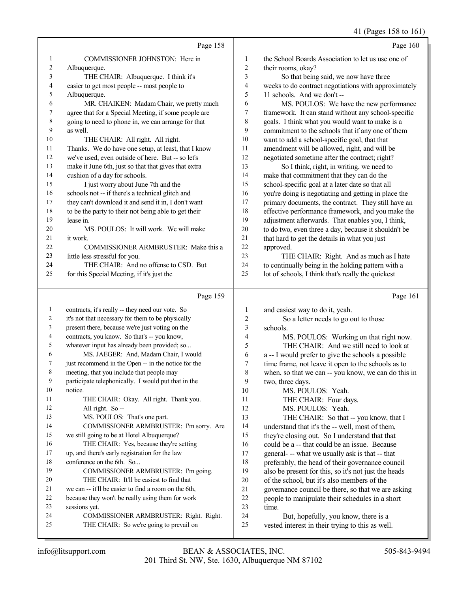## 41 (Pages 158 to 161)

|              | Page 158                                                                                     |                | Page 160                                                                                               |
|--------------|----------------------------------------------------------------------------------------------|----------------|--------------------------------------------------------------------------------------------------------|
| $\mathbf{1}$ | COMMISSIONER JOHNSTON: Here in                                                               | 1              | the School Boards Association to let us use one of                                                     |
| 2            | Albuquerque.                                                                                 | 2              | their rooms, okay?                                                                                     |
| 3            | THE CHAIR: Albuquerque. I think it's                                                         | 3              | So that being said, we now have three                                                                  |
| 4            | easier to get most people -- most people to                                                  | 4              | weeks to do contract negotiations with approximately                                                   |
| 5            | Albuquerque.                                                                                 | 5              | 11 schools. And we don't --                                                                            |
| 6            | MR. CHAIKEN: Madam Chair, we pretty much                                                     | 6              | MS. POULOS: We have the new performance                                                                |
| 7            | agree that for a Special Meeting, if some people are                                         | 7              | framework. It can stand without any school-specific                                                    |
| $\,$ 8 $\,$  | going to need to phone in, we can arrange for that                                           | 8              | goals. I think what you would want to make is a                                                        |
| 9            | as well.                                                                                     | 9              | commitment to the schools that if any one of them                                                      |
| 10           | THE CHAIR: All right. All right.                                                             | 10             | want to add a school-specific goal, that that                                                          |
| 11           | Thanks. We do have one setup, at least, that I know                                          | 11             | amendment will be allowed, right, and will be                                                          |
| 12           | we've used, even outside of here. But -- so let's                                            | 12             | negotiated sometime after the contract; right?                                                         |
| 13           | make it June 6th, just so that that gives that extra                                         | 13             | So I think, right, in writing, we need to                                                              |
| 14           | cushion of a day for schools.                                                                | 14             | make that commitment that they can do the                                                              |
| 15           | I just worry about June 7th and the                                                          | 15             | school-specific goal at a later date so that all                                                       |
| 16           | schools not -- if there's a technical glitch and                                             | 16             | you're doing is negotiating and getting in place the                                                   |
| 17           | they can't download it and send it in, I don't want                                          | 17<br>18       | primary documents, the contract. They still have an                                                    |
| 18<br>19     | to be the party to their not being able to get their<br>lease in.                            | 19             | effective performance framework, and you make the<br>adjustment afterwards. That enables you, I think, |
| 20           | MS. POULOS: It will work. We will make                                                       | $20\,$         | to do two, even three a day, because it shouldn't be                                                   |
| 21           | it work.                                                                                     | 21             | that hard to get the details in what you just                                                          |
| 22           | COMMISSIONER ARMBRUSTER: Make this a                                                         | 22             | approved.                                                                                              |
| 23           | little less stressful for you.                                                               | 23             | THE CHAIR: Right. And as much as I hate                                                                |
| 24           | THE CHAIR: And no offense to CSD. But                                                        | 24             | to continually being in the holding pattern with a                                                     |
| 25           | for this Special Meeting, if it's just the                                                   | 25             | lot of schools, I think that's really the quickest                                                     |
|              | Page 159                                                                                     |                | Page 161                                                                                               |
|              |                                                                                              |                |                                                                                                        |
|              |                                                                                              |                |                                                                                                        |
| 1            | contracts, it's really -- they need our vote. So                                             | 1              | and easiest way to do it, yeah.                                                                        |
| 2            | it's not that necessary for them to be physically                                            | $\overline{c}$ | So a letter needs to go out to those                                                                   |
| 3            | present there, because we're just voting on the                                              | 3              | schools.                                                                                               |
| 4            | contracts, you know. So that's -- you know,                                                  | 4              | MS. POULOS: Working on that right now.                                                                 |
| 5<br>6       | whatever input has already been provided; so                                                 | 5              | THE CHAIR: And we still need to look at                                                                |
| 7            | MS. JAEGER: And, Madam Chair, I would<br>just recommend in the Open -- in the notice for the | 6<br>7         | a -- I would prefer to give the schools a possible                                                     |
| 8            | meeting, that you include that people may                                                    | $\,$ $\,$      | time frame, not leave it open to the schools as to                                                     |
| 9            | participate telephonically. I would put that in the                                          | 9              | when, so that we can -- you know, we can do this in<br>two, three days.                                |
| 10           | notice.                                                                                      | 10             | MS. POULOS: Yeah.                                                                                      |
| 11           | THE CHAIR: Okay. All right. Thank you.                                                       | 11             | THE CHAIR: Four days.                                                                                  |
| 12           | All right. So --                                                                             | 12             | MS. POULOS: Yeah.                                                                                      |
| 13           | MS. POULOS: That's one part.                                                                 | 13             | THE CHAIR: So that -- you know, that I                                                                 |
| 14           | COMMISSIONER ARMBRUSTER: I'm sorry. Are                                                      | 14             | understand that it's the -- well, most of them,                                                        |
| 15           | we still going to be at Hotel Albuquerque?                                                   | 15             | they're closing out. So I understand that that                                                         |
| 16           | THE CHAIR: Yes, because they're setting                                                      | 16             | could be a -- that could be an issue. Because                                                          |
| 17           | up, and there's early registration for the law                                               | 17             | general- -- what we usually ask is that -- that                                                        |
| 18           | conference on the 6th. So                                                                    | 18             | preferably, the head of their governance council                                                       |
| 19           | COMMISSIONER ARMBRUSTER: I'm going.                                                          | 19             | also be present for this, so it's not just the heads                                                   |
| 20           | THE CHAIR: It'll be easiest to find that                                                     | $20\,$         | of the school, but it's also members of the                                                            |
| 21           | we can -- it'll be easier to find a room on the 6th,                                         | 21             | governance council be there, so that we are asking                                                     |
| 22           | because they won't be really using them for work                                             | 22             | people to manipulate their schedules in a short                                                        |
| 23<br>24     | sessions yet.<br>COMMISSIONER ARMBRUSTER: Right. Right.                                      | 23<br>24       | time.<br>But, hopefully, you know, there is a                                                          |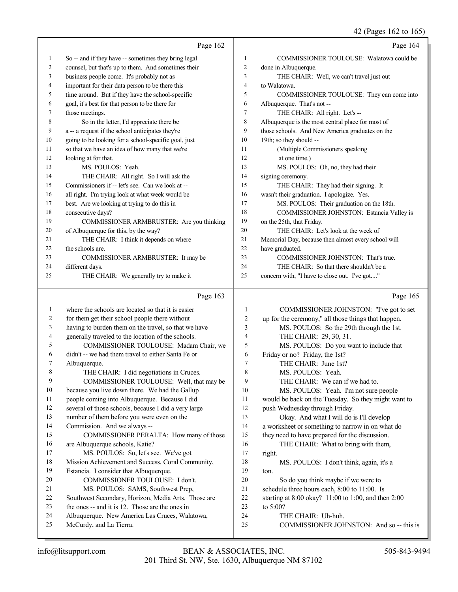### 42 (Pages 162 to 165)

|                |                                                      |                | 42 (Pages $162$ to $165$ )                          |
|----------------|------------------------------------------------------|----------------|-----------------------------------------------------|
|                | Page 162                                             |                | Page 164                                            |
| 1              | So -- and if they have -- sometimes they bring legal | 1              | COMMISSIONER TOULOUSE: Walatowa could be            |
| $\overline{c}$ | counsel, but that's up to them. And sometimes their  | $\overline{c}$ | done in Albuquerque.                                |
| 3              | business people come. It's probably not as           | 3              | THE CHAIR: Well, we can't travel just out           |
| 4              | important for their data person to be there this     | $\overline{4}$ | to Walatowa.                                        |
| 5              | time around. But if they have the school-specific    | 5              | COMMISSIONER TOULOUSE: They can come into           |
| 6              | goal, it's best for that person to be there for      | 6              | Albuquerque. That's not --                          |
| 7              | those meetings.                                      | $\tau$         | THE CHAIR: All right. Let's --                      |
| 8              | So in the letter, I'd appreciate there be            | 8              | Albuquerque is the most central place for most of   |
| 9              | a -- a request if the school anticipates they're     | 9              | those schools. And New America graduates on the     |
| 10             | going to be looking for a school-specific goal, just | 10             | 19th; so they should --                             |
| 11             | so that we have an idea of how many that we're       | 11             | (Multiple Commissioners speaking                    |
| 12             | looking at for that.                                 | 12             | at one time.)                                       |
| 13             | MS. POULOS: Yeah.                                    | 13             | MS. POULOS: Oh, no, they had their                  |
| 14             | THE CHAIR: All right. So I will ask the              | 14             | signing ceremony.                                   |
| 15             | Commissioners if -- let's see. Can we look at --     | 15             | THE CHAIR: They had their signing. It               |
| 16             | all right. I'm trying look at what week would be     | 16             | wasn't their graduation. I apologize. Yes.          |
| 17             | best. Are we looking at trying to do this in         | 17             | MS. POULOS: Their graduation on the 18th.           |
| 18             | consecutive days?                                    | 18             | COMMISSIONER JOHNSTON: Estancia Valley is           |
| 19             | COMMISSIONER ARMBRUSTER: Are you thinking            | 19             | on the 25th, that Friday.                           |
| 20             | of Albuquerque for this, by the way?                 | 20             | THE CHAIR: Let's look at the week of                |
| 21             | THE CHAIR: I think it depends on where               | 21             | Memorial Day, because then almost every school will |
| 22             | the schools are.                                     | 22             | have graduated.                                     |
| 23             | COMMISSIONER ARMBRUSTER: It may be                   | 23             | COMMISSIONER JOHNSTON: That's true.                 |
| 24             | different days.                                      | 24             | THE CHAIR: So that there shouldn't be a             |
| 25             | THE CHAIR: We generally try to make it               | 25             | concern with, "I have to close out. I've got"       |
|                | Page 163                                             |                | Page 165                                            |
| 1              | where the schools are located so that it is easier   | 1              | COMMISSIONER JOHNSTON: "I've got to set             |
| 2              | for them get their school people there without       | $\overline{2}$ | up for the ceremony," all those things that happen. |
| 3              | having to burden them on the travel, so that we have | 3              | MS. POULOS: So the 29th through the 1st.            |
| 4              | generally traveled to the location of the schools.   | 4              | THE CHAIR: 29, 30, 31.                              |
| 5              | COMMISSIONER TOULOUSE: Madam Chair, we               | 5              | MS. POULOS: Do you want to include that             |
| 6              | didn't -- we had them travel to either Santa Fe or   | 6              | Friday or no? Friday, the 1st?                      |
| 7              | Albuquerque.                                         | 7              | THE CHAIR: June 1st?                                |
| 8              | THE CHAIR: I did negotiations in Cruces.             | 8              | MS. POULOS: Yeah.                                   |
| 9              | COMMISSIONER TOULOUSE: Well, that may be             | 9              | THE CHAIR: We can if we had to.                     |
| 10             | because you live down there. We had the Gallup       | 10             | MS. POULOS: Yeah. I'm not sure people               |
| 11             | people coming into Albuquerque. Because I did        | 11             | would be back on the Tuesday. So they might want to |
| 12             | several of those schools, because I did a very large | 12             | push Wednesday through Friday.                      |
| 13             | number of them before you were even on the           | 13             | Okay. And what I will do is I'll develop            |
| 14             | Commission. And we always --                         | 14             | a worksheet or something to narrow in on what do    |
| 15             | COMMISSIONER PERALTA: How many of those              | 15             | they need to have prepared for the discussion.      |
| 16             | are Albuquerque schools, Katie?                      | 16             | THE CHAIR: What to bring with them,                 |
| 17             | MS. POULOS: So, let's see. We've got                 | 17             | right.                                              |
| 18             | Mission Achievement and Success, Coral Community,    | 18             | MS. POULOS: I don't think, again, it's a            |

Estancia. I consider that Albuquerque.

- COMMISSIONER TOULOUSE: I don't.
- 21 MS. POULOS: SAMS, Southwest Prep,<br>22 Southwest Secondary. Horizon. Media Arts. Th
- 22 Southwest Secondary, Horizon, Media Arts. Those are<br>23 the ones -- and it is 12. Those are the ones in the ones -- and it is 12. Those are the ones in
- 
- 24 Albuquerque. New America Las Cruces, Walatowa,<br>25 McCurdy. and La Tierra. McCurdy, and La Tierra.
- ton.
- 20 So do you think maybe if we were to<br>21 schedule three hours each, 8:00 to 11:00. Is schedule three hours each, 8:00 to 11:00. Is
- starting at 8:00 okay? 11:00 to 1:00, and then 2:00
- to 5:00?
- THE CHAIR: Uh-huh.
- 25 COMMISSIONER JOHNSTON: And so -- this is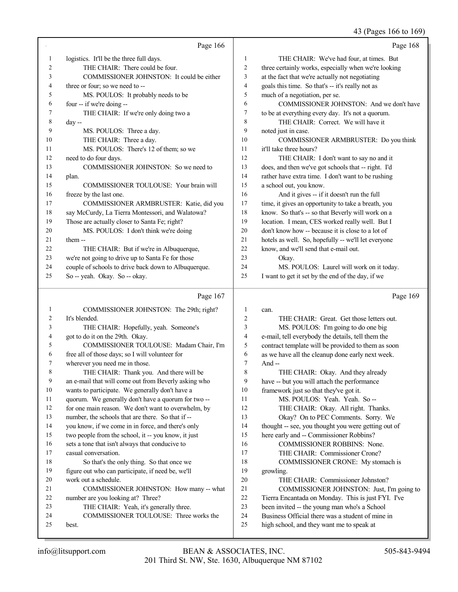43 (Pages 166 to 169)

|        | Page 166                                                                 |              | Page 168                                                    |
|--------|--------------------------------------------------------------------------|--------------|-------------------------------------------------------------|
| 1      | logistics. It'll be the three full days.                                 | $\mathbf{1}$ | THE CHAIR: We've had four, at times. But                    |
| 2      | THE CHAIR: There could be four.                                          | 2            | three certainly works, especially when we're looking        |
| 3      | COMMISSIONER JOHNSTON: It could be either                                | 3            | at the fact that we're actually not negotiating             |
| 4      | three or four; so we need to --                                          | 4            | goals this time. So that's -- it's really not as            |
| 5      | MS. POULOS: It probably needs to be                                      | 5            | much of a negotiation, per se.                              |
| 6      | four -- if we're doing --                                                | 6            | COMMISSIONER JOHNSTON: And we don't have                    |
| 7      | THE CHAIR: If we're only doing two a                                     | 7            | to be at everything every day. It's not a quorum.           |
| 8      | day --                                                                   | 8            | THE CHAIR: Correct. We will have it                         |
| 9      | MS. POULOS: Three a day.                                                 | 9            | noted just in case.                                         |
| 10     | THE CHAIR: Three a day.                                                  | $10\,$       | COMMISSIONER ARMBRUSTER: Do you think                       |
| 11     | MS. POULOS: There's 12 of them; so we                                    | 11           | it'll take three hours?                                     |
| 12     | need to do four days.                                                    | 12           | THE CHAIR: I don't want to say no and it                    |
| 13     | COMMISSIONER JOHNSTON: So we need to                                     | 13           | does, and then we've got schools that -- right. I'd         |
| 14     | plan.                                                                    | 14           | rather have extra time. I don't want to be rushing          |
| 15     | COMMISSIONER TOULOUSE: Your brain will                                   | 15           | a school out, you know.                                     |
| 16     | freeze by the last one.                                                  | 16           | And it gives -- if it doesn't run the full                  |
| 17     | COMMISSIONER ARMBRUSTER: Katie, did you                                  | 17           | time, it gives an opportunity to take a breath, you         |
| 18     | say McCurdy, La Tierra Montessori, and Walatowa?                         | 18           | know. So that's -- so that Beverly will work on a           |
| 19     | Those are actually closer to Santa Fe; right?                            | 19           | location. I mean, CES worked really well. But I             |
| 20     | MS. POULOS: I don't think we're doing                                    | 20           | don't know how -- because it is close to a lot of           |
| 21     | them --                                                                  | 21           | hotels as well. So, hopefully -- we'll let everyone         |
| 22     | THE CHAIR: But if we're in Albuquerque,                                  | 22           | know, and we'll send that e-mail out.                       |
| 23     | we're not going to drive up to Santa Fe for those                        | 23           | Okay.                                                       |
| 24     | couple of schools to drive back down to Albuquerque.                     | 24           | MS. POULOS: Laurel will work on it today.                   |
| 25     | So -- yeah. Okay. So -- okay.                                            | 25           | I want to get it set by the end of the day, if we           |
|        |                                                                          |              |                                                             |
|        | Page 167                                                                 |              | Page 169                                                    |
|        |                                                                          |              |                                                             |
| 1      | COMMISSIONER JOHNSTON: The 29th; right?                                  | 1            | can.                                                        |
| 2<br>3 | It's blended.                                                            | 2<br>3       | THE CHAIR: Great. Get those letters out.                    |
| 4      | THE CHAIR: Hopefully, yeah. Someone's<br>got to do it on the 29th. Okay. | 4            | MS. POULOS: I'm going to do one big                         |
| 5      | COMMISSIONER TOULOUSE: Madam Chair, I'm                                  | 5            | e-mail, tell everybody the details, tell them the           |
| 6      | free all of those days; so I will volunteer for                          | 6            | contract template will be provided to them as soon          |
| 7      | wherever you need me in those.                                           | 7            | as we have all the cleanup done early next week.<br>And $-$ |
| 8      | THE CHAIR: Thank you. And there will be                                  | 8            | THE CHAIR: Okay. And they already                           |
| 9      | an e-mail that will come out from Beverly asking who                     | 9            | have -- but you will attach the performance                 |
| 10     | wants to participate. We generally don't have a                          | 10           | framework just so that they've got it.                      |
| 11     | quorum. We generally don't have a quorum for two --                      | 11           | MS. POULOS: Yeah. Yeah. So --                               |
| 12     | for one main reason. We don't want to overwhelm, by                      | 12           | THE CHAIR: Okay. All right. Thanks.                         |
| 13     | number, the schools that are there. So that if --                        | 13           | Okay? On to PEC Comments. Sorry. We                         |
| 14     | you know, if we come in in force, and there's only                       | 14           | thought -- see, you thought you were getting out of         |
| 15     | two people from the school, it -- you know, it just                      | 15           | here early and -- Commissioner Robbins?                     |
| 16     | sets a tone that isn't always that conducive to                          | 16           | COMMISSIONER ROBBINS: None.                                 |
| 17     | casual conversation.                                                     | 17           | THE CHAIR: Commissioner Crone?                              |
| 18     | So that's the only thing. So that once we                                | 18           | COMMISSIONER CRONE: My stomach is                           |
| 19     | figure out who can participate, if need be, we'll                        | 19           | growling.                                                   |
| 20     | work out a schedule.                                                     | 20           | THE CHAIR: Commissioner Johnston?                           |
| 21     | COMMISSIONER JOHNSTON: How many -- what                                  | $21\,$       | COMMISSIONER JOHNSTON: Just, I'm going to                   |
| 22     | number are you looking at? Three?                                        | 22           | Tierra Encantada on Monday. This is just FYI. I've          |
| 23     | THE CHAIR: Yeah, it's generally three.                                   | 23           | been invited -- the young man who's a School                |
| 24     | COMMISSIONER TOULOUSE: Three works the                                   | 24           | Business Official there was a student of mine in            |
| 25     | best.                                                                    | 25           | high school, and they want me to speak at                   |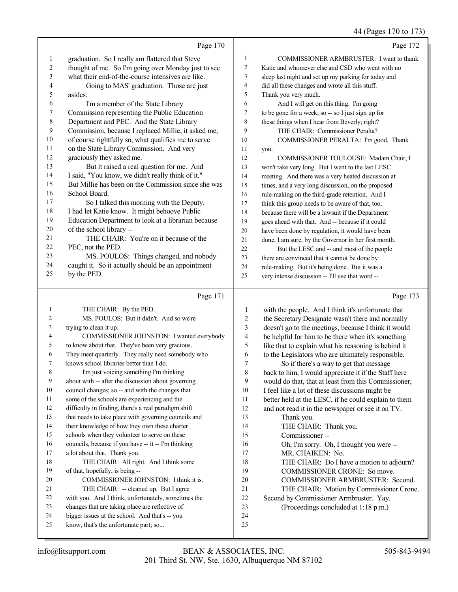|        |                                                      |                  | 44 (Pages 170 to 173)                                |
|--------|------------------------------------------------------|------------------|------------------------------------------------------|
|        | Page 170                                             |                  | Page 172                                             |
| 1      | graduation. So I really am flattered that Steve      | 1                | COMMISSIONER ARMBRUSTER: I want to thank             |
| 2      | thought of me. So I'm going over Monday just to see  | 2                | Katie and whomever else and CSD who went with no     |
| 3      | what their end-of-the-course intensives are like.    | 3                | sleep last night and set up my parking for today and |
| 4      | Going to MAS' graduation. Those are just             | 4                | did all these changes and wrote all this stuff.      |
| 5      | asides.                                              | 5                | Thank you very much.                                 |
| 6      | I'm a member of the State Library                    | 6                | And I will get on this thing. I'm going              |
| 7      | Commission representing the Public Education         | 7                | to be gone for a week; so -- so I just sign up for   |
| 8      | Department and PEC. And the State Library            | 8                | these things when I hear from Beverly; right?        |
| 9      | Commission, because I replaced Millie, it asked me,  | 9                | THE CHAIR: Commissioner Peralta?                     |
| 10     | of course rightfully so, what qualifies me to serve  | 10               | COMMISSIONER PERALTA: I'm good. Thank                |
| 11     | on the State Library Commission. And very            | 11               | you.                                                 |
| 12     | graciously they asked me.                            | 12               | COMMISSIONER TOULOUSE: Madam Chair, I                |
| 13     | But it raised a real question for me. And            | 13               | won't take very long. But I went to the last LESC    |
| 14     | I said, "You know, we didn't really think of it."    | 14               | meeting. And there was a very heated discussion at   |
| 15     | But Millie has been on the Commission since she was  | 15               | times, and a very long discussion, on the proposed   |
| 16     | School Board.                                        | 16               | rule-making on the third-grade retention. And I      |
| 17     | So I talked this morning with the Deputy.            | 17               | think this group needs to be aware of that, too,     |
| 18     | I had let Katie know. It might behoove Public        | 18               | because there will be a lawsuit if the Department    |
| 19     | Education Department to look at a librarian because  | 19               | goes ahead with that. And -- because if it could     |
| 20     | of the school library --                             | 20               | have been done by regulation, it would have been     |
| 21     | THE CHAIR: You're on it because of the               | 21               | done, I am sure, by the Governor in her first month. |
| 22     | PEC, not the PED.                                    | 22               | But the LESC and -- and most of the people           |
| 23     | MS. POULOS: Things changed, and nobody               | 23               | there are convinced that it cannot be done by        |
| 24     | caught it. So it actually should be an appointment   | 24               | rule-making. But it's being done. But it was a       |
| 25     | by the PED.                                          | 25               | very intense discussion -- I'll use that word --     |
|        | Page 171                                             |                  | Page 173                                             |
| 1      | THE CHAIR: By the PED.                               | 1                | with the people. And I think it's unfortunate that   |
| 2      | MS. POULOS: But it didn't. And so we're              | $\overline{c}$   | the Secretary Designate wasn't there and normally    |
| 3      | trying to clean it up.                               | 3                | doesn't go to the meetings, because I think it would |
| 4      | COMMISSIONER JOHNSTON: I wanted everybody            | $\overline{4}$   | be helpful for him to be there when it's something   |
| 5      | to know about that. They've been very gracious.      | 5                | like that to explain what his reasoning is behind it |
| 6      | They meet quarterly. They really need somebody who   | 6                | to the Legislators who are ultimately responsible.   |
| 7      | knows school libraries better than I do.             | $\boldsymbol{7}$ | So if there's a way to get that message              |
| 8      | I'm just voicing something I'm thinking              | 8                | back to him, I would appreciate it if the Staff here |
| 9      | about with -- after the discussion about governing   | 9                | would do that, that at least from this Commissioner, |
| 10     | council changes; so -- and with the changes that     | 10               | I feel like a lot of these discussions might be      |
| 11     | some of the schools are experiencing and the         | 11               | better held at the LESC, if he could explain to them |
| 12     | difficulty in finding, there's a real paradigm shift | 12               | and not read it in the newspaper or see it on TV.    |
| 13     | that needs to take place with governing councils and | 13               | Thank you.                                           |
| 14     | their knowledge of how they own these charter        | 14               | THE CHAIR: Thank you.                                |
| 15     | schools when they volunteer to serve on these        | 15               | Commissioner-                                        |
| 16     | councils, because if you have -- it -- I'm thinking  | 16               | Oh, I'm sorry. Oh, I thought you were --             |
| $17\,$ | a lot about that. Thank you.                         | 17               | MR. CHAIKEN: No.                                     |
| 18     | THE CHAIR: All right. And I think some               | 18               | THE CHAIR: Do I have a motion to adjourn?            |
| 19     | of that, hopefully, is being --                      | 19               | COMMISSIONER CRONE: So move.                         |
| 20     | COMMISSIONER JOHNSTON: I think it is.                | 20               | COMMISSIONER ARMBRUSTER: Second.                     |
| 21     | THE CHAIR: -- cleaned up. But I agree                | 21               | THE CHAIR: Motion by Commissioner Crone.             |
| 22     | with you. And I think, unfortunately, sometimes the  | 22               | Second by Commissioner Armbruster. Yay.              |
| 23     | changes that are taking place are reflective of      | 23               | (Proceedings concluded at 1:18 p.m.)                 |

 

 bigger issues at the school. And that's -- you know, that's the unfortunate part; so...